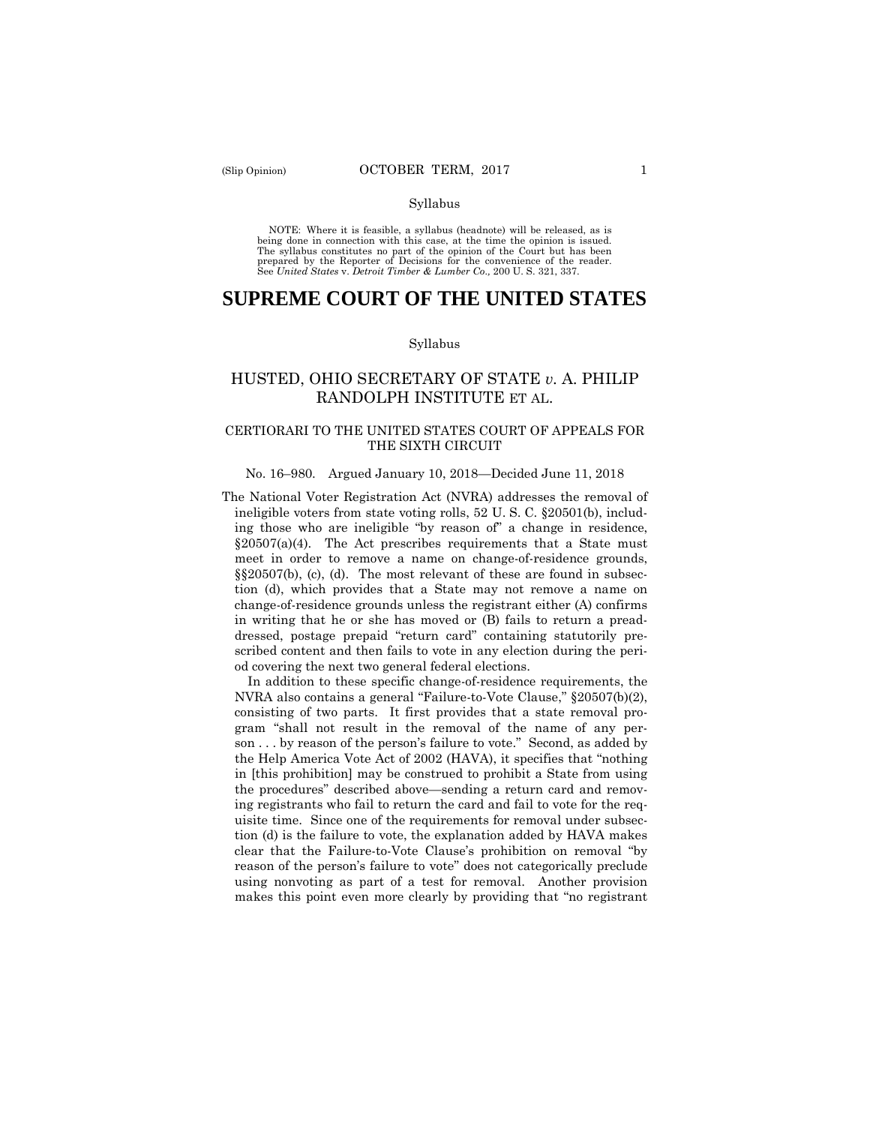#### Syllabus

NOTE: Where it is feasible, a syllabus (headnote) will be released, as is being done in connection with this case, at the time the opinion is issued. The syllabus constitutes no part of the opinion of the Court but has been<br>prepared by the Reporter of Decisions for the convenience of the reader.<br>See United States v. Detroit Timber & Lumber Co., 200 U. S. 321, 337.

# **SUPREME COURT OF THE UNITED STATES**

#### Syllabus

## HUSTED, OHIO SECRETARY OF STATE *v.* A. PHILIP RANDOLPH INSTITUTE ET AL.

## CERTIORARI TO THE UNITED STATES COURT OF APPEALS FOR THE SIXTH CIRCUIT

#### No. 16–980. Argued January 10, 2018—Decided June 11, 2018

The National Voter Registration Act (NVRA) addresses the removal of ineligible voters from state voting rolls, 52 U. S. C. §20501(b), including those who are ineligible "by reason of" a change in residence,  $\S20507(a)(4)$ . The Act prescribes requirements that a State must meet in order to remove a name on change-of-residence grounds, §§20507(b), (c), (d). The most relevant of these are found in subsection (d), which provides that a State may not remove a name on change-of-residence grounds unless the registrant either (A) confirms in writing that he or she has moved or (B) fails to return a preaddressed, postage prepaid "return card" containing statutorily prescribed content and then fails to vote in any election during the period covering the next two general federal elections.

 In addition to these specific change-of-residence requirements, the NVRA also contains a general "Failure-to-Vote Clause," §20507(b)(2), consisting of two parts. It first provides that a state removal program "shall not result in the removal of the name of any person . . . by reason of the person's failure to vote." Second, as added by the Help America Vote Act of 2002 (HAVA), it specifies that "nothing in [this prohibition] may be construed to prohibit a State from using the procedures" described above—sending a return card and removing registrants who fail to return the card and fail to vote for the requisite time. Since one of the requirements for removal under subsection (d) is the failure to vote, the explanation added by HAVA makes clear that the Failure-to-Vote Clause's prohibition on removal "by reason of the person's failure to vote" does not categorically preclude using nonvoting as part of a test for removal. Another provision makes this point even more clearly by providing that "no registrant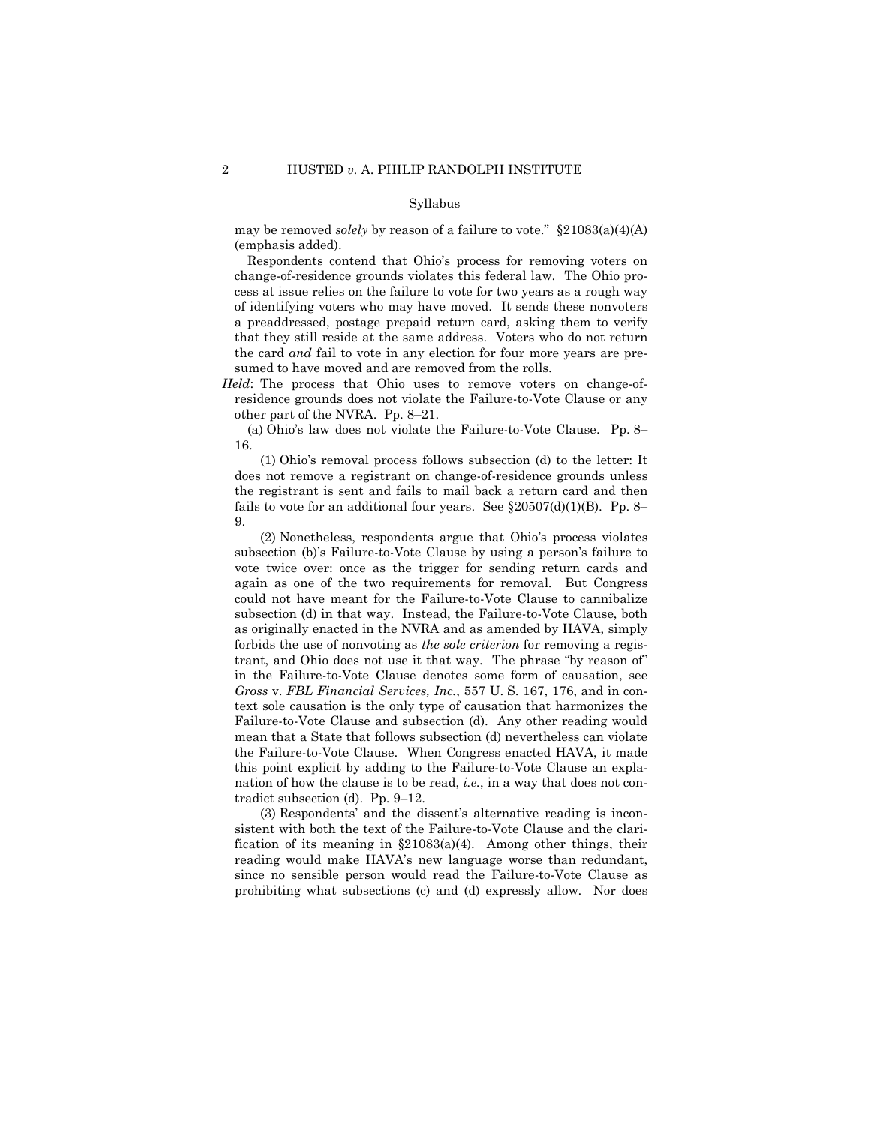#### Syllabus

may be removed *solely* by reason of a failure to vote." §21083(a)(4)(A) (emphasis added).

 Respondents contend that Ohio's process for removing voters on change-of-residence grounds violates this federal law. The Ohio process at issue relies on the failure to vote for two years as a rough way of identifying voters who may have moved. It sends these nonvoters a preaddressed, postage prepaid return card, asking them to verify that they still reside at the same address. Voters who do not return the card *and* fail to vote in any election for four more years are presumed to have moved and are removed from the rolls.

*Held*: The process that Ohio uses to remove voters on change-ofresidence grounds does not violate the Failure-to-Vote Clause or any other part of the NVRA. Pp. 8–21.

 (a) Ohio's law does not violate the Failure-to-Vote Clause. Pp. 8– 16.

 (1) Ohio's removal process follows subsection (d) to the letter: It does not remove a registrant on change-of-residence grounds unless the registrant is sent and fails to mail back a return card and then fails to vote for an additional four years. See  $$20507(d)(1)(B)$ . Pp. 8– 9.

 (2) Nonetheless, respondents argue that Ohio's process violates subsection (b)'s Failure-to-Vote Clause by using a person's failure to vote twice over: once as the trigger for sending return cards and again as one of the two requirements for removal. But Congress could not have meant for the Failure-to-Vote Clause to cannibalize subsection (d) in that way. Instead, the Failure-to-Vote Clause, both as originally enacted in the NVRA and as amended by HAVA, simply forbids the use of nonvoting as *the sole criterion* for removing a registrant, and Ohio does not use it that way. The phrase "by reason of" in the Failure-to-Vote Clause denotes some form of causation, see *Gross* v. *FBL Financial Services, Inc.*, 557 U. S. 167, 176, and in context sole causation is the only type of causation that harmonizes the Failure-to-Vote Clause and subsection (d). Any other reading would mean that a State that follows subsection (d) nevertheless can violate the Failure-to-Vote Clause. When Congress enacted HAVA, it made this point explicit by adding to the Failure-to-Vote Clause an explanation of how the clause is to be read, *i.e.*, in a way that does not contradict subsection (d). Pp. 9–12.

 (3) Respondents' and the dissent's alternative reading is inconsistent with both the text of the Failure-to-Vote Clause and the clarification of its meaning in §21083(a)(4). Among other things, their reading would make HAVA's new language worse than redundant, since no sensible person would read the Failure-to-Vote Clause as prohibiting what subsections (c) and (d) expressly allow. Nor does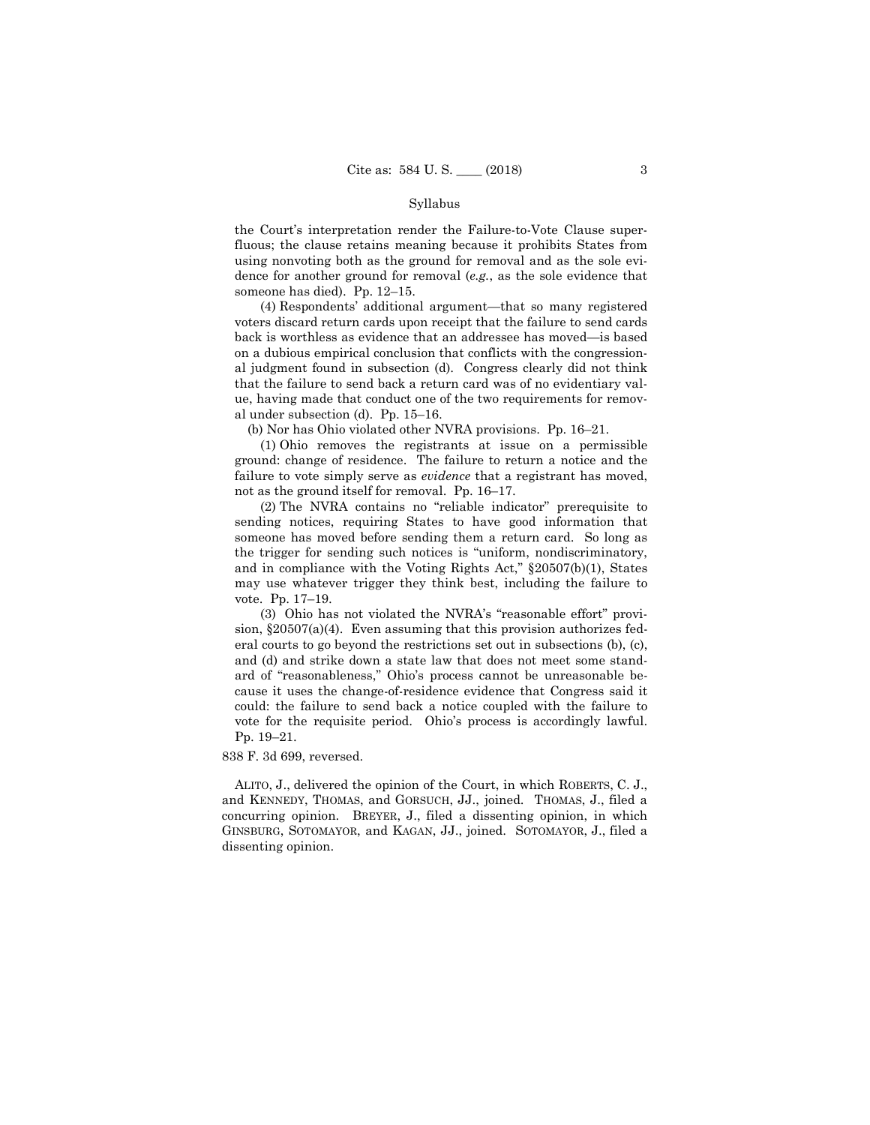#### Syllabus

the Court's interpretation render the Failure-to-Vote Clause superfluous; the clause retains meaning because it prohibits States from using nonvoting both as the ground for removal and as the sole evidence for another ground for removal (*e.g.*, as the sole evidence that someone has died). Pp. 12–15.

 (4) Respondents' additional argument—that so many registered voters discard return cards upon receipt that the failure to send cards back is worthless as evidence that an addressee has moved—is based on a dubious empirical conclusion that conflicts with the congressional judgment found in subsection (d). Congress clearly did not think that the failure to send back a return card was of no evidentiary value, having made that conduct one of the two requirements for removal under subsection (d). Pp. 15–16.

(b) Nor has Ohio violated other NVRA provisions. Pp. 16–21.

 (1) Ohio removes the registrants at issue on a permissible ground: change of residence. The failure to return a notice and the failure to vote simply serve as *evidence* that a registrant has moved, not as the ground itself for removal. Pp. 16–17.

 (2) The NVRA contains no "reliable indicator" prerequisite to sending notices, requiring States to have good information that someone has moved before sending them a return card. So long as the trigger for sending such notices is "uniform, nondiscriminatory, and in compliance with the Voting Rights Act," §20507(b)(1), States may use whatever trigger they think best, including the failure to vote. Pp. 17–19.

 (3) Ohio has not violated the NVRA's "reasonable effort" provision,  $\S 20507(a)(4)$ . Even assuming that this provision authorizes federal courts to go beyond the restrictions set out in subsections (b), (c), and (d) and strike down a state law that does not meet some standard of "reasonableness," Ohio's process cannot be unreasonable because it uses the change-of-residence evidence that Congress said it could: the failure to send back a notice coupled with the failure to vote for the requisite period. Ohio's process is accordingly lawful. Pp. 19–21.

838 F. 3d 699, reversed.

 ALITO, J., delivered the opinion of the Court, in which ROBERTS, C. J., and KENNEDY, THOMAS, and GORSUCH, JJ., joined. THOMAS, J., filed a concurring opinion. BREYER, J., filed a dissenting opinion, in which GINSBURG, SOTOMAYOR, and KAGAN, JJ., joined. SOTOMAYOR, J., filed a dissenting opinion.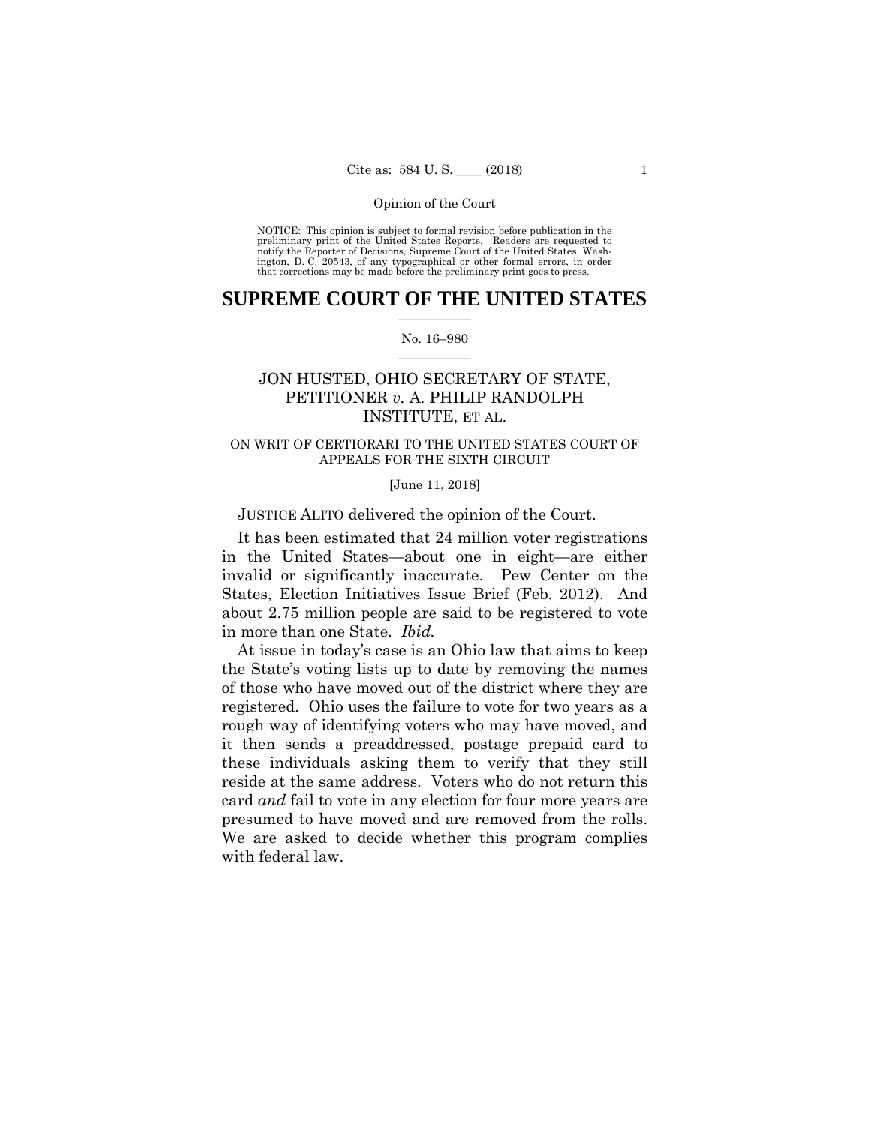NOTICE: This opinion is subject to formal revision before publication in the preliminary print of the United States Reports. Readers are requested to notify the Reporter of Decisions, Supreme Court of the United States, Wa ington, D. C. 20543, of any typographical or other formal errors, in order that corrections may be made before the preliminary print goes to press.

## **SUPREME COURT OF THE UNITED STATES**  $\overline{\phantom{a}}$  , where  $\overline{\phantom{a}}$

#### No. 16–980  $\overline{\phantom{a}}$  , where  $\overline{\phantom{a}}$

## JON HUSTED, OHIO SECRETARY OF STATE, PETITIONER *v.* A. PHILIP RANDOLPH INSTITUTE, ET AL.

## ON WRIT OF CERTIORARI TO THE UNITED STATES COURT OF APPEALS FOR THE SIXTH CIRCUIT

[June 11, 2018]

JUSTICE ALITO delivered the opinion of the Court.

It has been estimated that 24 million voter registrations in the United States—about one in eight—are either invalid or significantly inaccurate. Pew Center on the States, Election Initiatives Issue Brief (Feb. 2012). And about 2.75 million people are said to be registered to vote in more than one State. *Ibid.*

At issue in today's case is an Ohio law that aims to keep the State's voting lists up to date by removing the names of those who have moved out of the district where they are registered. Ohio uses the failure to vote for two years as a rough way of identifying voters who may have moved, and it then sends a preaddressed, postage prepaid card to these individuals asking them to verify that they still reside at the same address. Voters who do not return this card *and* fail to vote in any election for four more years are presumed to have moved and are removed from the rolls. We are asked to decide whether this program complies with federal law.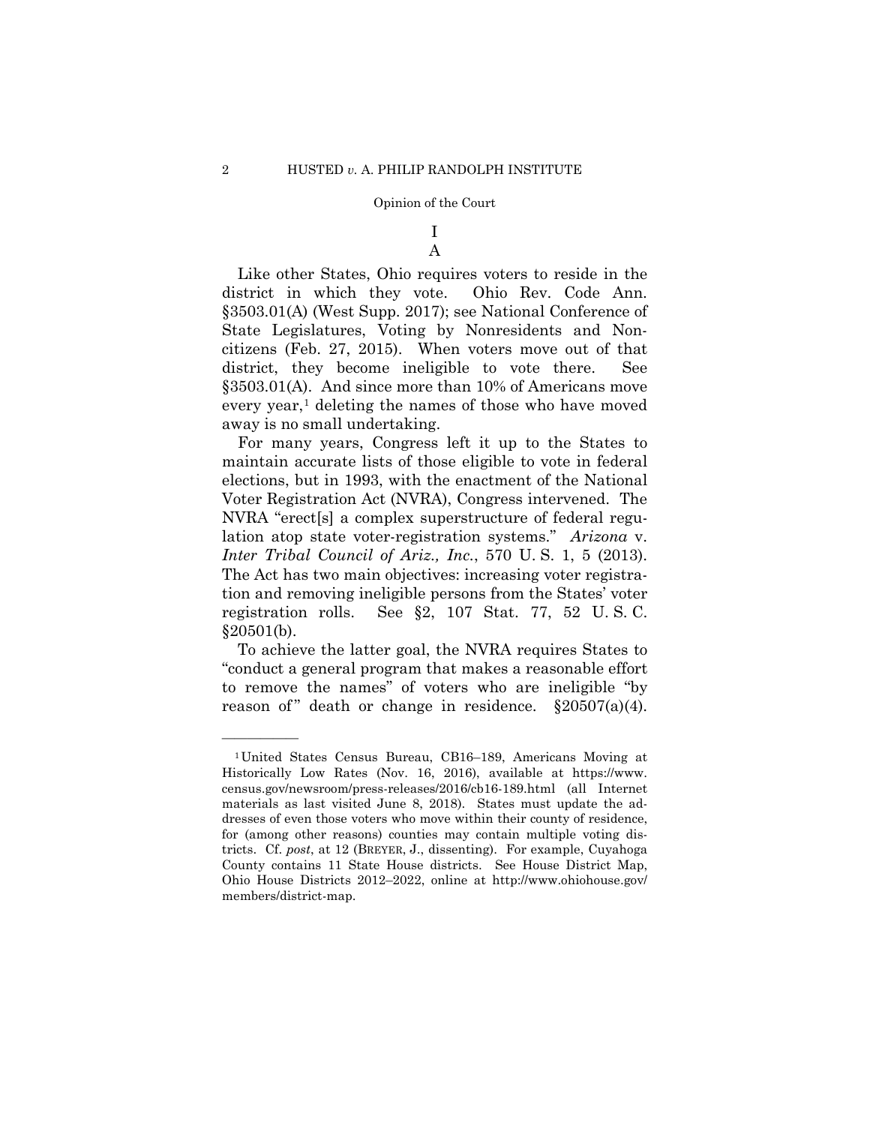## I A

Like other States, Ohio requires voters to reside in the district in which they vote. Ohio Rev. Code Ann. §3503.01(A) (West Supp. 2017); see National Conference of State Legislatures, Voting by Nonresidents and Noncitizens (Feb. 27, 2015). When voters move out of that district, they become ineligible to vote there. See §3503.01(A). And since more than 10% of Americans move every year,<sup>[1](#page-4-0)</sup> deleting the names of those who have moved away is no small undertaking.

For many years, Congress left it up to the States to maintain accurate lists of those eligible to vote in federal elections, but in 1993, with the enactment of the National Voter Registration Act (NVRA), Congress intervened. The NVRA "erect[s] a complex superstructure of federal regulation atop state voter-registration systems." *Arizona* v. *Inter Tribal Council of Ariz., Inc.*, 570 U. S. 1, 5 (2013). The Act has two main objectives: increasing voter registration and removing ineligible persons from the States' voter registration rolls. See §2, 107 Stat. 77, 52 U. S. C. §20501(b).

To achieve the latter goal, the NVRA requires States to "conduct a general program that makes a reasonable effort to remove the names" of voters who are ineligible "by reason of " death or change in residence.  $\S 20507(a)(4)$ .

<span id="page-4-0"></span><sup>1</sup>United States Census Bureau, CB16–189, Americans Moving at Historically Low Rates (Nov. 16, 2016), available at https://www. census.gov/newsroom/press-releases/2016/cb16-189.html (all Internet materials as last visited June 8, 2018). States must update the addresses of even those voters who move within their county of residence, for (among other reasons) counties may contain multiple voting districts. Cf. *post*, at 12 (BREYER, J., dissenting). For example, Cuyahoga County contains 11 State House districts. See House District Map, Ohio House Districts 2012–2022, online at http://www.ohiohouse.gov/ members/district-map.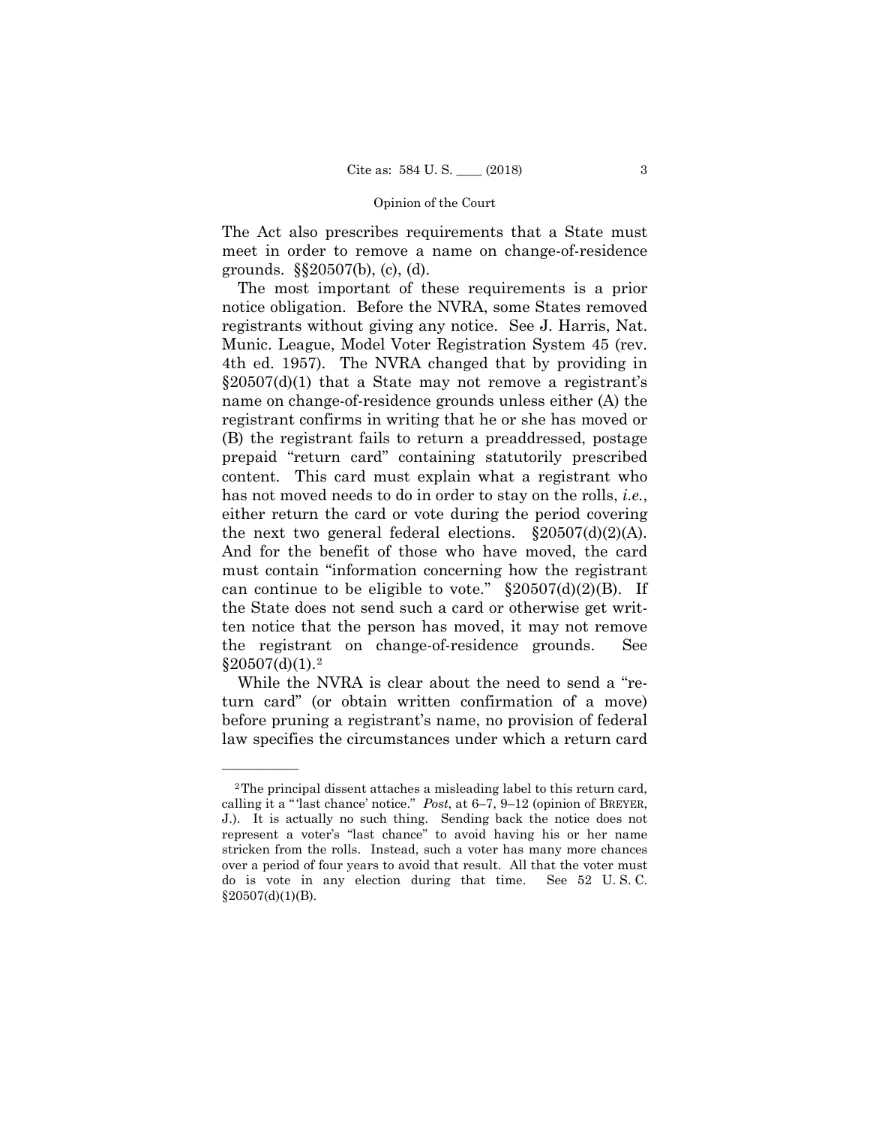The Act also prescribes requirements that a State must meet in order to remove a name on change-of-residence grounds. §§20507(b), (c), (d).

The most important of these requirements is a prior notice obligation. Before the NVRA, some States removed registrants without giving any notice. See J. Harris, Nat. Munic. League, Model Voter Registration System 45 (rev. 4th ed. 1957). The NVRA changed that by providing in  $\S20507(d)(1)$  that a State may not remove a registrant's name on change-of-residence grounds unless either (A) the registrant confirms in writing that he or she has moved or (B) the registrant fails to return a preaddressed, postage prepaid "return card" containing statutorily prescribed content. This card must explain what a registrant who has not moved needs to do in order to stay on the rolls, *i.e.*, either return the card or vote during the period covering the next two general federal elections.  $\S 20507(d)(2)(A)$ . And for the benefit of those who have moved, the card must contain "information concerning how the registrant can continue to be eligible to vote."  $\S 20507(d)(2)(B)$ . If the State does not send such a card or otherwise get written notice that the person has moved, it may not remove the registrant on change-of-residence grounds. See  $§20507(d)(1).<sup>2</sup>$  $§20507(d)(1).<sup>2</sup>$  $§20507(d)(1).<sup>2</sup>$ 

While the NVRA is clear about the need to send a "return card" (or obtain written confirmation of a move) before pruning a registrant's name, no provision of federal law specifies the circumstances under which a return card

<span id="page-5-0"></span><sup>2</sup>The principal dissent attaches a misleading label to this return card, calling it a "'last chance' notice." *Post*, at 6–7, 9–12 (opinion of BREYER, J.). It is actually no such thing. Sending back the notice does not represent a voter's "last chance" to avoid having his or her name stricken from the rolls. Instead, such a voter has many more chances over a period of four years to avoid that result. All that the voter must do is vote in any election during that time. See 52 U. S. C.  $§20507(d)(1)(B).$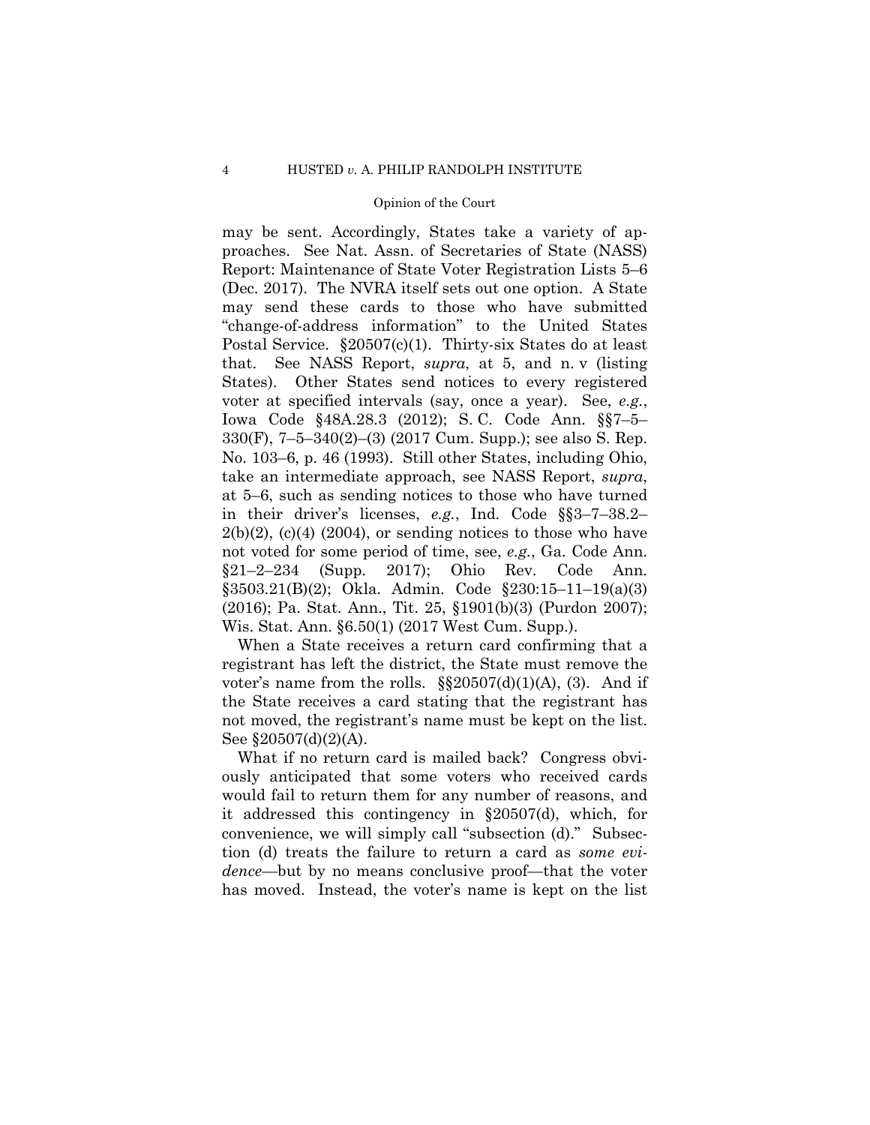may be sent. Accordingly, States take a variety of approaches. See Nat. Assn. of Secretaries of State (NASS) Report: Maintenance of State Voter Registration Lists 5–6 (Dec. 2017). The NVRA itself sets out one option. A State may send these cards to those who have submitted "change-of-address information" to the United States Postal Service. §20507(c)(1). Thirty-six States do at least that. See NASS Report, *supra*, at 5, and n. v (listing States). Other States send notices to every registered voter at specified intervals (say, once a year). See, *e.g.*, Iowa Code §48A.28.3 (2012); S. C. Code Ann. §§7–5– 330(F), 7–5–340(2)–(3) (2017 Cum. Supp.); see also S. Rep. No. 103–6, p. 46 (1993). Still other States, including Ohio, take an intermediate approach, see NASS Report, *supra*, at 5–6, such as sending notices to those who have turned in their driver's licenses, *e.g.*, Ind. Code §§3–7–38.2–  $2(b)(2)$ ,  $(c)(4)$   $(2004)$ , or sending notices to those who have not voted for some period of time, see, *e.g.*, Ga. Code Ann.  $\S21-2-234$  (Supp. 2017); Ohio Rev. Code Ann. §3503.21(B)(2); Okla. Admin. Code §230:15–11–19(a)(3) (2016); Pa. Stat. Ann., Tit. 25, §1901(b)(3) (Purdon 2007); Wis. Stat. Ann. §6.50(1) (2017 West Cum. Supp.).

When a State receives a return card confirming that a registrant has left the district, the State must remove the voter's name from the rolls.  $\S$  $20507(d)(1)(A)$ , (3). And if the State receives a card stating that the registrant has not moved, the registrant's name must be kept on the list. See  $$20507(d)(2)(A)$ .

What if no return card is mailed back? Congress obviously anticipated that some voters who received cards would fail to return them for any number of reasons, and it addressed this contingency in §20507(d), which, for convenience, we will simply call "subsection (d)." Subsection (d) treats the failure to return a card as *some evidence*—but by no means conclusive proof—that the voter has moved. Instead, the voter's name is kept on the list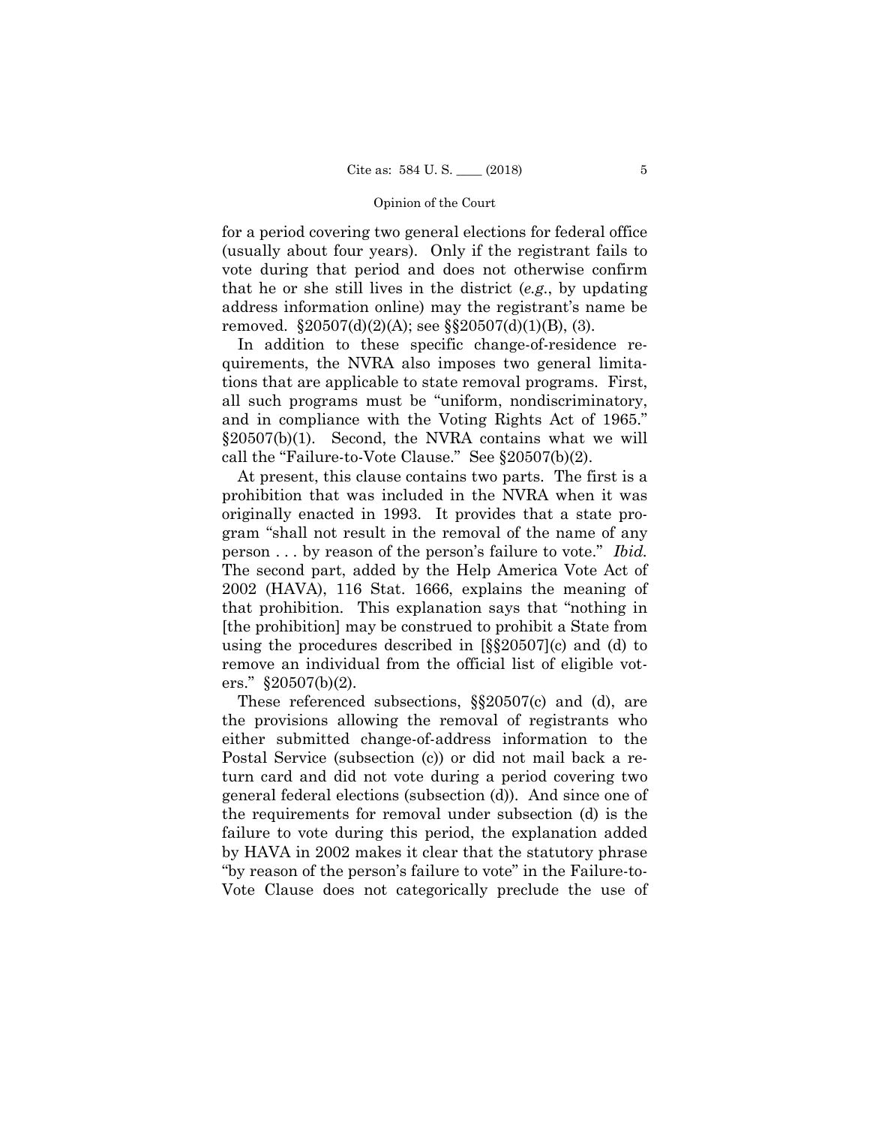for a period covering two general elections for federal office (usually about four years). Only if the registrant fails to vote during that period and does not otherwise confirm that he or she still lives in the district (*e.g.*, by updating address information online) may the registrant's name be removed.  $$20507(d)(2)(A);$  see  $$20507(d)(1)(B), (3).$ 

In addition to these specific change-of-residence requirements, the NVRA also imposes two general limitations that are applicable to state removal programs. First, all such programs must be "uniform, nondiscriminatory, and in compliance with the Voting Rights Act of 1965." §20507(b)(1). Second, the NVRA contains what we will call the "Failure-to-Vote Clause." See §20507(b)(2).

At present, this clause contains two parts. The first is a prohibition that was included in the NVRA when it was originally enacted in 1993. It provides that a state program "shall not result in the removal of the name of any person . . . by reason of the person's failure to vote." *Ibid.*  The second part, added by the Help America Vote Act of 2002 (HAVA), 116 Stat. 1666, explains the meaning of that prohibition. This explanation says that "nothing in [the prohibition] may be construed to prohibit a State from using the procedures described in [§§20507](c) and (d) to remove an individual from the official list of eligible voters." §20507(b)(2).

These referenced subsections, §§20507(c) and (d), are the provisions allowing the removal of registrants who either submitted change-of-address information to the Postal Service (subsection (c)) or did not mail back a return card and did not vote during a period covering two general federal elections (subsection (d)). And since one of the requirements for removal under subsection (d) is the failure to vote during this period, the explanation added by HAVA in 2002 makes it clear that the statutory phrase "by reason of the person's failure to vote" in the Failure-to-Vote Clause does not categorically preclude the use of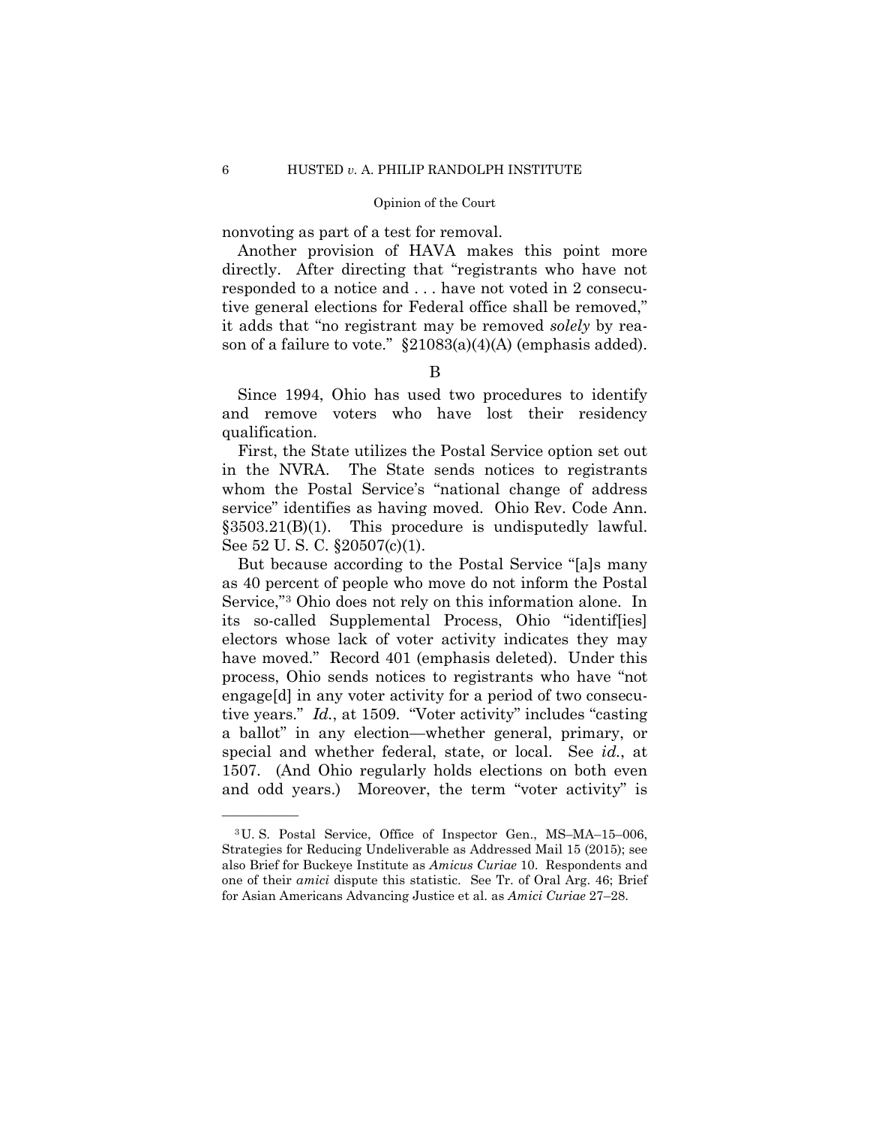nonvoting as part of a test for removal.

Another provision of HAVA makes this point more directly. After directing that "registrants who have not responded to a notice and . . . have not voted in 2 consecutive general elections for Federal office shall be removed," it adds that "no registrant may be removed *solely* by reason of a failure to vote."  $\S21083(a)(4)(A)$  (emphasis added).

## B

Since 1994, Ohio has used two procedures to identify and remove voters who have lost their residency qualification.

First, the State utilizes the Postal Service option set out in the NVRA. The State sends notices to registrants whom the Postal Service's "national change of address service" identifies as having moved. Ohio Rev. Code Ann. §3503.21(B)(1). This procedure is undisputedly lawful. See 52 U. S. C. §20507(c)(1).

But because according to the Postal Service "[a]s many as 40 percent of people who move do not inform the Postal Service,"[3](#page-8-0) Ohio does not rely on this information alone. In its so-called Supplemental Process, Ohio "identif[ies] electors whose lack of voter activity indicates they may have moved." Record 401 (emphasis deleted). Under this process, Ohio sends notices to registrants who have "not engage[d] in any voter activity for a period of two consecutive years." *Id.*, at 1509. "Voter activity" includes "casting a ballot" in any election—whether general, primary, or special and whether federal, state, or local. See *id.*, at 1507. (And Ohio regularly holds elections on both even and odd years.) Moreover, the term "voter activity" is

<span id="page-8-0"></span><sup>3</sup>U. S. Postal Service, Office of Inspector Gen., MS–MA–15–006, Strategies for Reducing Undeliverable as Addressed Mail 15 (2015); see also Brief for Buckeye Institute as *Amicus Curiae* 10. Respondents and one of their *amici* dispute this statistic. See Tr. of Oral Arg. 46; Brief for Asian Americans Advancing Justice et al. as *Amici Curiae* 27–28.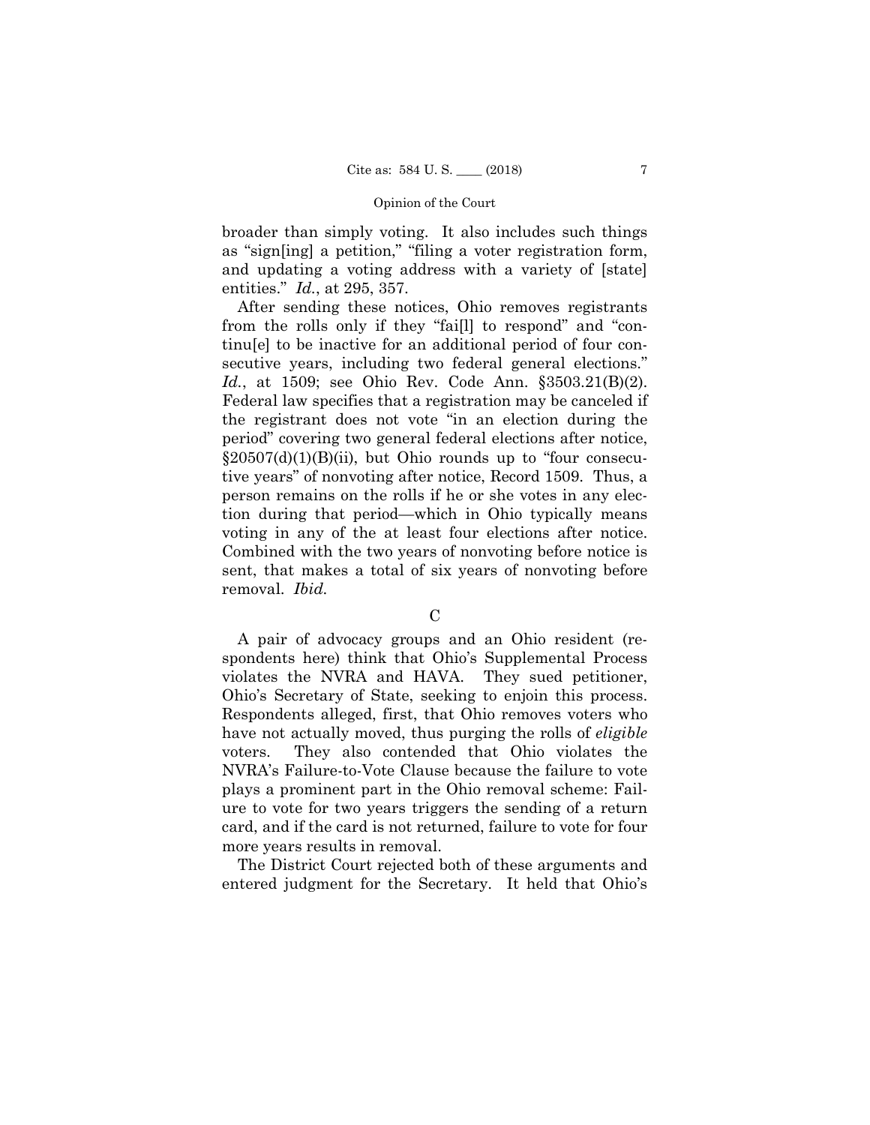broader than simply voting. It also includes such things as "sign[ing] a petition," "filing a voter registration form, and updating a voting address with a variety of [state] entities." *Id.*, at 295, 357.

After sending these notices, Ohio removes registrants from the rolls only if they "fai[l] to respond" and "continu[e] to be inactive for an additional period of four consecutive years, including two federal general elections." *Id.*, at 1509; see Ohio Rev. Code Ann. §3503.21(B)(2). Federal law specifies that a registration may be canceled if the registrant does not vote "in an election during the period" covering two general federal elections after notice,  $\S 20507(d)(1)(B)(ii)$ , but Ohio rounds up to "four consecutive years" of nonvoting after notice, Record 1509. Thus, a person remains on the rolls if he or she votes in any election during that period—which in Ohio typically means voting in any of the at least four elections after notice. Combined with the two years of nonvoting before notice is sent, that makes a total of six years of nonvoting before removal. *Ibid.*

A pair of advocacy groups and an Ohio resident (respondents here) think that Ohio's Supplemental Process violates the NVRA and HAVA. They sued petitioner, Ohio's Secretary of State, seeking to enjoin this process. Respondents alleged, first, that Ohio removes voters who have not actually moved, thus purging the rolls of *eligible*  voters. They also contended that Ohio violates the NVRA's Failure-to-Vote Clause because the failure to vote plays a prominent part in the Ohio removal scheme: Failure to vote for two years triggers the sending of a return card, and if the card is not returned, failure to vote for four more years results in removal.

The District Court rejected both of these arguments and entered judgment for the Secretary. It held that Ohio's

 $\mathcal{C}$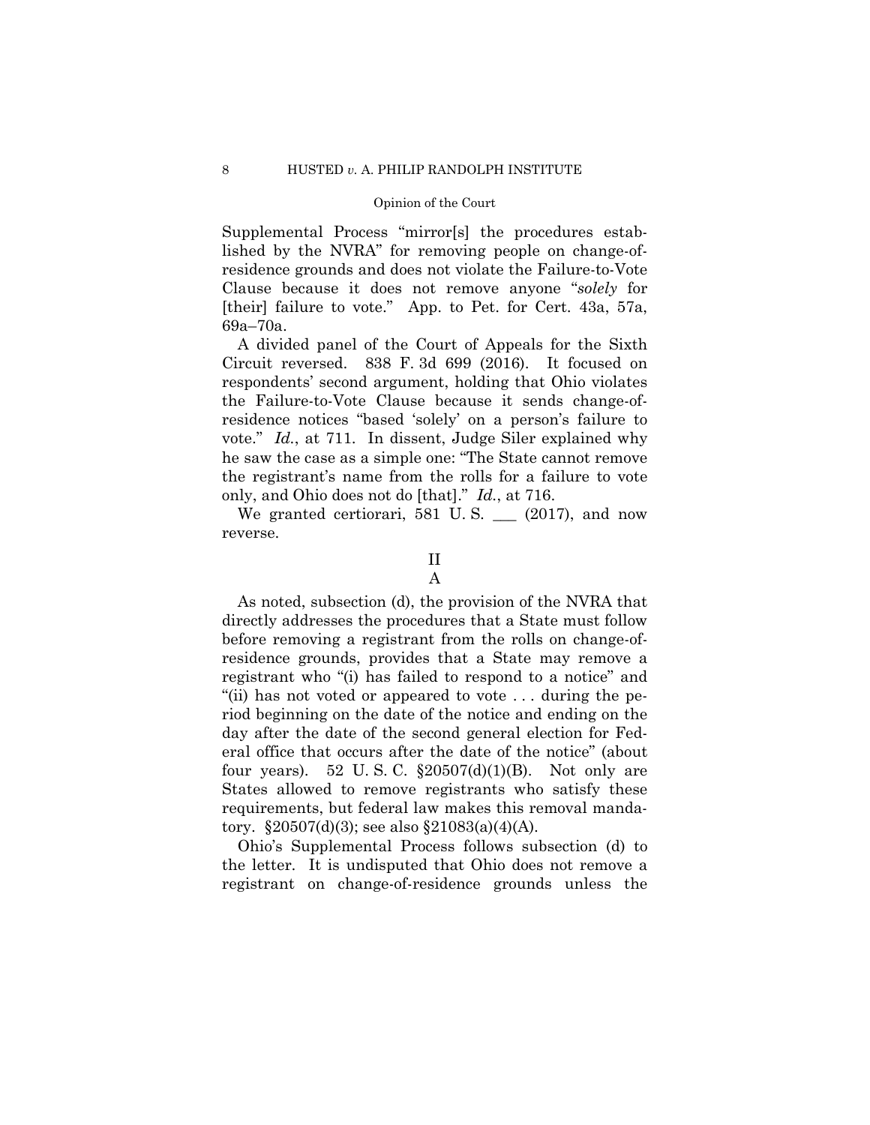Supplemental Process "mirror[s] the procedures established by the NVRA" for removing people on change-ofresidence grounds and does not violate the Failure-to-Vote Clause because it does not remove anyone "*solely* for [their] failure to vote." App. to Pet. for Cert. 43a, 57a, 69a–70a.

A divided panel of the Court of Appeals for the Sixth Circuit reversed. 838 F. 3d 699 (2016). It focused on respondents' second argument, holding that Ohio violates the Failure-to-Vote Clause because it sends change-ofresidence notices "based 'solely' on a person's failure to vote." *Id.*, at 711. In dissent, Judge Siler explained why he saw the case as a simple one: "The State cannot remove the registrant's name from the rolls for a failure to vote only, and Ohio does not do [that]." *Id.*, at 716.

We granted certiorari, 581 U.S.  $\_\_$  (2017), and now reverse.

As noted, subsection (d), the provision of the NVRA that directly addresses the procedures that a State must follow before removing a registrant from the rolls on change-ofresidence grounds, provides that a State may remove a registrant who "(i) has failed to respond to a notice" and "(ii) has not voted or appeared to vote . . . during the period beginning on the date of the notice and ending on the day after the date of the second general election for Federal office that occurs after the date of the notice" (about four years). 52 U.S.C.  $\S 20507(d)(1)(B)$ . Not only are States allowed to remove registrants who satisfy these requirements, but federal law makes this removal mandatory. §20507(d)(3); see also §21083(a)(4)(A).

Ohio's Supplemental Process follows subsection (d) to the letter. It is undisputed that Ohio does not remove a registrant on change-of-residence grounds unless the

II A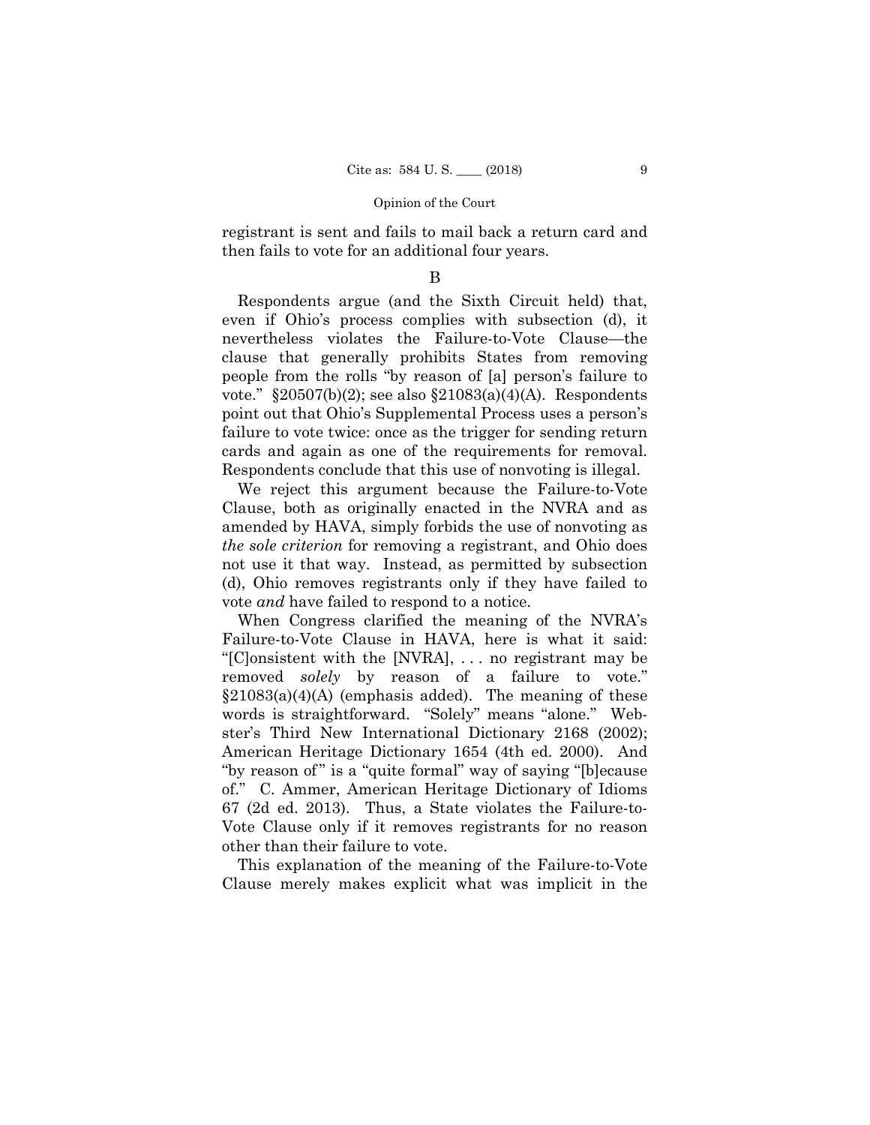registrant is sent and fails to mail back a return card and then fails to vote for an additional four years.

## B

Respondents argue (and the Sixth Circuit held) that, even if Ohio's process complies with subsection (d), it nevertheless violates the Failure-to-Vote Clause—the clause that generally prohibits States from removing people from the rolls "by reason of [a] person's failure to vote." §20507(b)(2); see also §21083(a)(4)(A). Respondents point out that Ohio's Supplemental Process uses a person's failure to vote twice: once as the trigger for sending return cards and again as one of the requirements for removal. Respondents conclude that this use of nonvoting is illegal.

We reject this argument because the Failure-to-Vote Clause, both as originally enacted in the NVRA and as amended by HAVA, simply forbids the use of nonvoting as *the sole criterion* for removing a registrant, and Ohio does not use it that way. Instead, as permitted by subsection (d), Ohio removes registrants only if they have failed to vote *and* have failed to respond to a notice.

When Congress clarified the meaning of the NVRA's Failure-to-Vote Clause in HAVA, here is what it said: "[C]onsistent with the [NVRA], . . . no registrant may be removed *solely* by reason of a failure to vote."  $\S21083(a)(4)(A)$  (emphasis added). The meaning of these words is straightforward. "Solely" means "alone." Webster's Third New International Dictionary 2168 (2002); American Heritage Dictionary 1654 (4th ed. 2000). And "by reason of" is a "quite formal" way of saying "[b]ecause of." C. Ammer, American Heritage Dictionary of Idioms 67 (2d ed. 2013). Thus, a State violates the Failure-to-Vote Clause only if it removes registrants for no reason other than their failure to vote.

This explanation of the meaning of the Failure-to-Vote Clause merely makes explicit what was implicit in the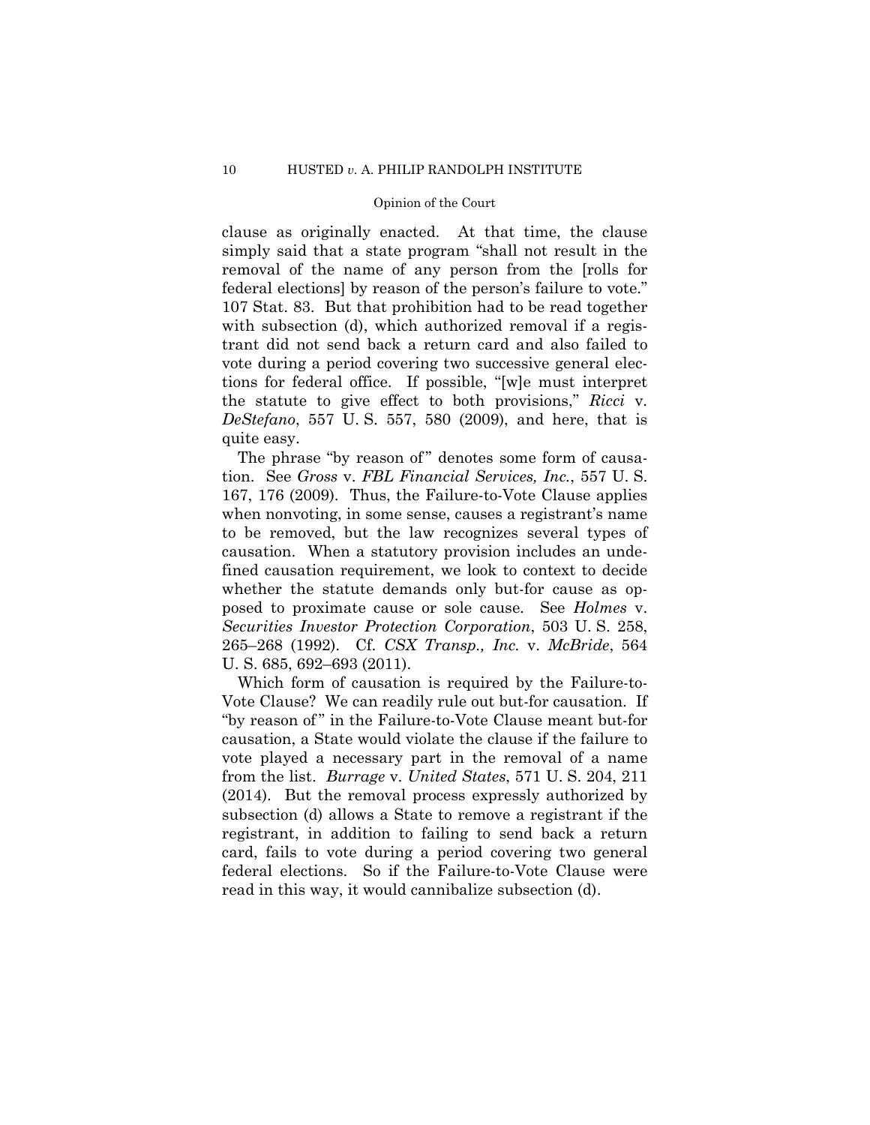clause as originally enacted. At that time, the clause simply said that a state program "shall not result in the removal of the name of any person from the [rolls for federal elections] by reason of the person's failure to vote." 107 Stat. 83. But that prohibition had to be read together with subsection (d), which authorized removal if a registrant did not send back a return card and also failed to vote during a period covering two successive general elections for federal office. If possible, "[w]e must interpret the statute to give effect to both provisions," *Ricci* v. *DeStefano*, 557 U. S. 557, 580 (2009), and here, that is quite easy.

The phrase "by reason of" denotes some form of causation. See *Gross* v. *FBL Financial Services, Inc.*, 557 U. S. 167, 176 (2009). Thus, the Failure-to-Vote Clause applies when nonvoting, in some sense, causes a registrant's name to be removed, but the law recognizes several types of causation. When a statutory provision includes an undefined causation requirement, we look to context to decide whether the statute demands only but-for cause as opposed to proximate cause or sole cause. See *Holmes* v. *Securities Investor Protection Corporation*, 503 U. S. 258, 265–268 (1992). Cf. *CSX Transp., Inc.* v. *McBride*, 564 U. S. 685, 692–693 (2011).

Which form of causation is required by the Failure-to-Vote Clause? We can readily rule out but-for causation. If "by reason of" in the Failure-to-Vote Clause meant but-for causation, a State would violate the clause if the failure to vote played a necessary part in the removal of a name from the list. *Burrage* v. *United States*, 571 U. S. 204, 211 (2014). But the removal process expressly authorized by subsection (d) allows a State to remove a registrant if the registrant, in addition to failing to send back a return card, fails to vote during a period covering two general federal elections. So if the Failure-to-Vote Clause were read in this way, it would cannibalize subsection (d).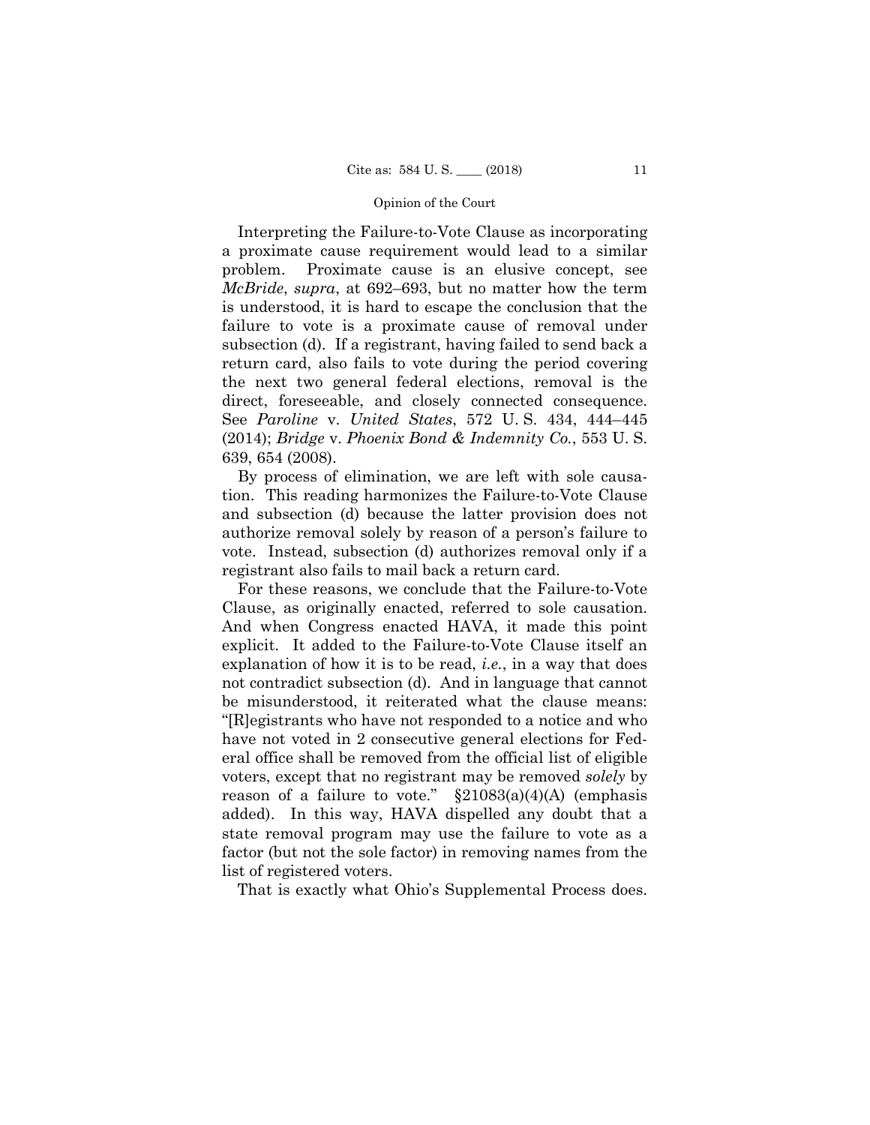Interpreting the Failure-to-Vote Clause as incorporating a proximate cause requirement would lead to a similar problem. Proximate cause is an elusive concept, see *McBride*, *supra*, at 692–693, but no matter how the term is understood, it is hard to escape the conclusion that the failure to vote is a proximate cause of removal under subsection (d). If a registrant, having failed to send back a return card, also fails to vote during the period covering the next two general federal elections, removal is the direct, foreseeable, and closely connected consequence. See *Paroline* v. *United States*, 572 U. S. 434, 444–445 (2014); *Bridge* v. *Phoenix Bond & Indemnity Co.*, 553 U. S. 639, 654 (2008).

By process of elimination, we are left with sole causation. This reading harmonizes the Failure-to-Vote Clause and subsection (d) because the latter provision does not authorize removal solely by reason of a person's failure to vote. Instead, subsection (d) authorizes removal only if a registrant also fails to mail back a return card.

For these reasons, we conclude that the Failure-to-Vote Clause, as originally enacted, referred to sole causation. And when Congress enacted HAVA, it made this point explicit. It added to the Failure-to-Vote Clause itself an explanation of how it is to be read, *i.e.*, in a way that does not contradict subsection (d). And in language that cannot be misunderstood, it reiterated what the clause means: "[R]egistrants who have not responded to a notice and who have not voted in 2 consecutive general elections for Federal office shall be removed from the official list of eligible voters, except that no registrant may be removed *solely* by reason of a failure to vote."  $\S21083(a)(4)(A)$  (emphasis added). In this way, HAVA dispelled any doubt that a state removal program may use the failure to vote as a factor (but not the sole factor) in removing names from the list of registered voters.

That is exactly what Ohio's Supplemental Process does.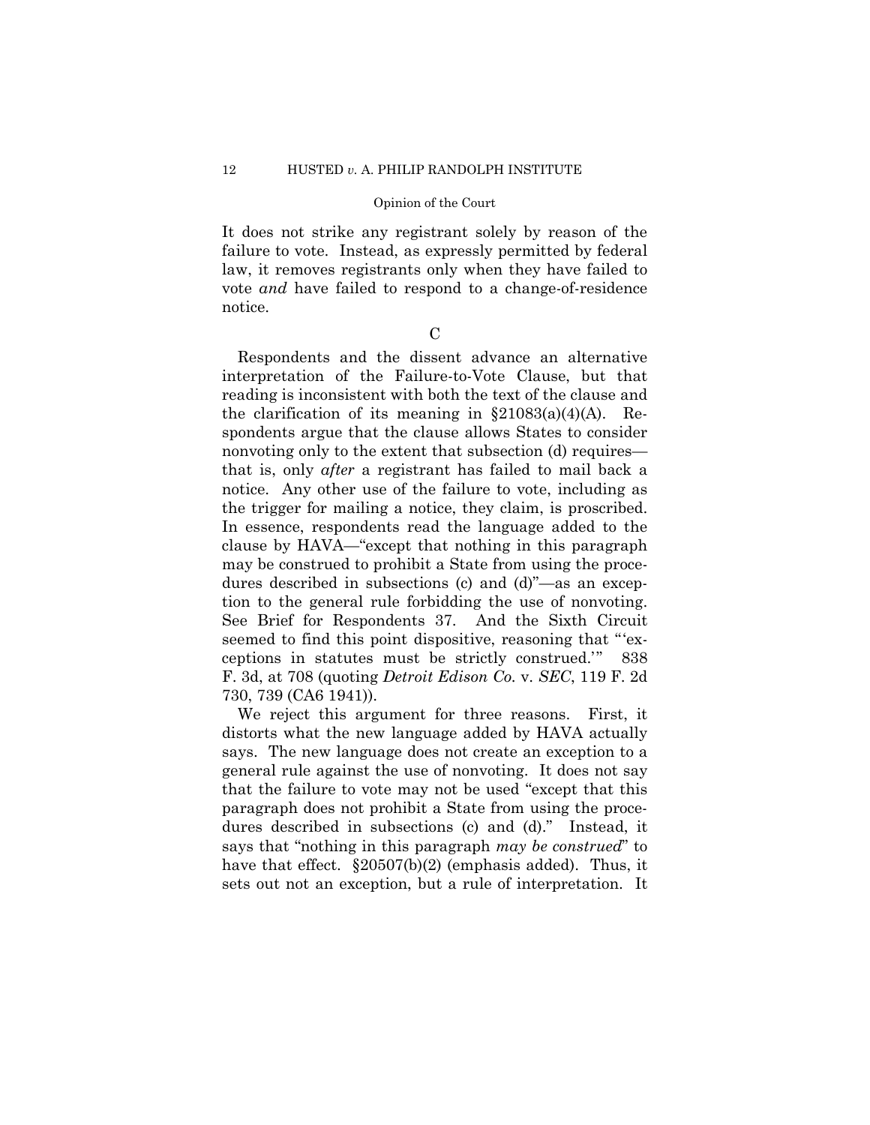It does not strike any registrant solely by reason of the failure to vote. Instead, as expressly permitted by federal law, it removes registrants only when they have failed to vote *and* have failed to respond to a change-of-residence notice.

 $\mathcal{C}$ 

Respondents and the dissent advance an alternative interpretation of the Failure-to-Vote Clause, but that reading is inconsistent with both the text of the clause and the clarification of its meaning in  $\S21083(a)(4)(A)$ . Respondents argue that the clause allows States to consider nonvoting only to the extent that subsection (d) requires that is, only *after* a registrant has failed to mail back a notice. Any other use of the failure to vote, including as the trigger for mailing a notice, they claim, is proscribed. In essence, respondents read the language added to the clause by HAVA—"except that nothing in this paragraph may be construed to prohibit a State from using the procedures described in subsections (c) and (d)"—as an exception to the general rule forbidding the use of nonvoting. See Brief for Respondents 37. And the Sixth Circuit seemed to find this point dispositive, reasoning that "'exceptions in statutes must be strictly construed.'" 838 F. 3d, at 708 (quoting *Detroit Edison Co.* v. *SEC*, 119 F. 2d 730, 739 (CA6 1941)).

We reject this argument for three reasons. First, it distorts what the new language added by HAVA actually says. The new language does not create an exception to a general rule against the use of nonvoting. It does not say that the failure to vote may not be used "except that this paragraph does not prohibit a State from using the procedures described in subsections (c) and (d)." Instead, it says that "nothing in this paragraph *may be construed*" to have that effect.  $\S 20507(b)(2)$  (emphasis added). Thus, it sets out not an exception, but a rule of interpretation. It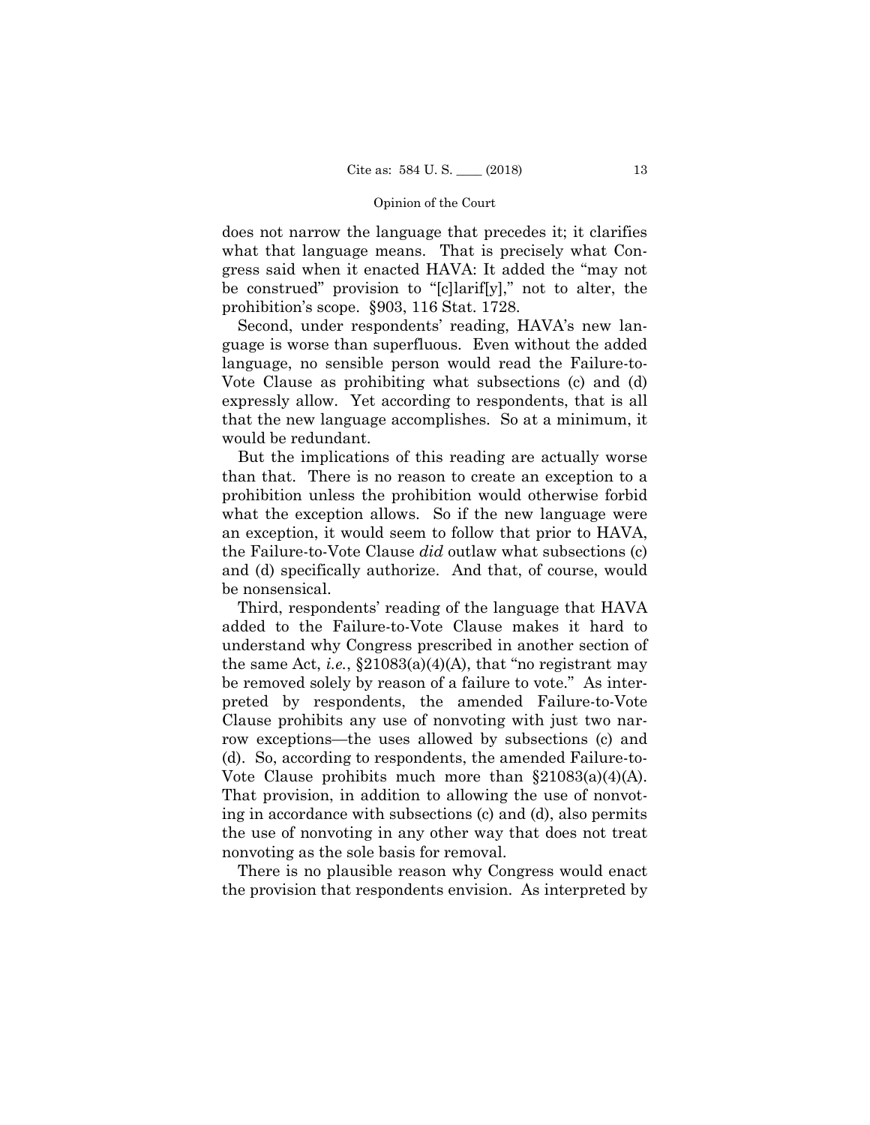does not narrow the language that precedes it; it clarifies what that language means. That is precisely what Congress said when it enacted HAVA: It added the "may not be construed" provision to "[c]larif[y]," not to alter, the prohibition's scope. §903, 116 Stat. 1728.

Second, under respondents' reading, HAVA's new language is worse than superfluous. Even without the added language, no sensible person would read the Failure-to-Vote Clause as prohibiting what subsections (c) and (d) expressly allow. Yet according to respondents, that is all that the new language accomplishes. So at a minimum, it would be redundant.

But the implications of this reading are actually worse than that. There is no reason to create an exception to a prohibition unless the prohibition would otherwise forbid what the exception allows. So if the new language were an exception, it would seem to follow that prior to HAVA, the Failure-to-Vote Clause *did* outlaw what subsections (c) and (d) specifically authorize. And that, of course, would be nonsensical.

Third, respondents' reading of the language that HAVA added to the Failure-to-Vote Clause makes it hard to understand why Congress prescribed in another section of the same Act, *i.e.*,  $\S21083(a)(4)(A)$ , that "no registrant may be removed solely by reason of a failure to vote." As interpreted by respondents, the amended Failure-to-Vote Clause prohibits any use of nonvoting with just two narrow exceptions—the uses allowed by subsections (c) and (d). So, according to respondents, the amended Failure-to-Vote Clause prohibits much more than  $\S21083(a)(4)(A)$ . That provision, in addition to allowing the use of nonvoting in accordance with subsections (c) and (d), also permits the use of nonvoting in any other way that does not treat nonvoting as the sole basis for removal.

There is no plausible reason why Congress would enact the provision that respondents envision. As interpreted by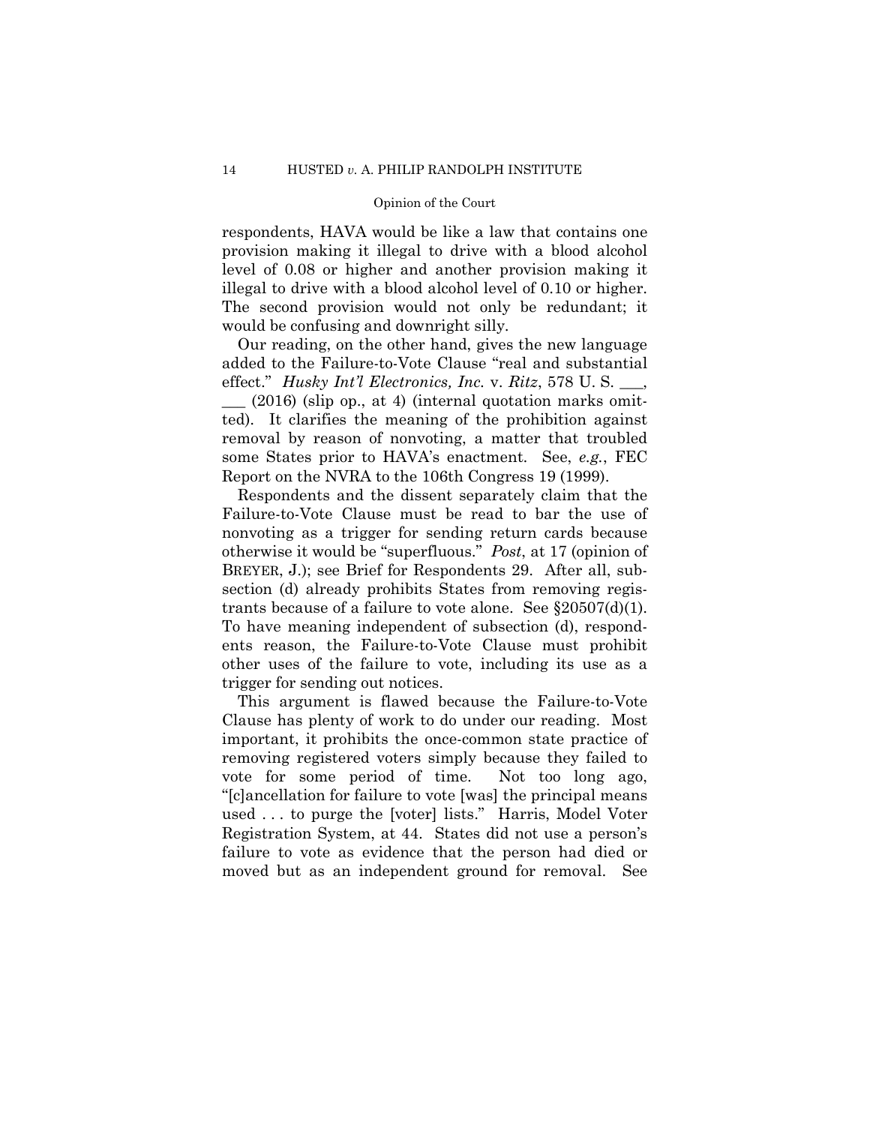respondents, HAVA would be like a law that contains one provision making it illegal to drive with a blood alcohol level of 0.08 or higher and another provision making it illegal to drive with a blood alcohol level of 0.10 or higher. The second provision would not only be redundant; it would be confusing and downright silly.

Our reading, on the other hand, gives the new language added to the Failure-to-Vote Clause "real and substantial effect." *Husky Int'l Electronics, Inc.* v. *Ritz*, 578 U. S. \_\_\_,

 $(2016)$  (slip op., at 4) (internal quotation marks omitted). It clarifies the meaning of the prohibition against removal by reason of nonvoting, a matter that troubled some States prior to HAVA's enactment. See, *e.g.*, FEC Report on the NVRA to the 106th Congress 19 (1999).

 Respondents and the dissent separately claim that the Failure-to-Vote Clause must be read to bar the use of nonvoting as a trigger for sending return cards because otherwise it would be "superfluous." *Post*, at 17 (opinion of BREYER, J.); see Brief for Respondents 29. After all, subsection (d) already prohibits States from removing registrants because of a failure to vote alone. See  $\S20507(d)(1)$ . To have meaning independent of subsection (d), respondents reason, the Failure-to-Vote Clause must prohibit other uses of the failure to vote, including its use as a trigger for sending out notices.

This argument is flawed because the Failure-to-Vote Clause has plenty of work to do under our reading. Most important, it prohibits the once-common state practice of removing registered voters simply because they failed to vote for some period of time. Not too long ago, "[c]ancellation for failure to vote [was] the principal means used . . . to purge the [voter] lists." Harris, Model Voter Registration System, at 44. States did not use a person's failure to vote as evidence that the person had died or moved but as an independent ground for removal. See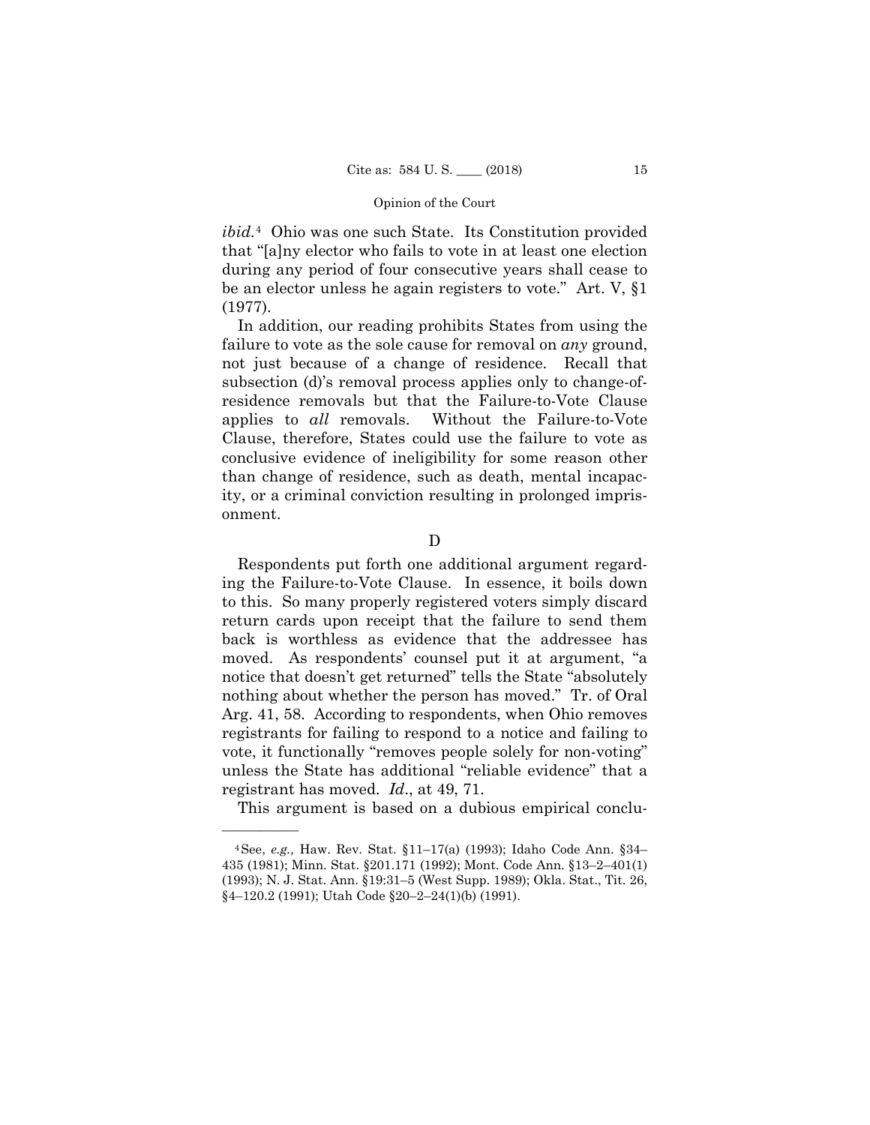*ibid.*[4](#page-17-0) Ohio was one such State. Its Constitution provided that "[a]ny elector who fails to vote in at least one election during any period of four consecutive years shall cease to be an elector unless he again registers to vote." Art. V, §1 (1977).

In addition, our reading prohibits States from using the failure to vote as the sole cause for removal on *any* ground, not just because of a change of residence. Recall that subsection (d)'s removal process applies only to change-ofresidence removals but that the Failure-to-Vote Clause applies to *all* removals. Without the Failure-to-Vote Clause, therefore, States could use the failure to vote as conclusive evidence of ineligibility for some reason other than change of residence, such as death, mental incapacity, or a criminal conviction resulting in prolonged imprisonment.

D

 Respondents put forth one additional argument regarding the Failure-to-Vote Clause. In essence, it boils down to this. So many properly registered voters simply discard return cards upon receipt that the failure to send them back is worthless as evidence that the addressee has moved. As respondents' counsel put it at argument, "a notice that doesn't get returned" tells the State "absolutely nothing about whether the person has moved." Tr. of Oral Arg. 41, 58. According to respondents, when Ohio removes registrants for failing to respond to a notice and failing to vote, it functionally "removes people solely for non-voting" unless the State has additional "reliable evidence" that a registrant has moved. *Id*., at 49, 71.

This argument is based on a dubious empirical conclu-

<span id="page-17-0"></span><sup>4</sup>See, *e.g.,* Haw. Rev. Stat. §11–17(a) (1993); Idaho Code Ann. §34– 435 (1981); Minn. Stat. §201.171 (1992); Mont. Code Ann. §13–2–401(1) (1993); N. J. Stat. Ann. §19:31–5 (West Supp. 1989); Okla. Stat., Tit. 26, §4–120.2 (1991); Utah Code §20–2–24(1)(b) (1991).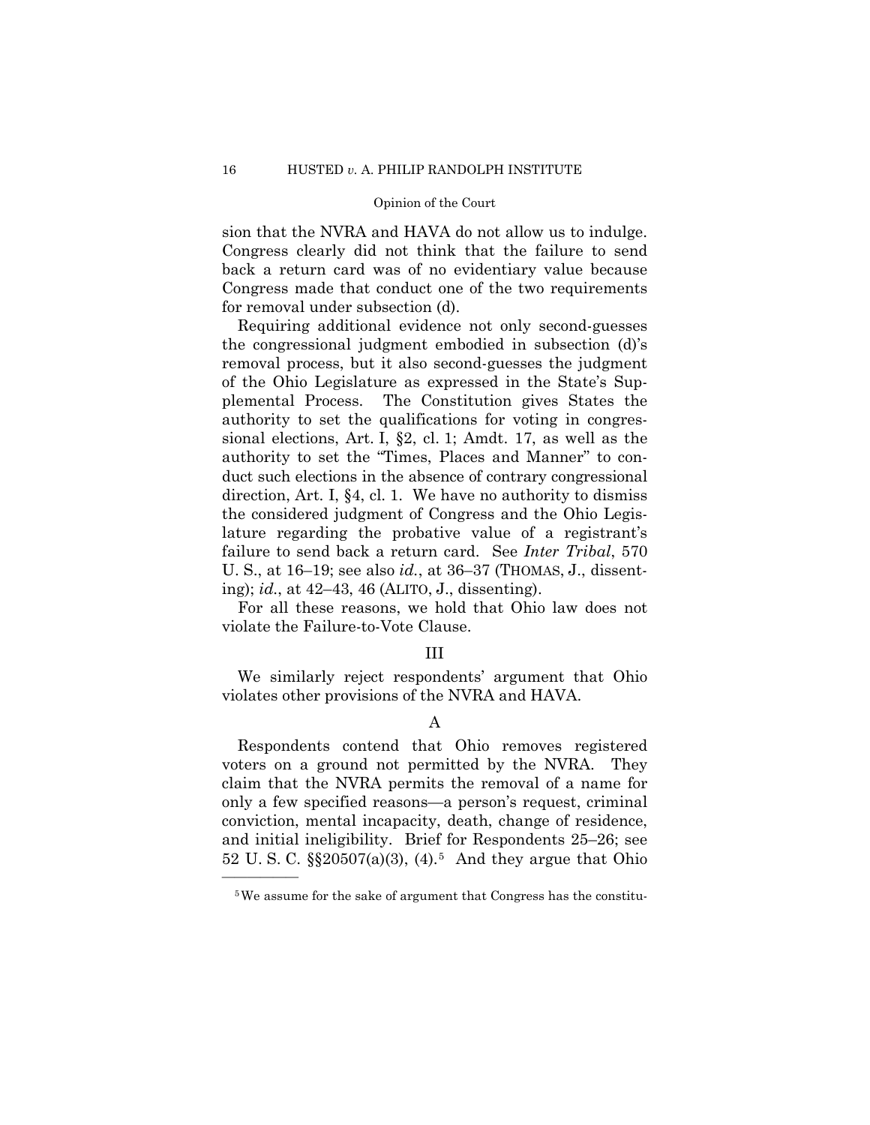sion that the NVRA and HAVA do not allow us to indulge. Congress clearly did not think that the failure to send back a return card was of no evidentiary value because Congress made that conduct one of the two requirements for removal under subsection (d).

Requiring additional evidence not only second-guesses the congressional judgment embodied in subsection (d)'s removal process, but it also second-guesses the judgment of the Ohio Legislature as expressed in the State's Supplemental Process. The Constitution gives States the authority to set the qualifications for voting in congressional elections, Art. I, §2, cl. 1; Amdt. 17, as well as the authority to set the "Times, Places and Manner" to conduct such elections in the absence of contrary congressional direction, Art. I, §4, cl. 1. We have no authority to dismiss the considered judgment of Congress and the Ohio Legislature regarding the probative value of a registrant's failure to send back a return card. See *Inter Tribal*, 570 U. S., at 16–19; see also *id.*, at 36–37 (THOMAS, J., dissenting); *id.*, at 42–43, 46 (ALITO, J., dissenting).

For all these reasons, we hold that Ohio law does not violate the Failure-to-Vote Clause.

### III

We similarly reject respondents' argument that Ohio violates other provisions of the NVRA and HAVA.

## A

Respondents contend that Ohio removes registered voters on a ground not permitted by the NVRA. They claim that the NVRA permits the removal of a name for only a few specified reasons—a person's request, criminal conviction, mental incapacity, death, change of residence, and initial ineligibility. Brief for Respondents 25–26; see 52 U. S. C. §§20507(a)(3), (4).[5](#page-18-0) And they argue that Ohio

<span id="page-18-0"></span><sup>5</sup>We assume for the sake of argument that Congress has the constitu-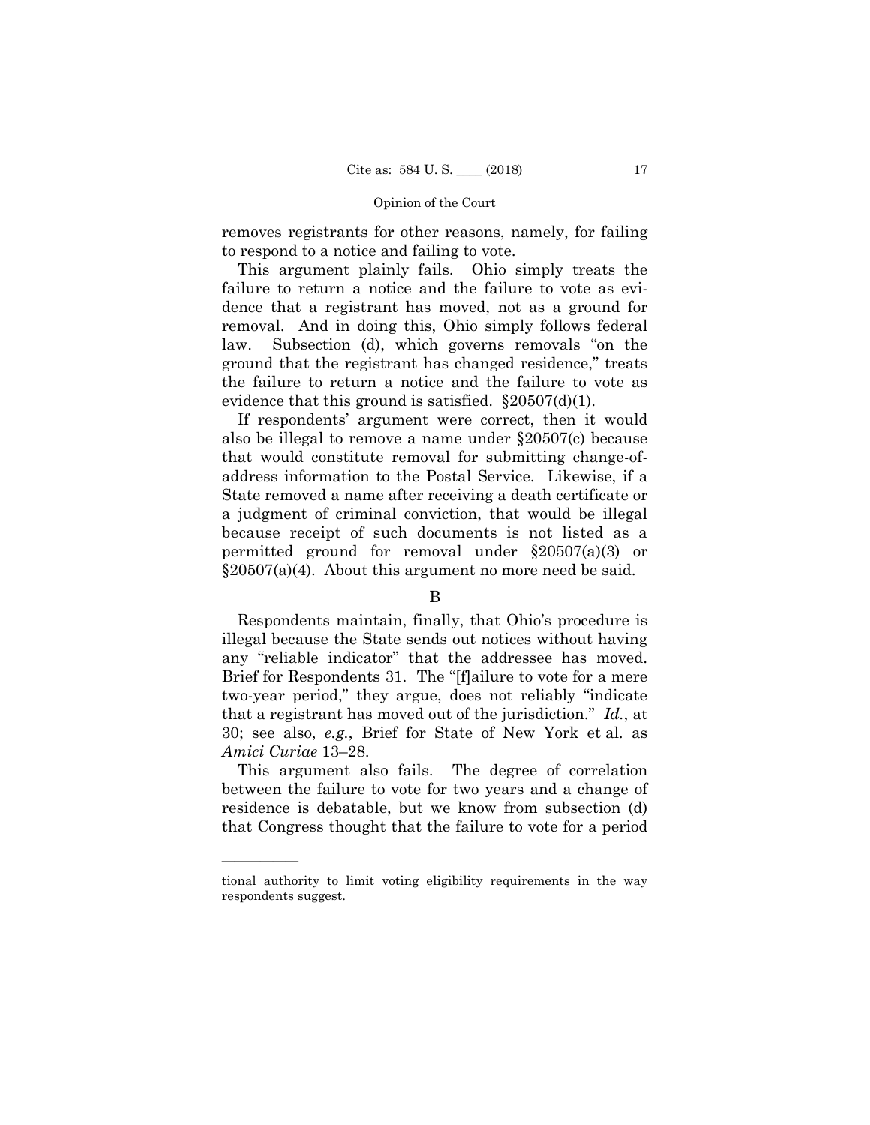removes registrants for other reasons, namely, for failing to respond to a notice and failing to vote.

This argument plainly fails. Ohio simply treats the failure to return a notice and the failure to vote as evidence that a registrant has moved, not as a ground for removal. And in doing this, Ohio simply follows federal law. Subsection (d), which governs removals "on the ground that the registrant has changed residence," treats the failure to return a notice and the failure to vote as evidence that this ground is satisfied.  $\S 20507(d)(1)$ .

If respondents' argument were correct, then it would also be illegal to remove a name under §20507(c) because that would constitute removal for submitting change-ofaddress information to the Postal Service. Likewise, if a State removed a name after receiving a death certificate or a judgment of criminal conviction, that would be illegal because receipt of such documents is not listed as a permitted ground for removal under §20507(a)(3) or  $\S 20507(a)(4)$ . About this argument no more need be said.

## B

 Respondents maintain, finally, that Ohio's procedure is illegal because the State sends out notices without having any "reliable indicator" that the addressee has moved. Brief for Respondents 31. The "[f]ailure to vote for a mere two-year period," they argue, does not reliably "indicate that a registrant has moved out of the jurisdiction." *Id.*, at 30; see also, *e.g.*, Brief for State of New York et al. as *Amici Curiae* 13–28.

This argument also fails. The degree of correlation between the failure to vote for two years and a change of residence is debatable, but we know from subsection (d) that Congress thought that the failure to vote for a period

tional authority to limit voting eligibility requirements in the way respondents suggest.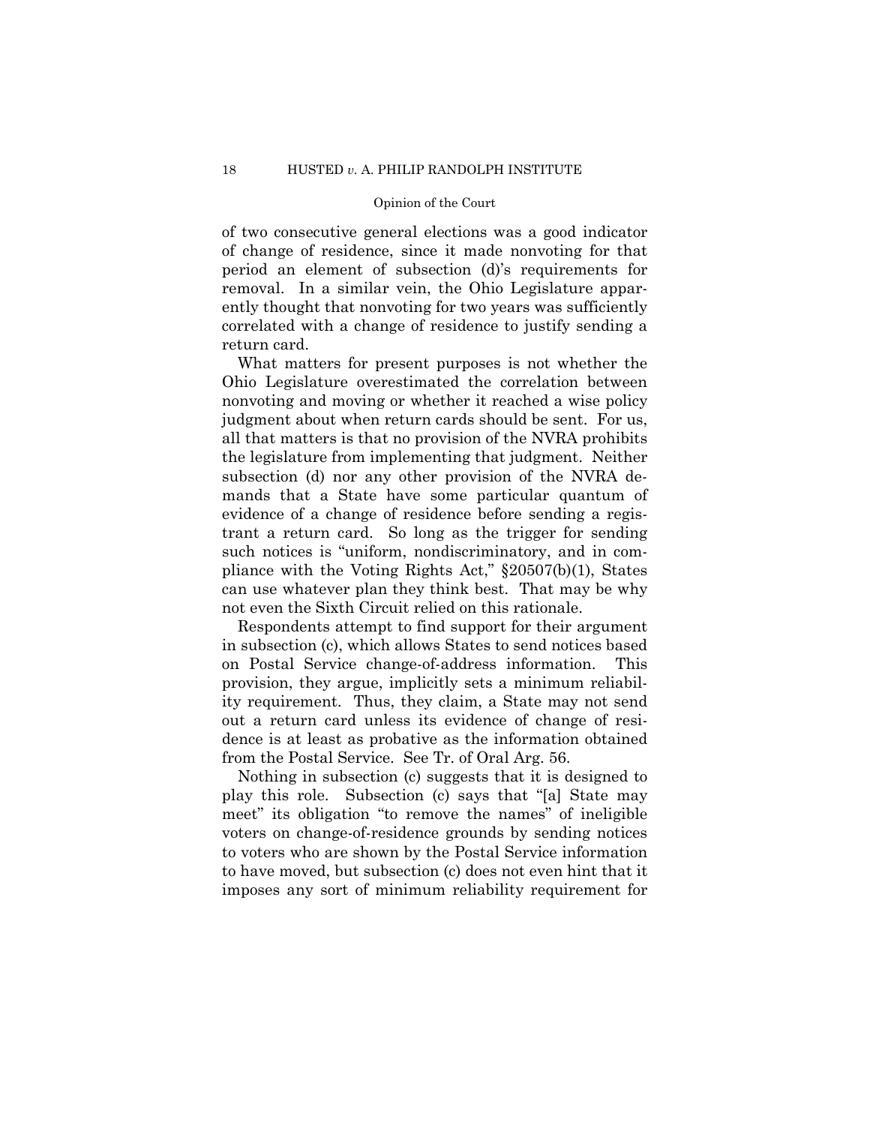of two consecutive general elections was a good indicator of change of residence, since it made nonvoting for that period an element of subsection (d)'s requirements for removal. In a similar vein, the Ohio Legislature apparently thought that nonvoting for two years was sufficiently correlated with a change of residence to justify sending a return card.

What matters for present purposes is not whether the Ohio Legislature overestimated the correlation between nonvoting and moving or whether it reached a wise policy judgment about when return cards should be sent. For us, all that matters is that no provision of the NVRA prohibits the legislature from implementing that judgment. Neither subsection (d) nor any other provision of the NVRA demands that a State have some particular quantum of evidence of a change of residence before sending a registrant a return card. So long as the trigger for sending such notices is "uniform, nondiscriminatory, and in compliance with the Voting Rights Act," §20507(b)(1), States can use whatever plan they think best. That may be why not even the Sixth Circuit relied on this rationale.

Respondents attempt to find support for their argument in subsection (c), which allows States to send notices based on Postal Service change-of-address information. This provision, they argue, implicitly sets a minimum reliability requirement. Thus, they claim, a State may not send out a return card unless its evidence of change of residence is at least as probative as the information obtained from the Postal Service. See Tr. of Oral Arg. 56.

 Nothing in subsection (c) suggests that it is designed to play this role. Subsection (c) says that "[a] State may meet" its obligation "to remove the names" of ineligible voters on change-of-residence grounds by sending notices to voters who are shown by the Postal Service information to have moved, but subsection (c) does not even hint that it imposes any sort of minimum reliability requirement for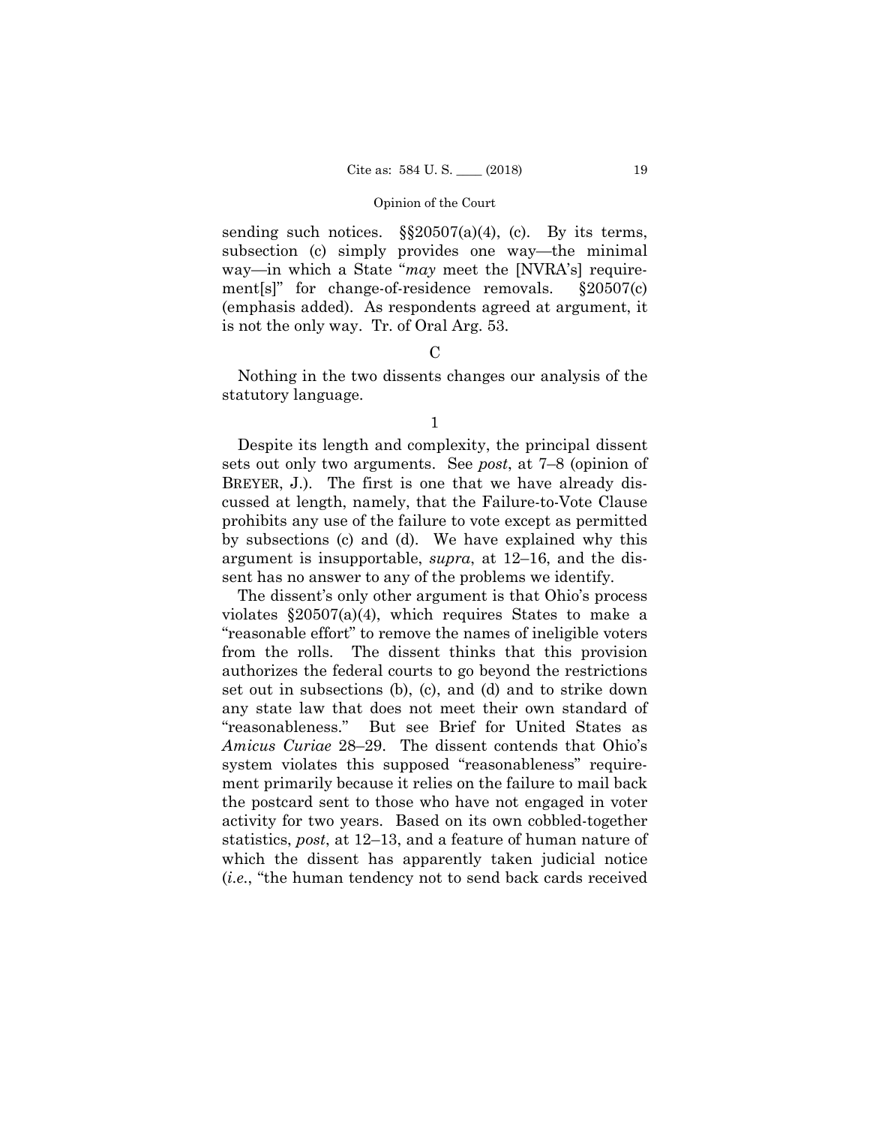sending such notices.  $\S$  $20507(a)(4)$ , (c). By its terms, subsection (c) simply provides one way—the minimal way—in which a State "*may* meet the [NVRA's] requirement[s]" for change-of-residence removals. §20507(c) (emphasis added). As respondents agreed at argument, it is not the only way. Tr. of Oral Arg. 53.

### $\mathcal{C}$

Nothing in the two dissents changes our analysis of the statutory language.

Despite its length and complexity, the principal dissent sets out only two arguments. See *post*, at 7–8 (opinion of BREYER, J.). The first is one that we have already discussed at length, namely, that the Failure-to-Vote Clause prohibits any use of the failure to vote except as permitted by subsections (c) and (d). We have explained why this argument is insupportable, *supra*, at 12–16, and the dissent has no answer to any of the problems we identify.

The dissent's only other argument is that Ohio's process violates §20507(a)(4), which requires States to make a "reasonable effort" to remove the names of ineligible voters from the rolls. The dissent thinks that this provision authorizes the federal courts to go beyond the restrictions set out in subsections (b), (c), and (d) and to strike down any state law that does not meet their own standard of "reasonableness." But see Brief for United States as *Amicus Curiae* 28–29. The dissent contends that Ohio's system violates this supposed "reasonableness" requirement primarily because it relies on the failure to mail back the postcard sent to those who have not engaged in voter activity for two years. Based on its own cobbled-together statistics, *post*, at 12–13, and a feature of human nature of which the dissent has apparently taken judicial notice (*i.e.*, "the human tendency not to send back cards received

<sup>1</sup>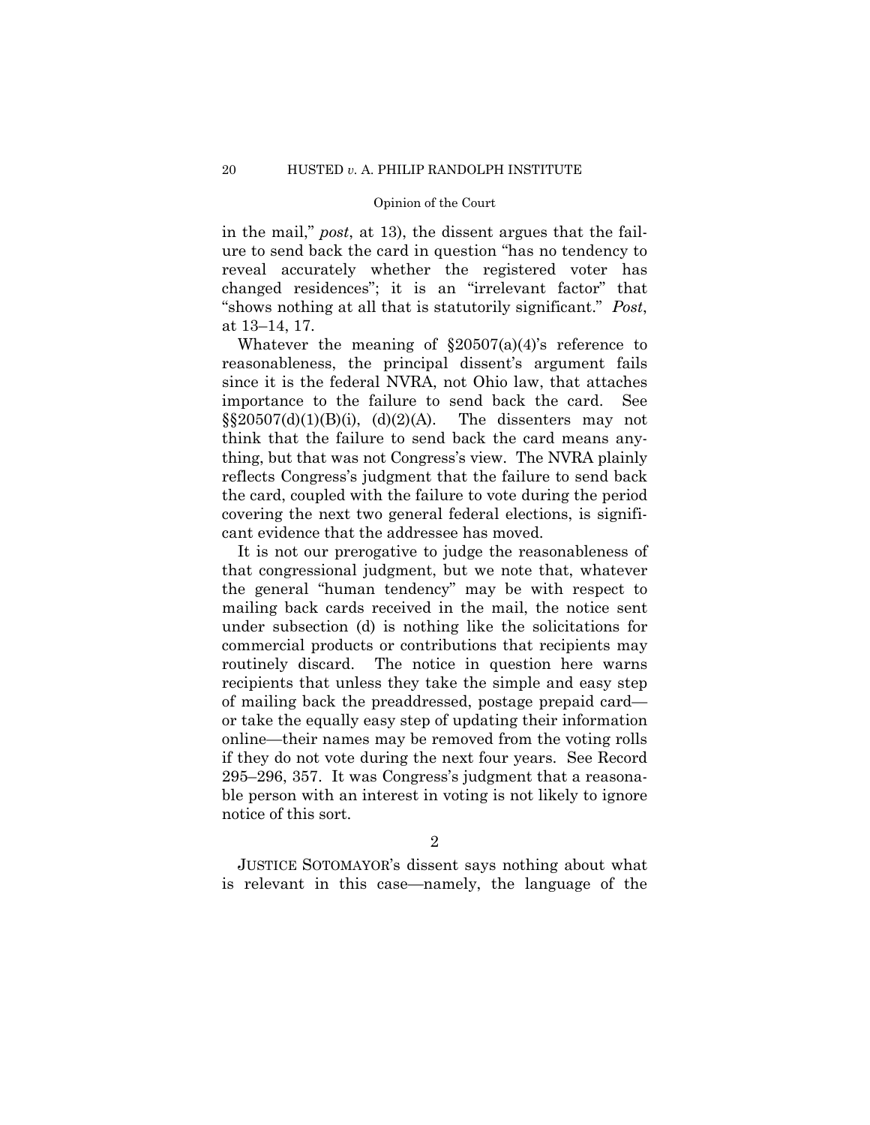in the mail," *post*, at 13), the dissent argues that the failure to send back the card in question "has no tendency to reveal accurately whether the registered voter has changed residences"; it is an "irrelevant factor" that "shows nothing at all that is statutorily significant." *Post*, at 13–14, 17.

Whatever the meaning of  $\S20507(a)(4)$ 's reference to reasonableness, the principal dissent's argument fails since it is the federal NVRA, not Ohio law, that attaches importance to the failure to send back the card. See  $\S$ §20507(d)(1)(B)(i), (d)(2)(A). The dissenters may not think that the failure to send back the card means anything, but that was not Congress's view. The NVRA plainly reflects Congress's judgment that the failure to send back the card, coupled with the failure to vote during the period covering the next two general federal elections, is significant evidence that the addressee has moved.

It is not our prerogative to judge the reasonableness of that congressional judgment, but we note that, whatever the general "human tendency" may be with respect to mailing back cards received in the mail, the notice sent under subsection (d) is nothing like the solicitations for commercial products or contributions that recipients may routinely discard. The notice in question here warns recipients that unless they take the simple and easy step of mailing back the preaddressed, postage prepaid card or take the equally easy step of updating their information online—their names may be removed from the voting rolls if they do not vote during the next four years. See Record 295–296, 357. It was Congress's judgment that a reasonable person with an interest in voting is not likely to ignore notice of this sort.

2

 JUSTICE SOTOMAYOR's dissent says nothing about what is relevant in this case—namely, the language of the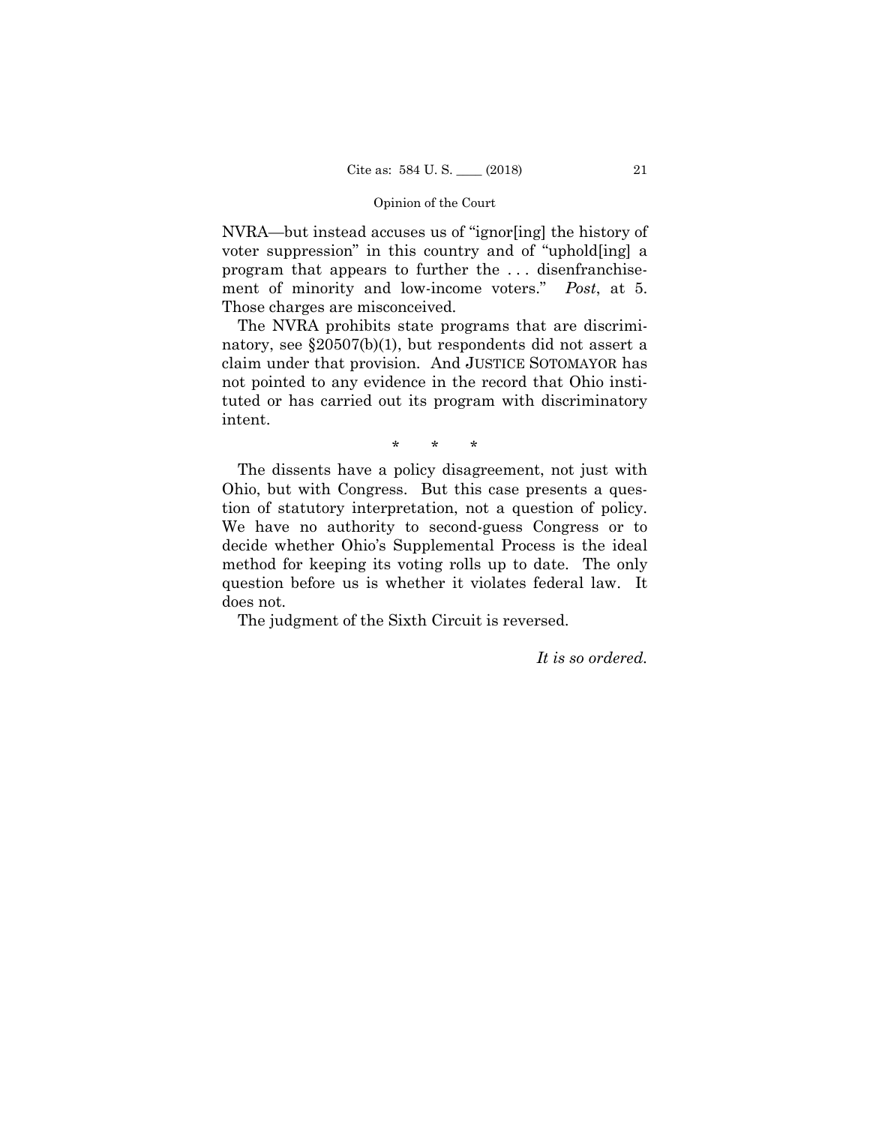NVRA—but instead accuses us of "ignor[ing] the history of voter suppression" in this country and of "uphold[ing] a program that appears to further the . . . disenfranchisement of minority and low-income voters." *Post*, at 5. Those charges are misconceived.

The NVRA prohibits state programs that are discriminatory, see §20507(b)(1), but respondents did not assert a claim under that provision. And JUSTICE SOTOMAYOR has not pointed to any evidence in the record that Ohio instituted or has carried out its program with discriminatory intent.

\* \* \*

The dissents have a policy disagreement, not just with Ohio, but with Congress. But this case presents a question of statutory interpretation, not a question of policy. We have no authority to second-guess Congress or to decide whether Ohio's Supplemental Process is the ideal method for keeping its voting rolls up to date. The only question before us is whether it violates federal law. It does not.

The judgment of the Sixth Circuit is reversed.

*It is so ordered.*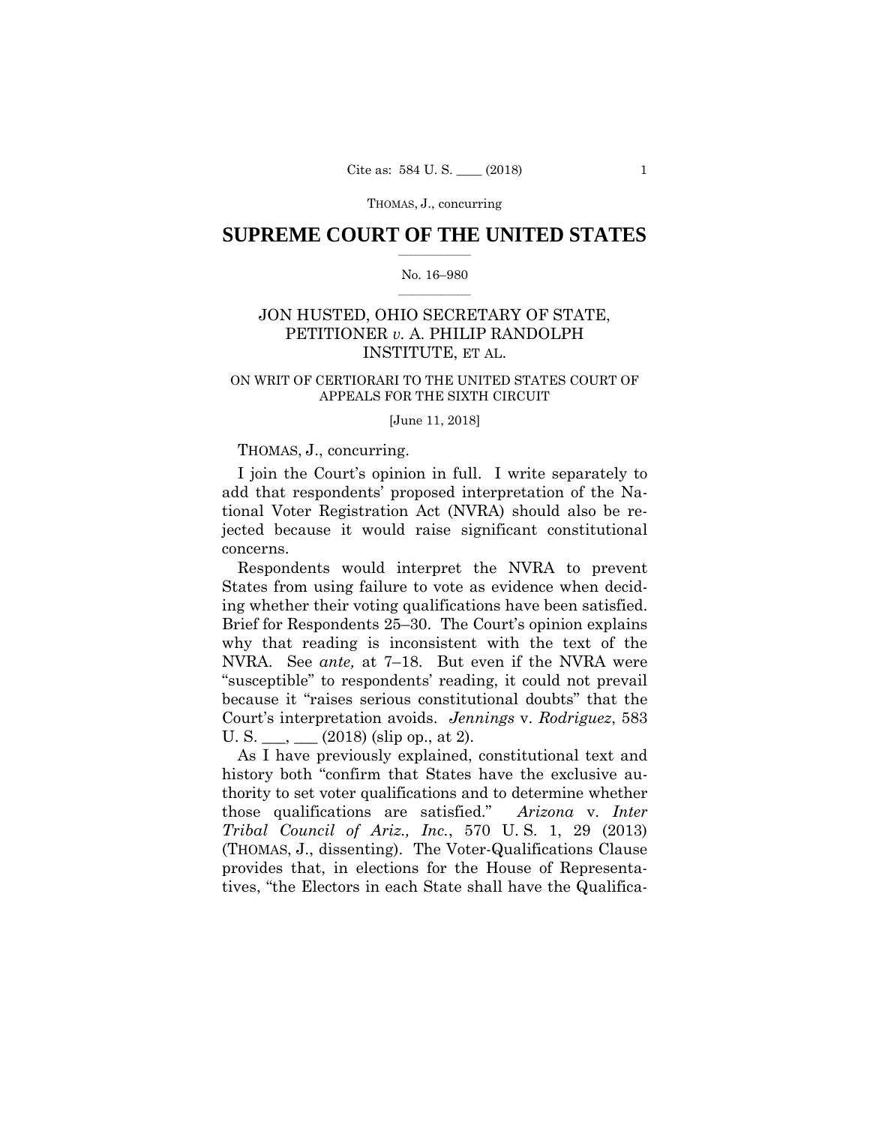THOMAS, J., concurring

## **SUPREME COURT OF THE UNITED STATES**  $\overline{\phantom{a}}$  , where  $\overline{\phantom{a}}$

#### No. 16–980  $\overline{\phantom{a}}$  , where  $\overline{\phantom{a}}$

## JON HUSTED, OHIO SECRETARY OF STATE, PETITIONER *v.* A. PHILIP RANDOLPH INSTITUTE, ET AL.

### ON WRIT OF CERTIORARI TO THE UNITED STATES COURT OF APPEALS FOR THE SIXTH CIRCUIT

#### [June 11, 2018]

## THOMAS, J., concurring.

I join the Court's opinion in full. I write separately to add that respondents' proposed interpretation of the National Voter Registration Act (NVRA) should also be rejected because it would raise significant constitutional concerns.

 Respondents would interpret the NVRA to prevent States from using failure to vote as evidence when deciding whether their voting qualifications have been satisfied. Brief for Respondents 25–30. The Court's opinion explains why that reading is inconsistent with the text of the NVRA. See *ante,* at 7–18. But even if the NVRA were "susceptible" to respondents' reading, it could not prevail because it "raises serious constitutional doubts" that the Court's interpretation avoids. *Jennings* v. *Rodriguez*, 583 U. S.  $\_\_$ ,  $\_\_$  (2018) (slip op., at 2).

As I have previously explained, constitutional text and history both "confirm that States have the exclusive authority to set voter qualifications and to determine whether those qualifications are satisfied." *Arizona* v. *Inter Tribal Council of Ariz., Inc.*, 570 U. S. 1, 29 (2013) (THOMAS, J., dissenting). The Voter-Qualifications Clause provides that, in elections for the House of Representatives, "the Electors in each State shall have the Qualifica-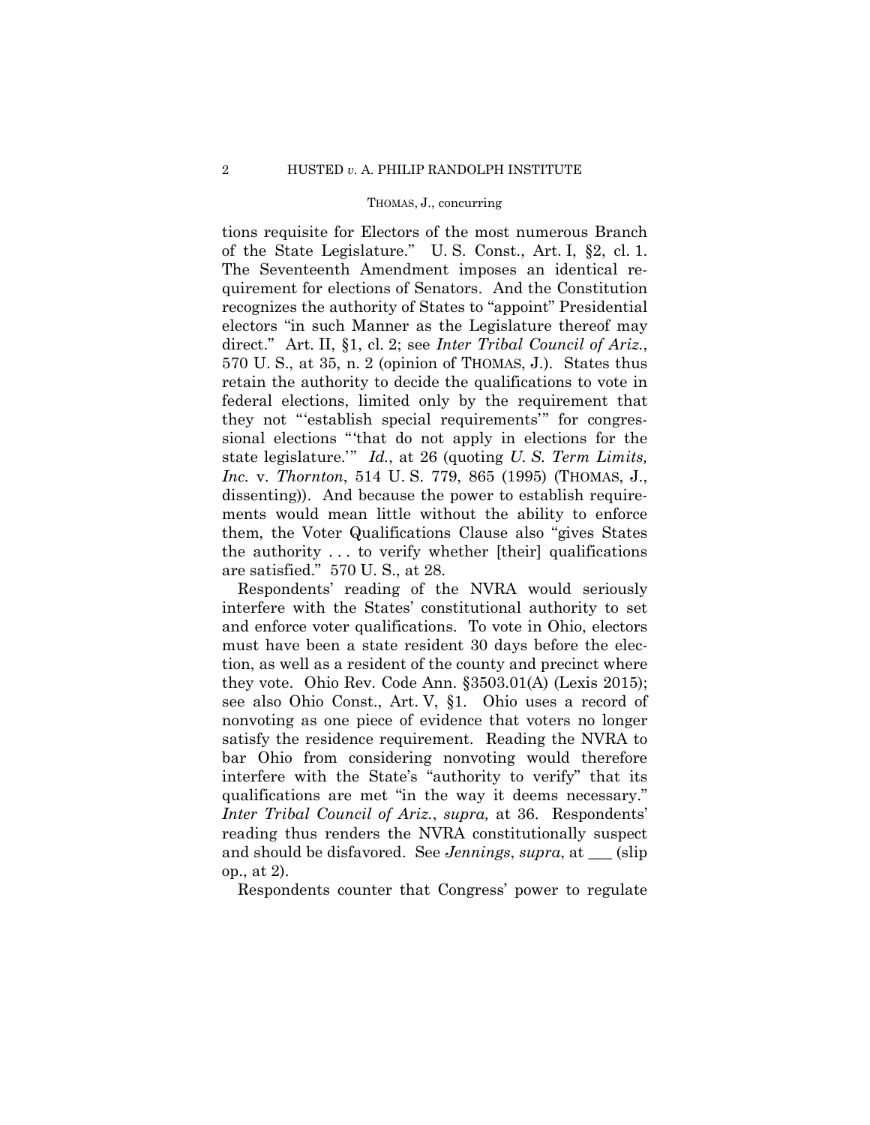#### THOMAS, J., concurring

tions requisite for Electors of the most numerous Branch of the State Legislature." U. S. Const., Art. I, §2, cl. 1. The Seventeenth Amendment imposes an identical requirement for elections of Senators. And the Constitution recognizes the authority of States to "appoint" Presidential electors "in such Manner as the Legislature thereof may direct." Art. II, §1, cl. 2; see *Inter Tribal Council of Ariz.*, 570 U. S., at 35, n. 2 (opinion of THOMAS, J.). States thus retain the authority to decide the qualifications to vote in federal elections, limited only by the requirement that they not "'establish special requirements'" for congressional elections "'that do not apply in elections for the state legislature.'" *Id.*, at 26 (quoting *U. S. Term Limits, Inc.* v. *Thornton*, 514 U. S. 779, 865 (1995) (THOMAS, J., dissenting)). And because the power to establish requirements would mean little without the ability to enforce them, the Voter Qualifications Clause also "gives States the authority . . . to verify whether [their] qualifications are satisfied." 570 U. S., at 28.

 Respondents' reading of the NVRA would seriously interfere with the States' constitutional authority to set and enforce voter qualifications. To vote in Ohio, electors must have been a state resident 30 days before the election, as well as a resident of the county and precinct where they vote. Ohio Rev. Code Ann. §3503.01(A) (Lexis 2015); see also Ohio Const., Art. V, §1. Ohio uses a record of nonvoting as one piece of evidence that voters no longer satisfy the residence requirement. Reading the NVRA to bar Ohio from considering nonvoting would therefore interfere with the State's "authority to verify" that its qualifications are met "in the way it deems necessary." *Inter Tribal Council of Ariz.*, *supra,* at 36. Respondents' reading thus renders the NVRA constitutionally suspect and should be disfavored. See *Jennings*, *supra*, at (slip) op., at 2).

Respondents counter that Congress' power to regulate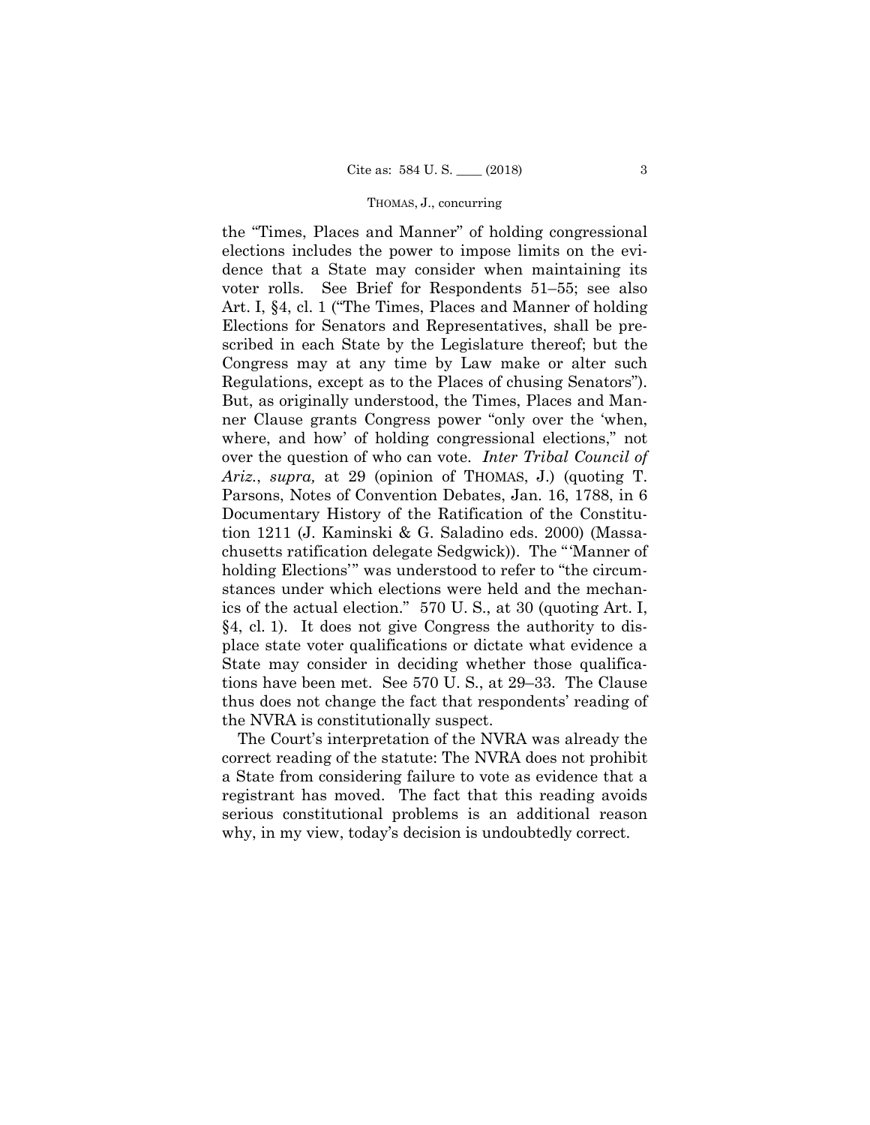#### THOMAS, J., concurring

the "Times, Places and Manner" of holding congressional elections includes the power to impose limits on the evidence that a State may consider when maintaining its voter rolls. See Brief for Respondents 51–55; see also Art. I, §4, cl. 1 ("The Times, Places and Manner of holding Elections for Senators and Representatives, shall be prescribed in each State by the Legislature thereof; but the Congress may at any time by Law make or alter such Regulations, except as to the Places of chusing Senators"). But, as originally understood, the Times, Places and Manner Clause grants Congress power "only over the 'when, where, and how' of holding congressional elections," not over the question of who can vote. *Inter Tribal Council of Ariz.*, *supra,* at 29 (opinion of THOMAS, J.) (quoting T. Parsons, Notes of Convention Debates, Jan. 16, 1788, in 6 Documentary History of the Ratification of the Constitution 1211 (J. Kaminski & G. Saladino eds. 2000) (Massachusetts ratification delegate Sedgwick)). The "'Manner of holding Elections'" was understood to refer to "the circumstances under which elections were held and the mechanics of the actual election." 570 U. S., at 30 (quoting Art. I, §4, cl. 1). It does not give Congress the authority to displace state voter qualifications or dictate what evidence a State may consider in deciding whether those qualifications have been met. See 570 U. S., at 29–33. The Clause thus does not change the fact that respondents' reading of the NVRA is constitutionally suspect.

The Court's interpretation of the NVRA was already the correct reading of the statute: The NVRA does not prohibit a State from considering failure to vote as evidence that a registrant has moved. The fact that this reading avoids serious constitutional problems is an additional reason why, in my view, today's decision is undoubtedly correct.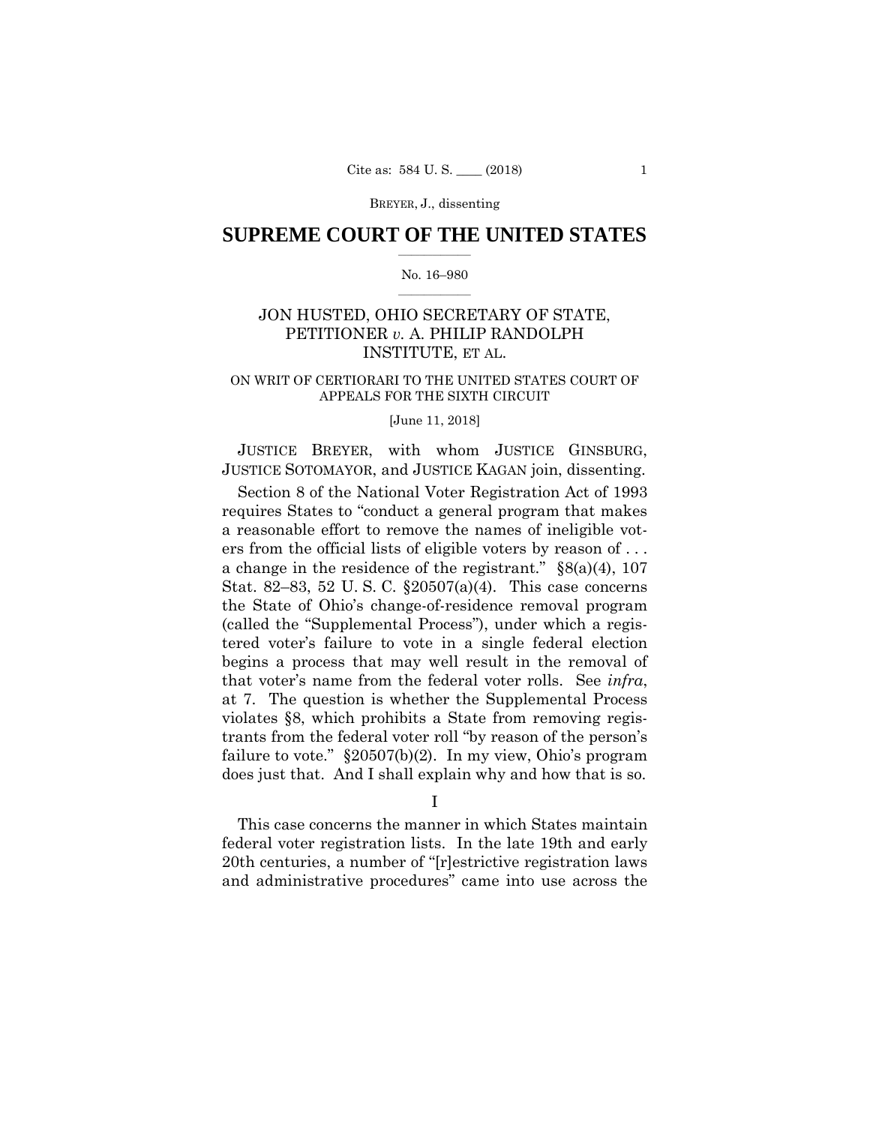## **SUPREME COURT OF THE UNITED STATES**  $\overline{\phantom{a}}$  , where  $\overline{\phantom{a}}$

#### No. 16–980  $\overline{\phantom{a}}$  , where  $\overline{\phantom{a}}$

## JON HUSTED, OHIO SECRETARY OF STATE, PETITIONER *v.* A. PHILIP RANDOLPH INSTITUTE, ET AL.

### ON WRIT OF CERTIORARI TO THE UNITED STATES COURT OF APPEALS FOR THE SIXTH CIRCUIT

### [June 11, 2018]

 JUSTICE BREYER, with whom JUSTICE GINSBURG, JUSTICE SOTOMAYOR, and JUSTICE KAGAN join, dissenting.

Section 8 of the National Voter Registration Act of 1993 requires States to "conduct a general program that makes a reasonable effort to remove the names of ineligible voters from the official lists of eligible voters by reason of . . . a change in the residence of the registrant."  $\S(8a)(4)$ , 107 Stat. 82–83, 52 U. S. C. §20507(a)(4). This case concerns the State of Ohio's change-of-residence removal program (called the "Supplemental Process"), under which a registered voter's failure to vote in a single federal election begins a process that may well result in the removal of that voter's name from the federal voter rolls. See *infra*, at 7. The question is whether the Supplemental Process violates §8, which prohibits a State from removing registrants from the federal voter roll "by reason of the person's failure to vote." §20507(b)(2). In my view, Ohio's program does just that. And I shall explain why and how that is so.

I

This case concerns the manner in which States maintain federal voter registration lists. In the late 19th and early 20th centuries, a number of "[r]estrictive registration laws and administrative procedures" came into use across the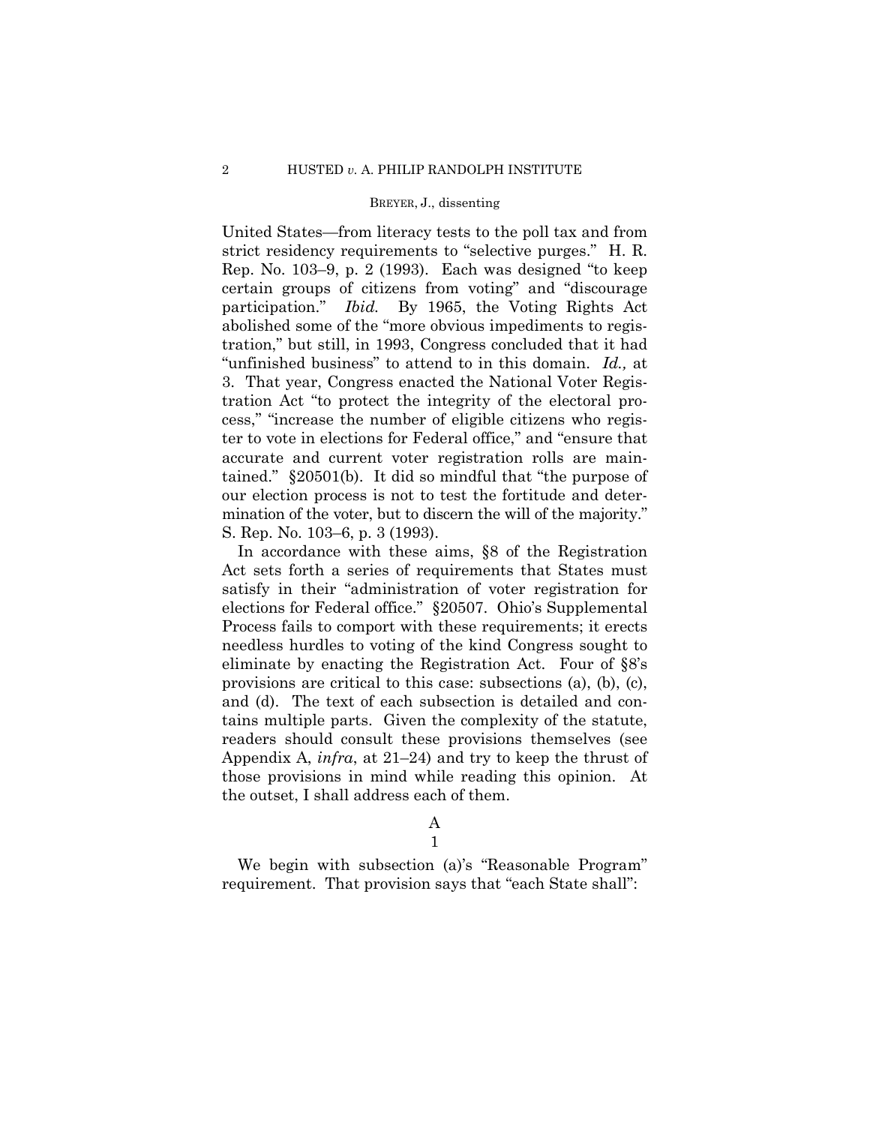United States—from literacy tests to the poll tax and from strict residency requirements to "selective purges." H. R. Rep. No. 103–9, p. 2 (1993). Each was designed "to keep certain groups of citizens from voting" and "discourage participation." *Ibid.* By 1965, the Voting Rights Act abolished some of the "more obvious impediments to registration," but still, in 1993, Congress concluded that it had "unfinished business" to attend to in this domain. *Id.,* at 3. That year, Congress enacted the National Voter Registration Act "to protect the integrity of the electoral process," "increase the number of eligible citizens who register to vote in elections for Federal office," and "ensure that accurate and current voter registration rolls are maintained." §20501(b). It did so mindful that "the purpose of our election process is not to test the fortitude and determination of the voter, but to discern the will of the majority." S. Rep. No. 103–6, p. 3 (1993).

In accordance with these aims, §8 of the Registration Act sets forth a series of requirements that States must satisfy in their "administration of voter registration for elections for Federal office." §20507. Ohio's Supplemental Process fails to comport with these requirements; it erects needless hurdles to voting of the kind Congress sought to eliminate by enacting the Registration Act. Four of §8's provisions are critical to this case: subsections (a), (b), (c), and (d). The text of each subsection is detailed and contains multiple parts. Given the complexity of the statute, readers should consult these provisions themselves (see Appendix A, *infra*, at 21–24) and try to keep the thrust of those provisions in mind while reading this opinion. At the outset, I shall address each of them.

# A

1

We begin with subsection (a)'s "Reasonable Program" requirement. That provision says that "each State shall":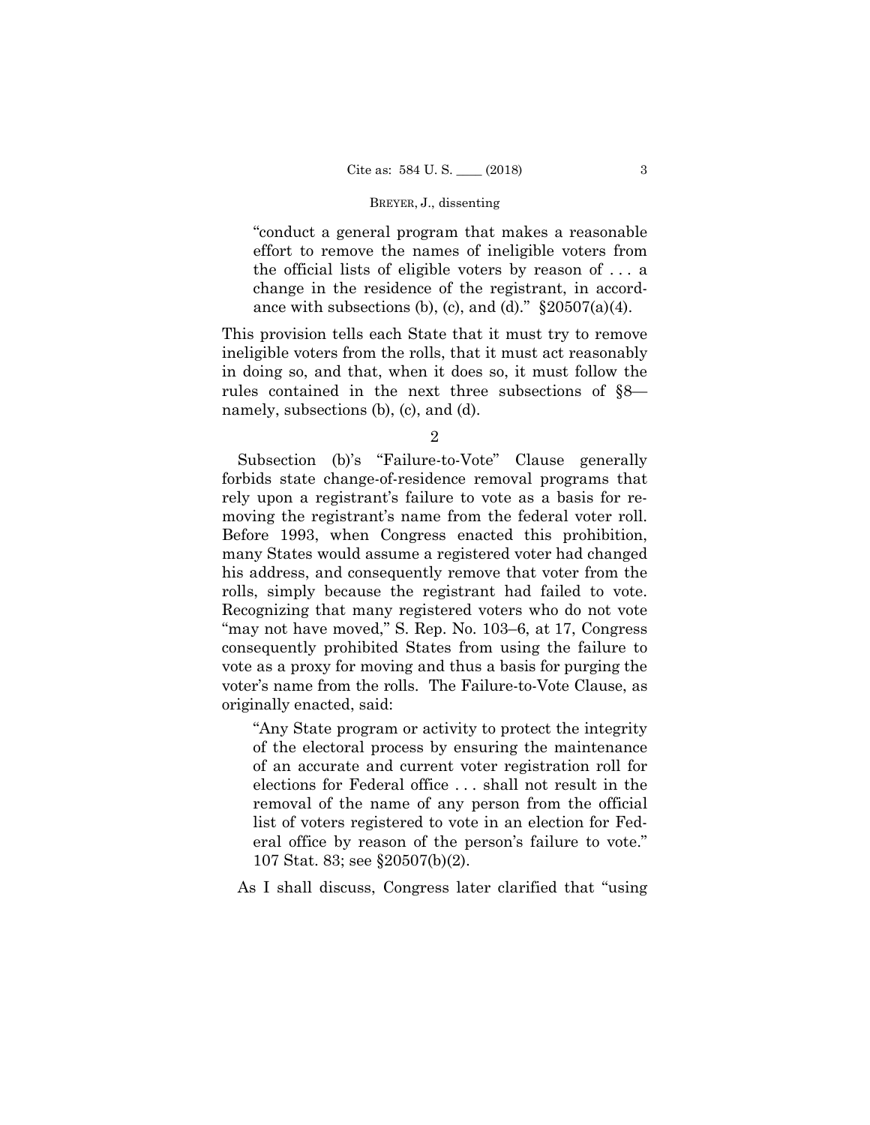"conduct a general program that makes a reasonable effort to remove the names of ineligible voters from the official lists of eligible voters by reason of . . . a change in the residence of the registrant, in accordance with subsections (b), (c), and (d)."  $\S 20507(a)(4)$ .

This provision tells each State that it must try to remove ineligible voters from the rolls, that it must act reasonably in doing so, and that, when it does so, it must follow the rules contained in the next three subsections of §8 namely, subsections (b), (c), and (d).

Subsection (b)'s "Failure-to-Vote" Clause generally forbids state change-of-residence removal programs that rely upon a registrant's failure to vote as a basis for removing the registrant's name from the federal voter roll. Before 1993, when Congress enacted this prohibition, many States would assume a registered voter had changed his address, and consequently remove that voter from the rolls, simply because the registrant had failed to vote. Recognizing that many registered voters who do not vote "may not have moved," S. Rep. No. 103–6, at 17, Congress consequently prohibited States from using the failure to vote as a proxy for moving and thus a basis for purging the voter's name from the rolls. The Failure-to-Vote Clause, as originally enacted, said:

"Any State program or activity to protect the integrity of the electoral process by ensuring the maintenance of an accurate and current voter registration roll for elections for Federal office . . . shall not result in the removal of the name of any person from the official list of voters registered to vote in an election for Federal office by reason of the person's failure to vote." 107 Stat. 83; see §20507(b)(2).

As I shall discuss, Congress later clarified that "using

<sup>2</sup>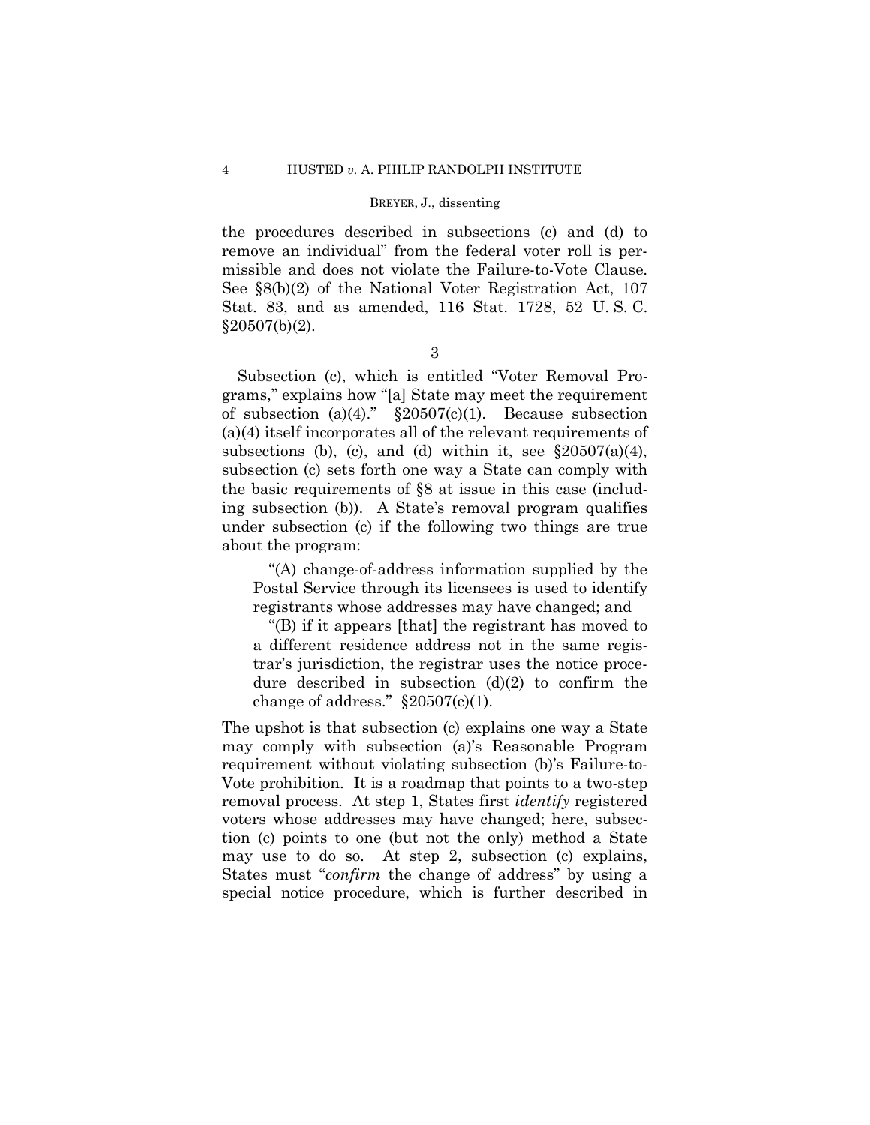the procedures described in subsections (c) and (d) to remove an individual" from the federal voter roll is permissible and does not violate the Failure-to-Vote Clause. See §8(b)(2) of the National Voter Registration Act, 107 Stat. 83, and as amended, 116 Stat. 1728, 52 U. S. C.  $§20507(b)(2).$ 

3

Subsection (c), which is entitled "Voter Removal Programs," explains how "[a] State may meet the requirement of subsection (a)(4)."  $\S 20507(c)(1)$ . Because subsection (a)(4) itself incorporates all of the relevant requirements of subsections (b), (c), and (d) within it, see  $\S 20507(a)(4)$ , subsection (c) sets forth one way a State can comply with the basic requirements of §8 at issue in this case (including subsection (b)). A State's removal program qualifies under subsection (c) if the following two things are true about the program:

"(A) change-of-address information supplied by the Postal Service through its licensees is used to identify registrants whose addresses may have changed; and

 "(B) if it appears [that] the registrant has moved to a different residence address not in the same registrar's jurisdiction, the registrar uses the notice procedure described in subsection  $(d)(2)$  to confirm the change of address."  $\S 20507(c)(1)$ .

The upshot is that subsection (c) explains one way a State may comply with subsection (a)'s Reasonable Program requirement without violating subsection (b)'s Failure-to-Vote prohibition. It is a roadmap that points to a two-step removal process. At step 1, States first *identify* registered voters whose addresses may have changed; here, subsection (c) points to one (but not the only) method a State may use to do so. At step 2, subsection (c) explains, States must "*confirm* the change of address" by using a special notice procedure, which is further described in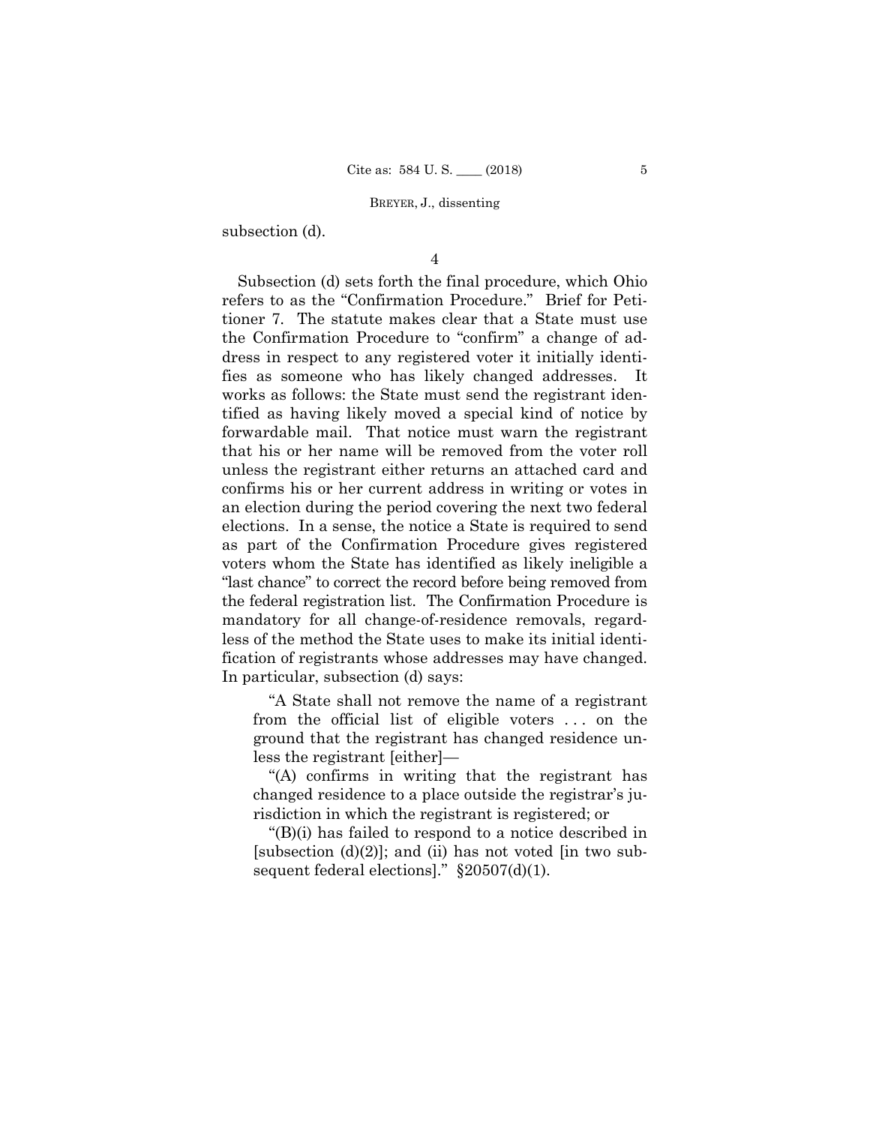subsection (d).

4

Subsection (d) sets forth the final procedure, which Ohio refers to as the "Confirmation Procedure." Brief for Petitioner 7. The statute makes clear that a State must use the Confirmation Procedure to "confirm" a change of address in respect to any registered voter it initially identifies as someone who has likely changed addresses. It works as follows: the State must send the registrant identified as having likely moved a special kind of notice by forwardable mail. That notice must warn the registrant that his or her name will be removed from the voter roll unless the registrant either returns an attached card and confirms his or her current address in writing or votes in an election during the period covering the next two federal elections. In a sense, the notice a State is required to send as part of the Confirmation Procedure gives registered voters whom the State has identified as likely ineligible a "last chance" to correct the record before being removed from the federal registration list. The Confirmation Procedure is mandatory for all change-of-residence removals, regardless of the method the State uses to make its initial identification of registrants whose addresses may have changed. In particular, subsection (d) says:

"A State shall not remove the name of a registrant from the official list of eligible voters . . . on the ground that the registrant has changed residence unless the registrant [either]—

"(A) confirms in writing that the registrant has changed residence to a place outside the registrar's jurisdiction in which the registrant is registered; or

"(B)(i) has failed to respond to a notice described in [subsection  $(d)(2)$ ]; and (ii) has not voted [in two subsequent federal elections]." §20507(d)(1).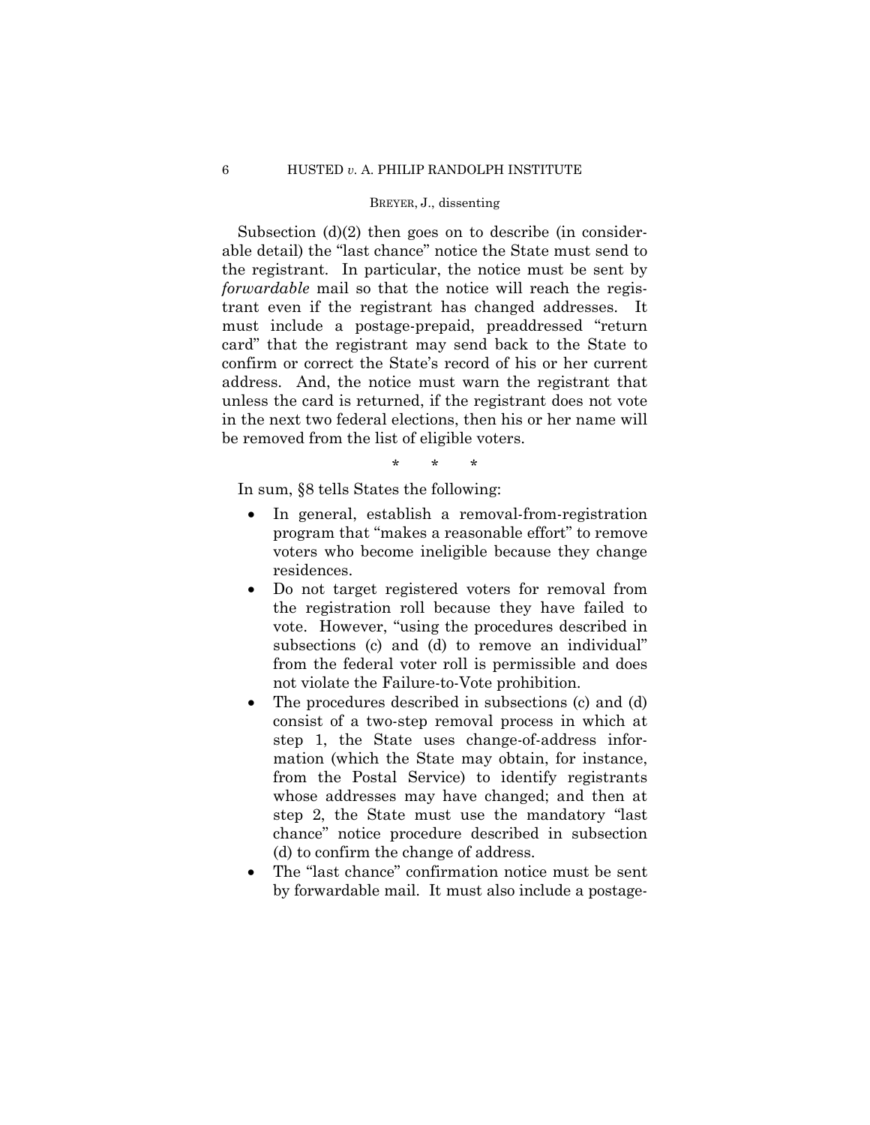Subsection (d)(2) then goes on to describe (in considerable detail) the "last chance" notice the State must send to the registrant. In particular, the notice must be sent by *forwardable* mail so that the notice will reach the registrant even if the registrant has changed addresses. It must include a postage-prepaid, preaddressed "return card" that the registrant may send back to the State to confirm or correct the State's record of his or her current address. And, the notice must warn the registrant that unless the card is returned, if the registrant does not vote in the next two federal elections, then his or her name will be removed from the list of eligible voters.

\* \* \*

In sum, §8 tells States the following:

- In general, establish a removal-from-registration program that "makes a reasonable effort" to remove voters who become ineligible because they change residences.
- Do not target registered voters for removal from the registration roll because they have failed to vote. However, "using the procedures described in subsections (c) and (d) to remove an individual" from the federal voter roll is permissible and does not violate the Failure-to-Vote prohibition.
- The procedures described in subsections (c) and (d) consist of a two-step removal process in which at step 1, the State uses change-of-address information (which the State may obtain, for instance, from the Postal Service) to identify registrants whose addresses may have changed; and then at step 2, the State must use the mandatory "last chance" notice procedure described in subsection (d) to confirm the change of address.
- The "last chance" confirmation notice must be sent by forwardable mail. It must also include a postage-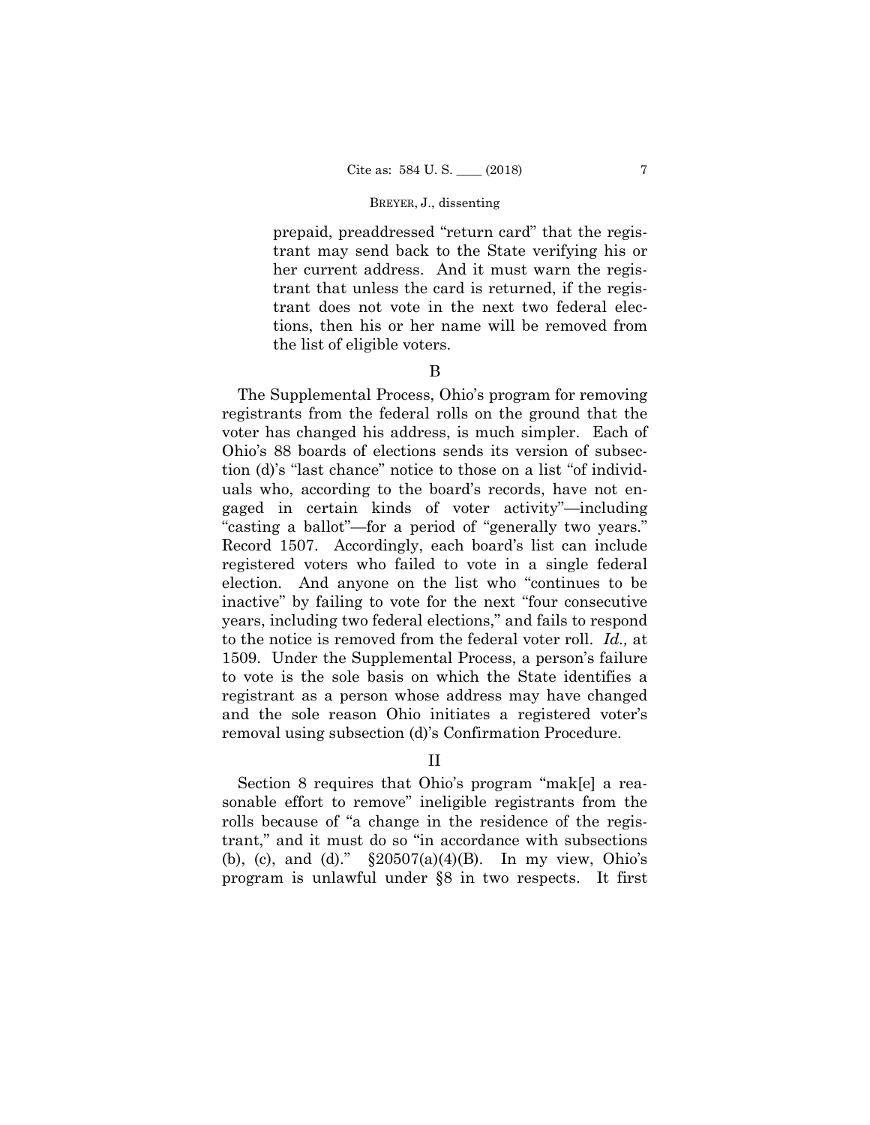prepaid, preaddressed "return card" that the registrant may send back to the State verifying his or her current address. And it must warn the registrant that unless the card is returned, if the registrant does not vote in the next two federal elections, then his or her name will be removed from the list of eligible voters.

### B

The Supplemental Process, Ohio's program for removing registrants from the federal rolls on the ground that the voter has changed his address, is much simpler. Each of Ohio's 88 boards of elections sends its version of subsection (d)'s "last chance" notice to those on a list "of individuals who, according to the board's records, have not engaged in certain kinds of voter activity"—including "casting a ballot"—for a period of "generally two years." Record 1507. Accordingly, each board's list can include registered voters who failed to vote in a single federal election. And anyone on the list who "continues to be inactive" by failing to vote for the next "four consecutive years, including two federal elections," and fails to respond to the notice is removed from the federal voter roll. *Id.,* at 1509. Under the Supplemental Process, a person's failure to vote is the sole basis on which the State identifies a registrant as a person whose address may have changed and the sole reason Ohio initiates a registered voter's removal using subsection (d)'s Confirmation Procedure.

## II

Section 8 requires that Ohio's program "mak[e] a reasonable effort to remove" ineligible registrants from the rolls because of "a change in the residence of the registrant," and it must do so "in accordance with subsections (b), (c), and (d)."  $\S 20507(a)(4)(B)$ . In my view, Ohio's program is unlawful under §8 in two respects. It first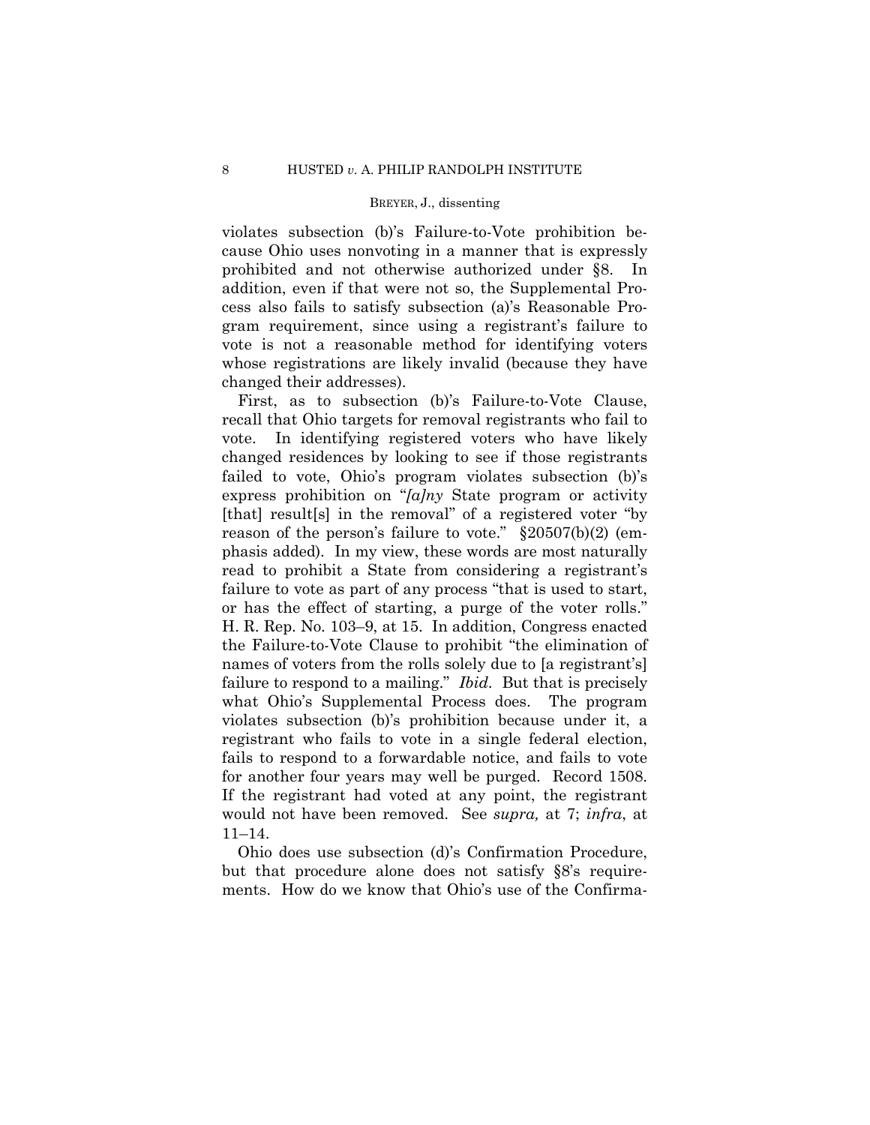violates subsection (b)'s Failure-to-Vote prohibition because Ohio uses nonvoting in a manner that is expressly prohibited and not otherwise authorized under §8. In addition, even if that were not so, the Supplemental Process also fails to satisfy subsection (a)'s Reasonable Program requirement, since using a registrant's failure to vote is not a reasonable method for identifying voters whose registrations are likely invalid (because they have changed their addresses).

First, as to subsection (b)'s Failure-to-Vote Clause, recall that Ohio targets for removal registrants who fail to vote. In identifying registered voters who have likely changed residences by looking to see if those registrants failed to vote, Ohio's program violates subsection (b)'s express prohibition on "*[a]ny* State program or activity [that] result[s] in the removal" of a registered voter "by reason of the person's failure to vote."  $\S 20507(b)(2)$  (emphasis added). In my view, these words are most naturally read to prohibit a State from considering a registrant's failure to vote as part of any process "that is used to start, or has the effect of starting, a purge of the voter rolls." H. R. Rep. No. 103–9, at 15. In addition, Congress enacted the Failure-to-Vote Clause to prohibit "the elimination of names of voters from the rolls solely due to [a registrant's] failure to respond to a mailing." *Ibid*. But that is precisely what Ohio's Supplemental Process does. The program violates subsection (b)'s prohibition because under it, a registrant who fails to vote in a single federal election, fails to respond to a forwardable notice, and fails to vote for another four years may well be purged. Record 1508. If the registrant had voted at any point, the registrant would not have been removed. See *supra,* at 7; *infra*, at 11–14.

Ohio does use subsection (d)'s Confirmation Procedure, but that procedure alone does not satisfy §8's requirements. How do we know that Ohio's use of the Confirma-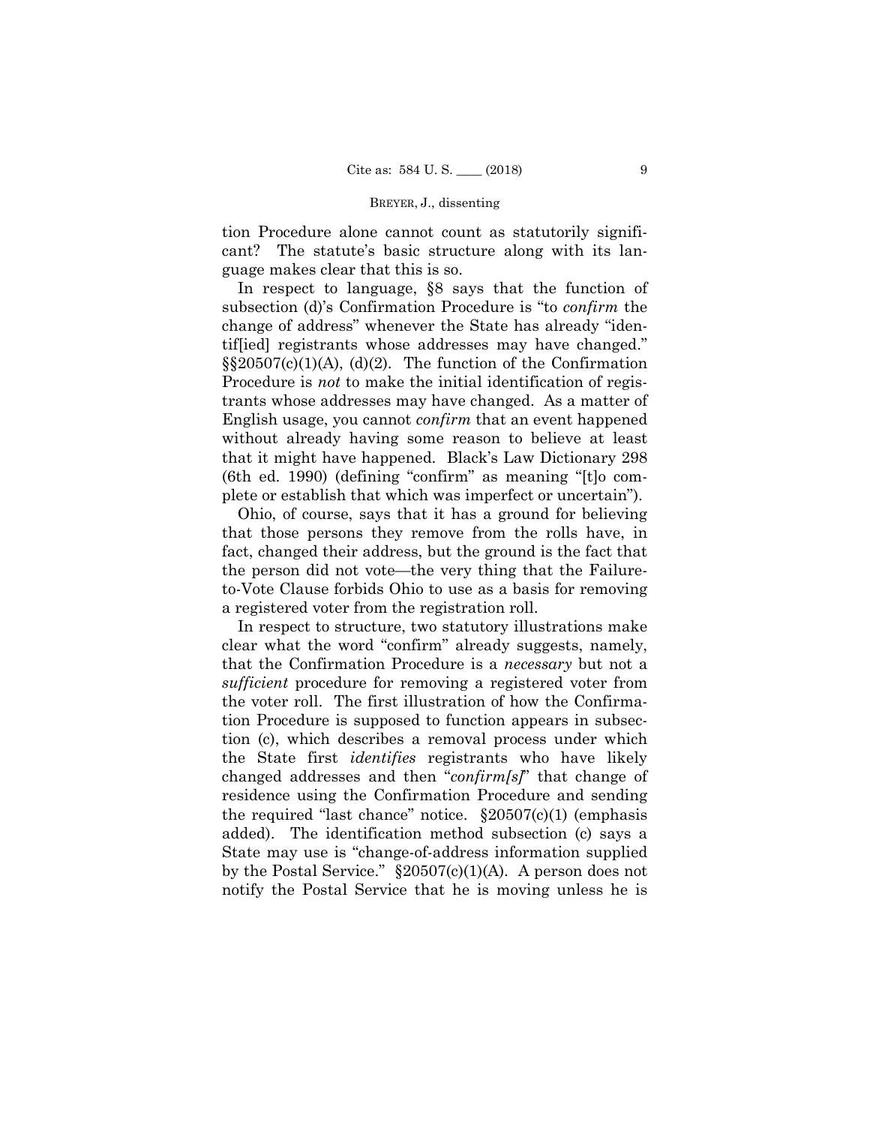tion Procedure alone cannot count as statutorily significant? The statute's basic structure along with its language makes clear that this is so.

In respect to language, §8 says that the function of subsection (d)'s Confirmation Procedure is "to *confirm* the change of address" whenever the State has already "identif[ied] registrants whose addresses may have changed."  $\S$ \$20507(c)(1)(A), (d)(2). The function of the Confirmation Procedure is *not* to make the initial identification of registrants whose addresses may have changed. As a matter of English usage, you cannot *confirm* that an event happened without already having some reason to believe at least that it might have happened. Black's Law Dictionary 298 (6th ed. 1990) (defining "confirm" as meaning "[t]o complete or establish that which was imperfect or uncertain").

Ohio, of course, says that it has a ground for believing that those persons they remove from the rolls have, in fact, changed their address, but the ground is the fact that the person did not vote—the very thing that the Failureto-Vote Clause forbids Ohio to use as a basis for removing a registered voter from the registration roll.

In respect to structure, two statutory illustrations make clear what the word "confirm" already suggests, namely, that the Confirmation Procedure is a *necessary* but not a *sufficient* procedure for removing a registered voter from the voter roll. The first illustration of how the Confirmation Procedure is supposed to function appears in subsection (c), which describes a removal process under which the State first *identifies* registrants who have likely changed addresses and then "*confirm[s]*" that change of residence using the Confirmation Procedure and sending the required "last chance" notice.  $\S 20507(c)(1)$  (emphasis added). The identification method subsection (c) says a State may use is "change-of-address information supplied by the Postal Service." §20507(c)(1)(A). A person does not notify the Postal Service that he is moving unless he is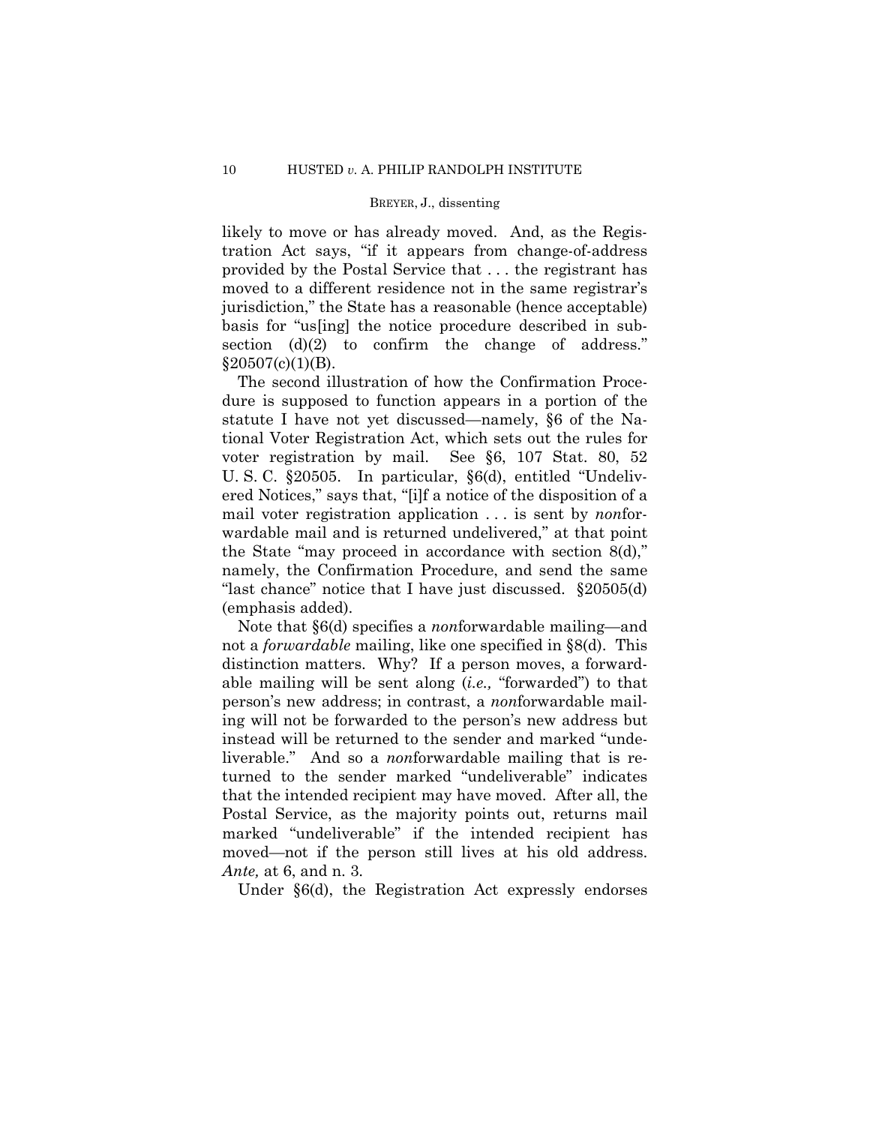likely to move or has already moved. And, as the Registration Act says, "if it appears from change-of-address provided by the Postal Service that . . . the registrant has moved to a different residence not in the same registrar's jurisdiction," the State has a reasonable (hence acceptable) basis for "us[ing] the notice procedure described in subsection  $(d)(2)$  to confirm the change of address."  $§20507(c)(1)(B).$ 

The second illustration of how the Confirmation Procedure is supposed to function appears in a portion of the statute I have not yet discussed—namely, §6 of the National Voter Registration Act, which sets out the rules for voter registration by mail. See §6, 107 Stat. 80, 52 U. S. C. §20505. In particular, §6(d), entitled "Undelivered Notices," says that, "[i]f a notice of the disposition of a mail voter registration application . . . is sent by *non*forwardable mail and is returned undelivered," at that point the State "may proceed in accordance with section 8(d)," namely, the Confirmation Procedure, and send the same "last chance" notice that I have just discussed. §20505(d) (emphasis added).

Note that §6(d) specifies a *non*forwardable mailing—and not a *forwardable* mailing, like one specified in §8(d). This distinction matters. Why? If a person moves, a forwardable mailing will be sent along (*i.e.,* "forwarded") to that person's new address; in contrast, a *non*forwardable mailing will not be forwarded to the person's new address but instead will be returned to the sender and marked "undeliverable." And so a *non*forwardable mailing that is returned to the sender marked "undeliverable" indicates that the intended recipient may have moved. After all, the Postal Service, as the majority points out, returns mail marked "undeliverable" if the intended recipient has moved—not if the person still lives at his old address. *Ante,* at 6, and n. 3.

Under §6(d), the Registration Act expressly endorses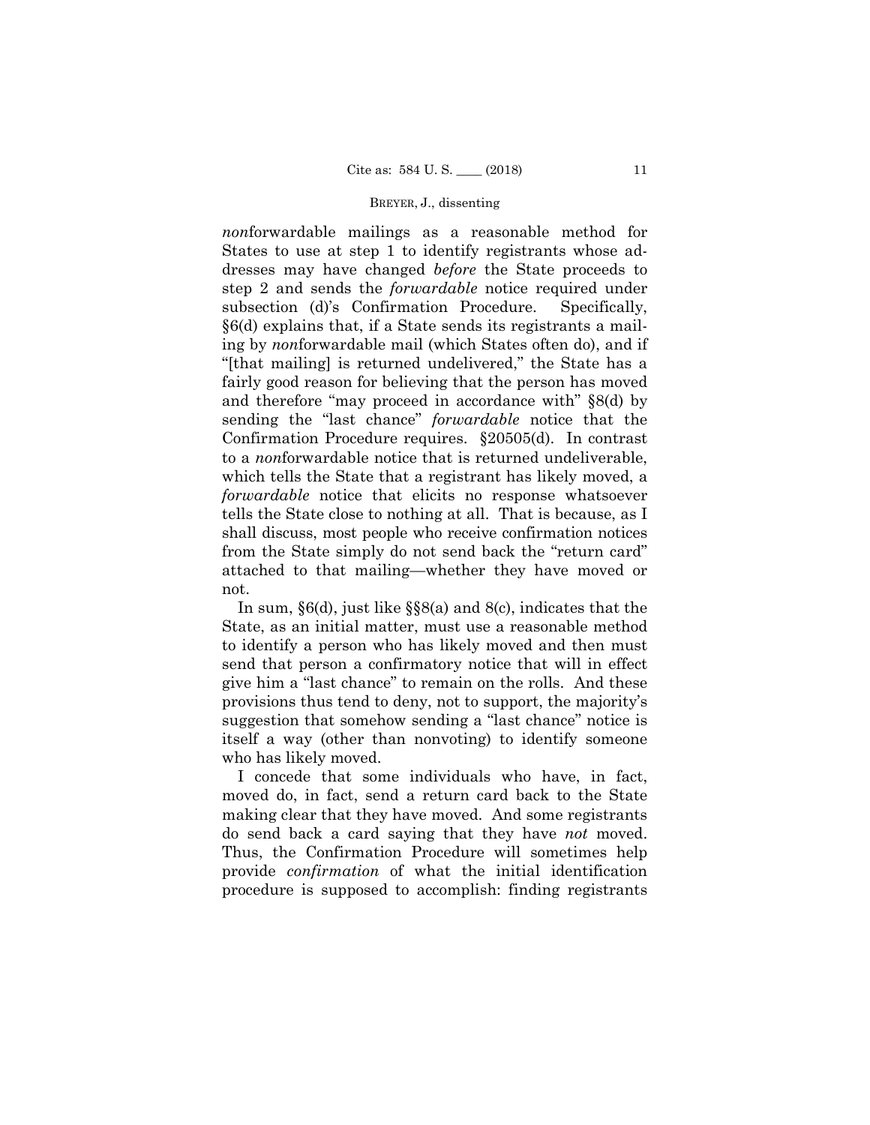*non*forwardable mailings as a reasonable method for States to use at step 1 to identify registrants whose addresses may have changed *before* the State proceeds to step 2 and sends the *forwardable* notice required under subsection (d)'s Confirmation Procedure. Specifically, §6(d) explains that, if a State sends its registrants a mailing by *non*forwardable mail (which States often do), and if "[that mailing] is returned undelivered," the State has a fairly good reason for believing that the person has moved and therefore "may proceed in accordance with" §8(d) by sending the "last chance" *forwardable* notice that the Confirmation Procedure requires. §20505(d). In contrast to a *non*forwardable notice that is returned undeliverable, which tells the State that a registrant has likely moved, a *forwardable* notice that elicits no response whatsoever tells the State close to nothing at all. That is because, as I shall discuss, most people who receive confirmation notices from the State simply do not send back the "return card" attached to that mailing—whether they have moved or not.

In sum, §6(d), just like §§8(a) and 8(c), indicates that the State, as an initial matter, must use a reasonable method to identify a person who has likely moved and then must send that person a confirmatory notice that will in effect give him a "last chance" to remain on the rolls. And these provisions thus tend to deny, not to support, the majority's suggestion that somehow sending a "last chance" notice is itself a way (other than nonvoting) to identify someone who has likely moved.

I concede that some individuals who have, in fact, moved do, in fact, send a return card back to the State making clear that they have moved. And some registrants do send back a card saying that they have *not* moved. Thus, the Confirmation Procedure will sometimes help provide *confirmation* of what the initial identification procedure is supposed to accomplish: finding registrants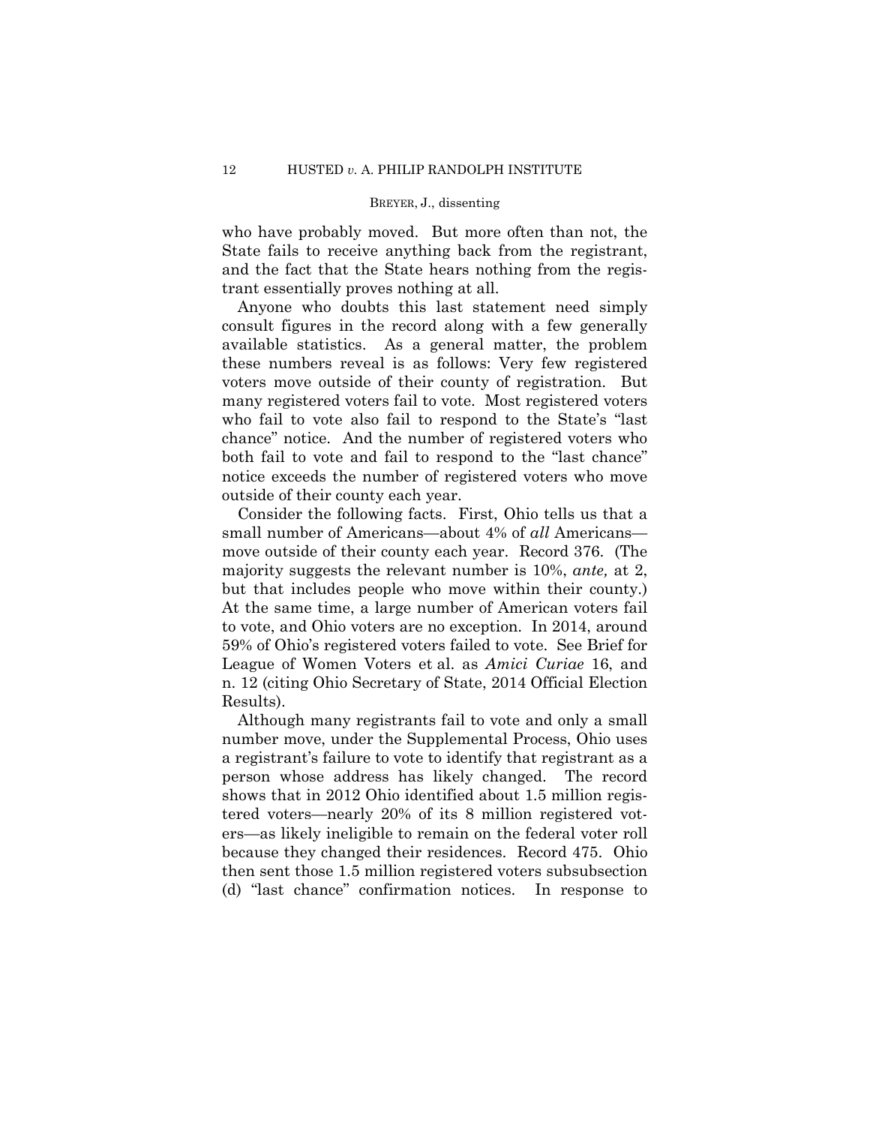who have probably moved. But more often than not, the State fails to receive anything back from the registrant, and the fact that the State hears nothing from the registrant essentially proves nothing at all.

Anyone who doubts this last statement need simply consult figures in the record along with a few generally available statistics. As a general matter, the problem these numbers reveal is as follows: Very few registered voters move outside of their county of registration. But many registered voters fail to vote. Most registered voters who fail to vote also fail to respond to the State's "last chance" notice. And the number of registered voters who both fail to vote and fail to respond to the "last chance" notice exceeds the number of registered voters who move outside of their county each year.

Consider the following facts. First, Ohio tells us that a small number of Americans—about 4% of *all* Americans move outside of their county each year. Record 376. (The majority suggests the relevant number is 10%, *ante,* at 2, but that includes people who move within their county.) At the same time, a large number of American voters fail to vote, and Ohio voters are no exception. In 2014, around 59% of Ohio's registered voters failed to vote. See Brief for League of Women Voters et al. as *Amici Curiae* 16, and n. 12 (citing Ohio Secretary of State, 2014 Official Election Results).

Although many registrants fail to vote and only a small number move, under the Supplemental Process, Ohio uses a registrant's failure to vote to identify that registrant as a person whose address has likely changed. The record shows that in 2012 Ohio identified about 1.5 million registered voters—nearly 20% of its 8 million registered voters—as likely ineligible to remain on the federal voter roll because they changed their residences. Record 475. Ohio then sent those 1.5 million registered voters subsubsection (d) "last chance" confirmation notices. In response to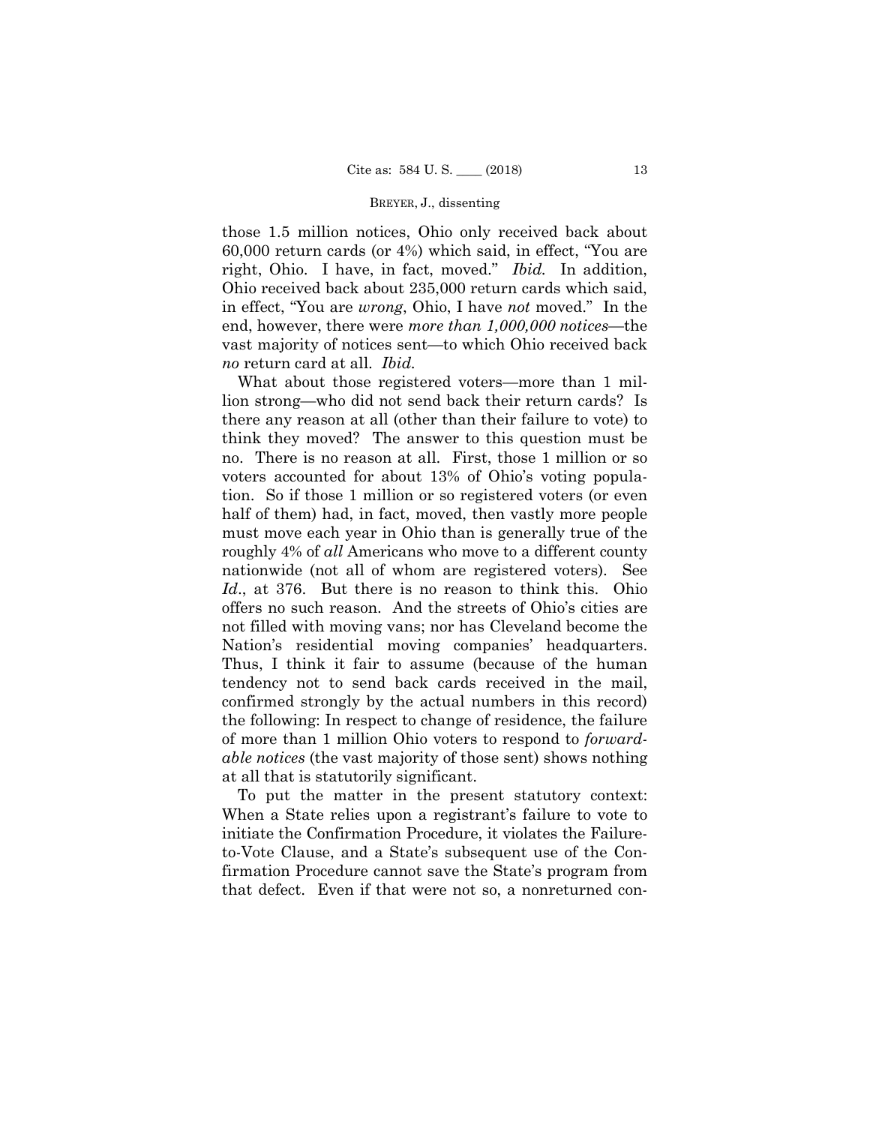those 1.5 million notices, Ohio only received back about 60,000 return cards (or 4%) which said, in effect, "You are right, Ohio. I have, in fact, moved." *Ibid.* In addition, Ohio received back about 235,000 return cards which said, in effect, "You are *wrong*, Ohio, I have *not* moved." In the end, however, there were *more than 1,000,000 notices*—the vast majority of notices sent—to which Ohio received back *no* return card at all. *Ibid.*

What about those registered voters—more than 1 million strong—who did not send back their return cards? Is there any reason at all (other than their failure to vote) to think they moved? The answer to this question must be no. There is no reason at all. First, those 1 million or so voters accounted for about 13% of Ohio's voting population. So if those 1 million or so registered voters (or even half of them) had, in fact, moved, then vastly more people must move each year in Ohio than is generally true of the roughly 4% of *all* Americans who move to a different county nationwide (not all of whom are registered voters). See *Id*., at 376. But there is no reason to think this. Ohio offers no such reason. And the streets of Ohio's cities are not filled with moving vans; nor has Cleveland become the Nation's residential moving companies' headquarters. Thus, I think it fair to assume (because of the human tendency not to send back cards received in the mail, confirmed strongly by the actual numbers in this record) the following: In respect to change of residence, the failure of more than 1 million Ohio voters to respond to *forwardable notices* (the vast majority of those sent) shows nothing at all that is statutorily significant.

 To put the matter in the present statutory context: When a State relies upon a registrant's failure to vote to initiate the Confirmation Procedure, it violates the Failureto-Vote Clause, and a State's subsequent use of the Confirmation Procedure cannot save the State's program from that defect. Even if that were not so, a nonreturned con-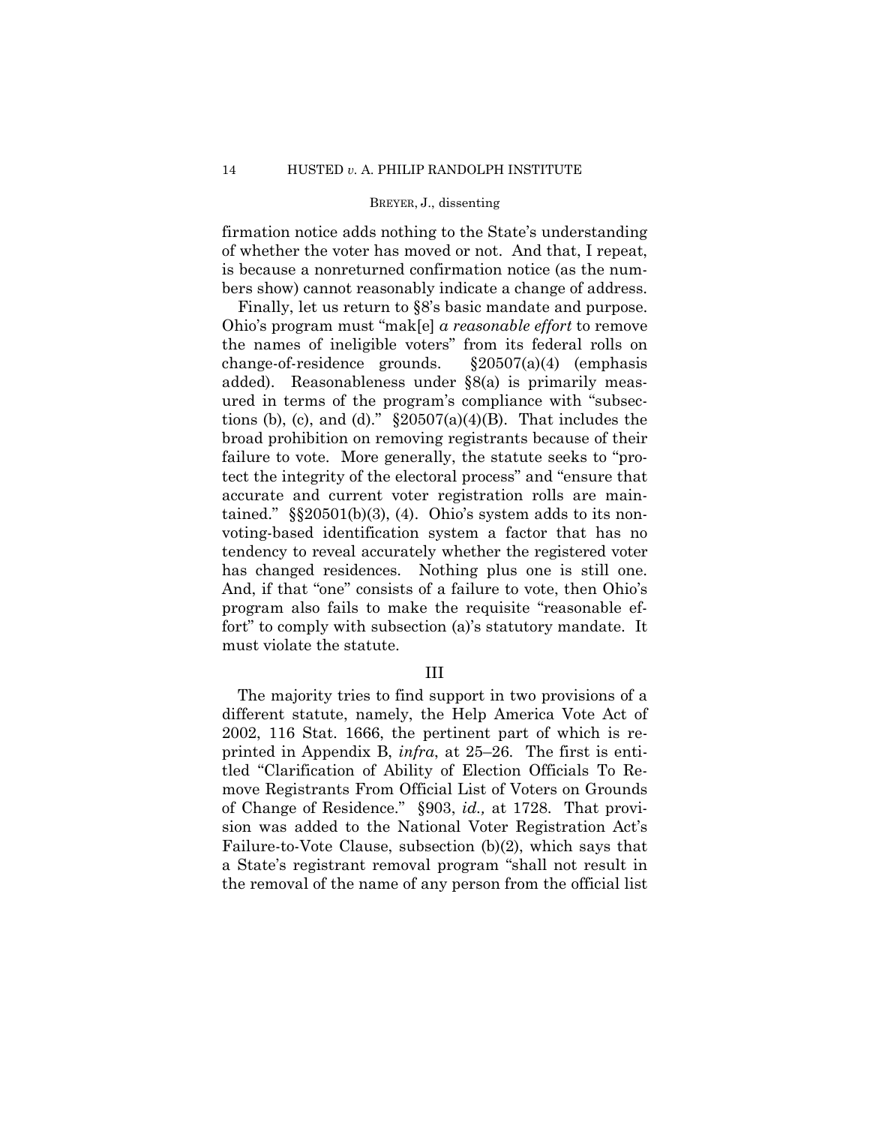firmation notice adds nothing to the State's understanding of whether the voter has moved or not. And that, I repeat, is because a nonreturned confirmation notice (as the numbers show) cannot reasonably indicate a change of address.

Finally, let us return to §8's basic mandate and purpose. Ohio's program must "mak[e] *a reasonable effort* to remove the names of ineligible voters" from its federal rolls on change-of-residence grounds. §20507(a)(4) (emphasis added). Reasonableness under §8(a) is primarily measured in terms of the program's compliance with "subsections (b), (c), and (d)."  $\S 20507(a)(4)(B)$ . That includes the broad prohibition on removing registrants because of their failure to vote. More generally, the statute seeks to "protect the integrity of the electoral process" and "ensure that accurate and current voter registration rolls are maintained."  $\S$  $20501(b)(3)$ , (4). Ohio's system adds to its nonvoting-based identification system a factor that has no tendency to reveal accurately whether the registered voter has changed residences. Nothing plus one is still one. And, if that "one" consists of a failure to vote, then Ohio's program also fails to make the requisite "reasonable effort" to comply with subsection (a)'s statutory mandate. It must violate the statute.

## III

The majority tries to find support in two provisions of a different statute, namely, the Help America Vote Act of 2002, 116 Stat. 1666, the pertinent part of which is reprinted in Appendix B, *infra*, at 25–26. The first is entitled "Clarification of Ability of Election Officials To Remove Registrants From Official List of Voters on Grounds of Change of Residence." §903, *id.,* at 1728. That provision was added to the National Voter Registration Act's Failure-to-Vote Clause, subsection (b)(2), which says that a State's registrant removal program "shall not result in the removal of the name of any person from the official list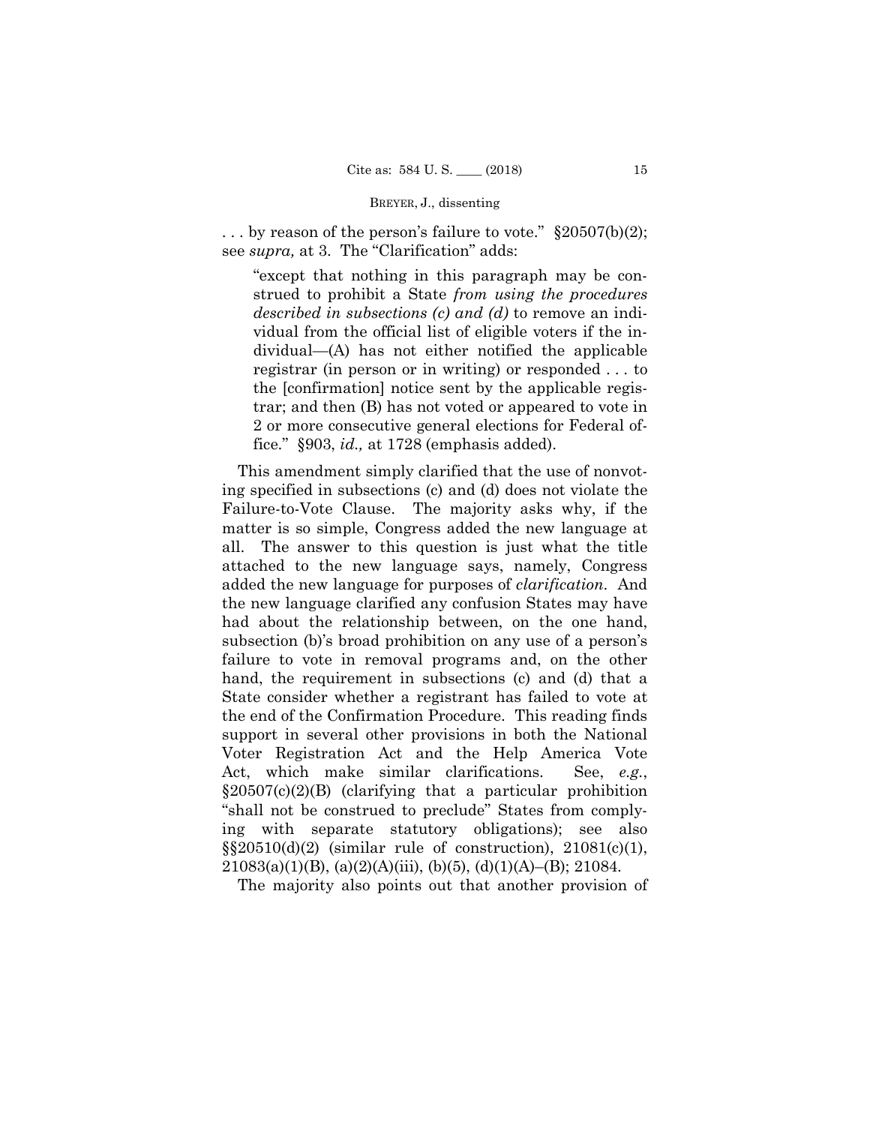... by reason of the person's failure to vote."  $\S 20507(b)(2)$ ; see *supra,* at 3. The "Clarification" adds:

"except that nothing in this paragraph may be construed to prohibit a State *from using the procedures described in subsections (c) and (d)* to remove an individual from the official list of eligible voters if the individual—(A) has not either notified the applicable registrar (in person or in writing) or responded . . . to the [confirmation] notice sent by the applicable registrar; and then (B) has not voted or appeared to vote in 2 or more consecutive general elections for Federal office." §903, *id.,* at 1728 (emphasis added).

This amendment simply clarified that the use of nonvoting specified in subsections (c) and (d) does not violate the Failure-to-Vote Clause. The majority asks why, if the matter is so simple, Congress added the new language at all. The answer to this question is just what the title attached to the new language says, namely, Congress added the new language for purposes of *clarification*. And the new language clarified any confusion States may have had about the relationship between, on the one hand, subsection (b)'s broad prohibition on any use of a person's failure to vote in removal programs and, on the other hand, the requirement in subsections (c) and (d) that a State consider whether a registrant has failed to vote at the end of the Confirmation Procedure. This reading finds support in several other provisions in both the National Voter Registration Act and the Help America Vote Act, which make similar clarifications. See, *e.g.*, §20507(c)(2)(B) (clarifying that a particular prohibition "shall not be construed to preclude" States from complying with separate statutory obligations); see also  $\S20510(d)(2)$  (similar rule of construction),  $21081(c)(1)$ ,  $21083(a)(1)(B)$ , (a)(2)(A)(iii), (b)(5), (d)(1)(A)–(B); 21084.

The majority also points out that another provision of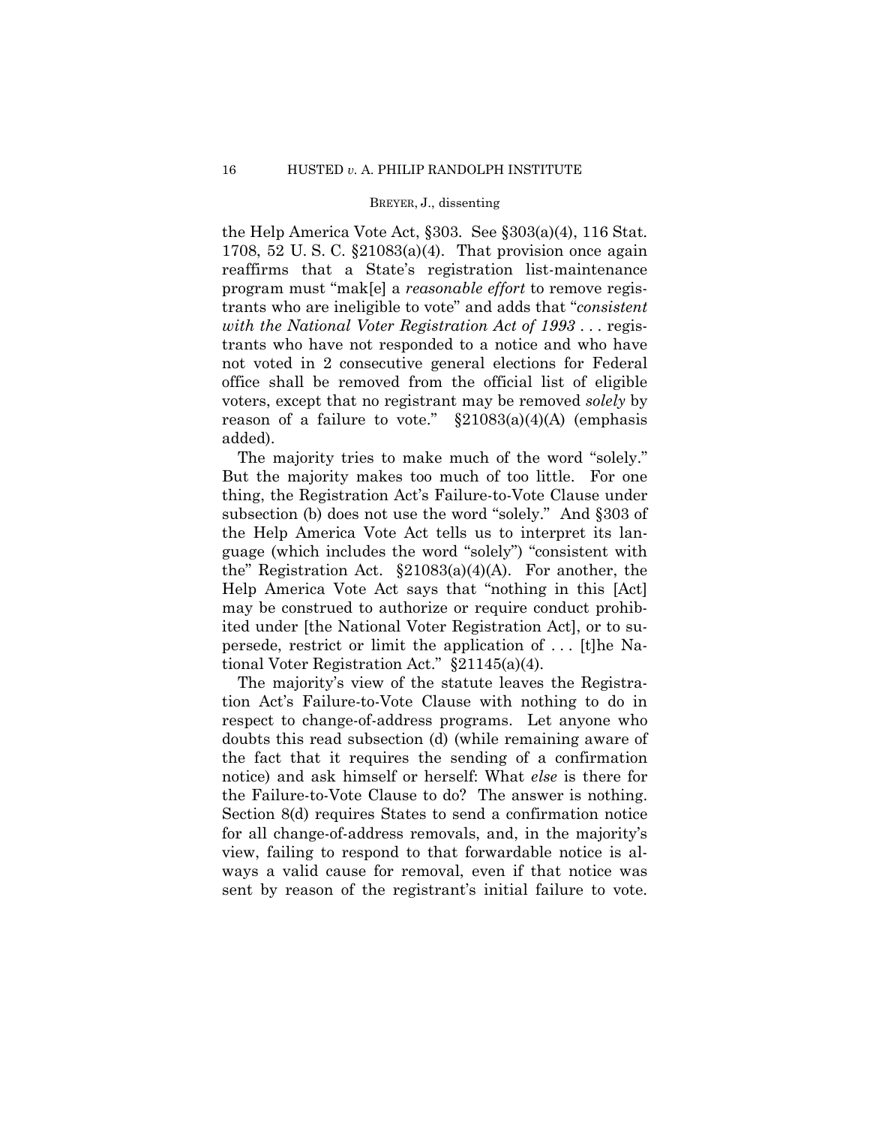the Help America Vote Act, §303. See §303(a)(4), 116 Stat. 1708, 52 U. S. C. §21083(a)(4). That provision once again reaffirms that a State's registration list-maintenance program must "mak[e] a *reasonable effort* to remove registrants who are ineligible to vote" and adds that "*consistent with the National Voter Registration Act of 1993* . . . registrants who have not responded to a notice and who have not voted in 2 consecutive general elections for Federal office shall be removed from the official list of eligible voters, except that no registrant may be removed *solely* by reason of a failure to vote."  $\S21083(a)(4)(A)$  (emphasis added).

The majority tries to make much of the word "solely." But the majority makes too much of too little. For one thing, the Registration Act's Failure-to-Vote Clause under subsection (b) does not use the word "solely." And §303 of the Help America Vote Act tells us to interpret its language (which includes the word "solely") "consistent with the" Registration Act. §21083(a)(4)(A). For another, the Help America Vote Act says that "nothing in this [Act] may be construed to authorize or require conduct prohibited under [the National Voter Registration Act], or to supersede, restrict or limit the application of . . . [t]he National Voter Registration Act." §21145(a)(4).

The majority's view of the statute leaves the Registration Act's Failure-to-Vote Clause with nothing to do in respect to change-of-address programs. Let anyone who doubts this read subsection (d) (while remaining aware of the fact that it requires the sending of a confirmation notice) and ask himself or herself: What *else* is there for the Failure-to-Vote Clause to do? The answer is nothing. Section 8(d) requires States to send a confirmation notice for all change-of-address removals, and, in the majority's view, failing to respond to that forwardable notice is always a valid cause for removal, even if that notice was sent by reason of the registrant's initial failure to vote.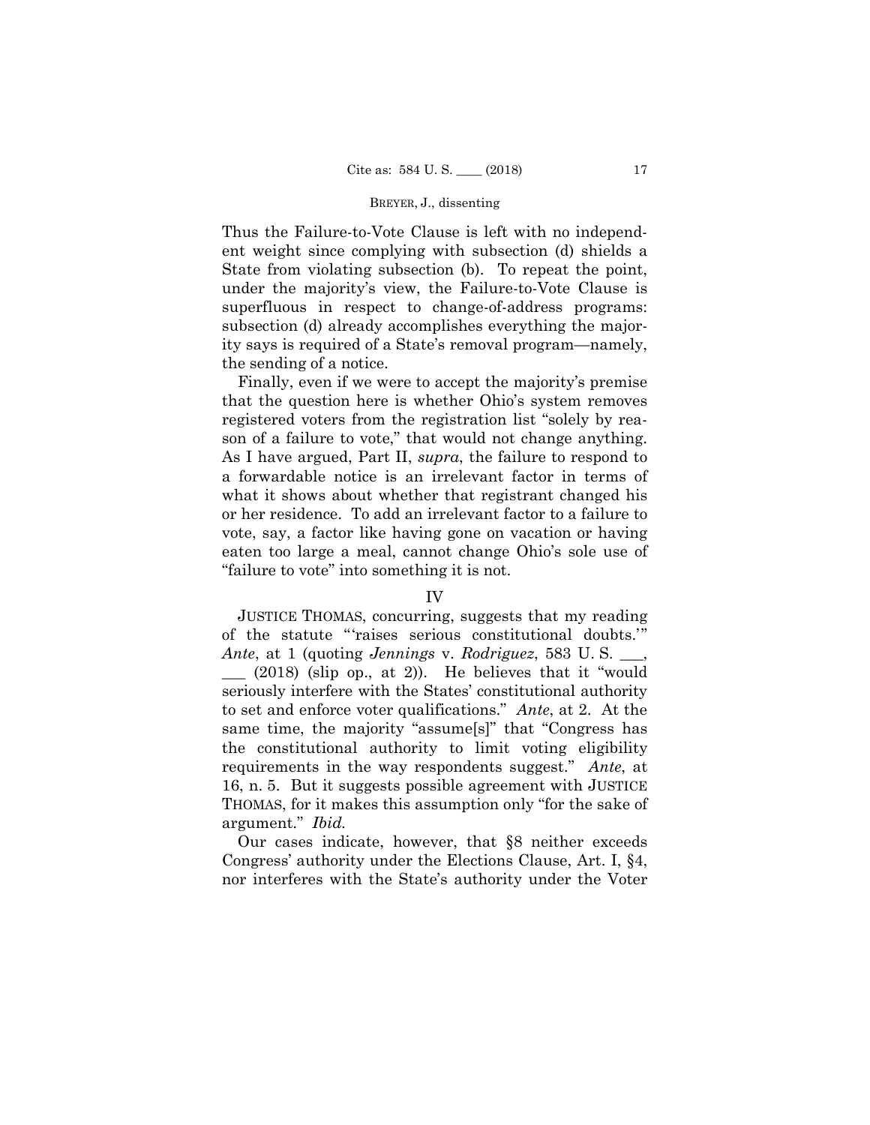Thus the Failure-to-Vote Clause is left with no independent weight since complying with subsection (d) shields a State from violating subsection (b). To repeat the point, under the majority's view, the Failure-to-Vote Clause is superfluous in respect to change-of-address programs: subsection (d) already accomplishes everything the majority says is required of a State's removal program—namely, the sending of a notice.

Finally, even if we were to accept the majority's premise that the question here is whether Ohio's system removes registered voters from the registration list "solely by reason of a failure to vote," that would not change anything. As I have argued, Part II, *supra*, the failure to respond to a forwardable notice is an irrelevant factor in terms of what it shows about whether that registrant changed his or her residence. To add an irrelevant factor to a failure to vote, say, a factor like having gone on vacation or having eaten too large a meal, cannot change Ohio's sole use of "failure to vote" into something it is not.

## IV

 JUSTICE THOMAS, concurring, suggests that my reading of the statute "'raises serious constitutional doubts.'"

*Ante*, at 1 (quoting *Jennings* v. *Rodriguez*, 583 U. S. \_\_\_,  $(2018)$  (slip op., at 2)). He believes that it "would seriously interfere with the States' constitutional authority to set and enforce voter qualifications." *Ante*, at 2. At the same time, the majority "assume[s]" that "Congress has the constitutional authority to limit voting eligibility requirements in the way respondents suggest." *Ante*, at 16, n. 5. But it suggests possible agreement with JUSTICE THOMAS, for it makes this assumption only "for the sake of argument." *Ibid.*

Our cases indicate, however, that §8 neither exceeds Congress' authority under the Elections Clause, Art. I, §4, nor interferes with the State's authority under the Voter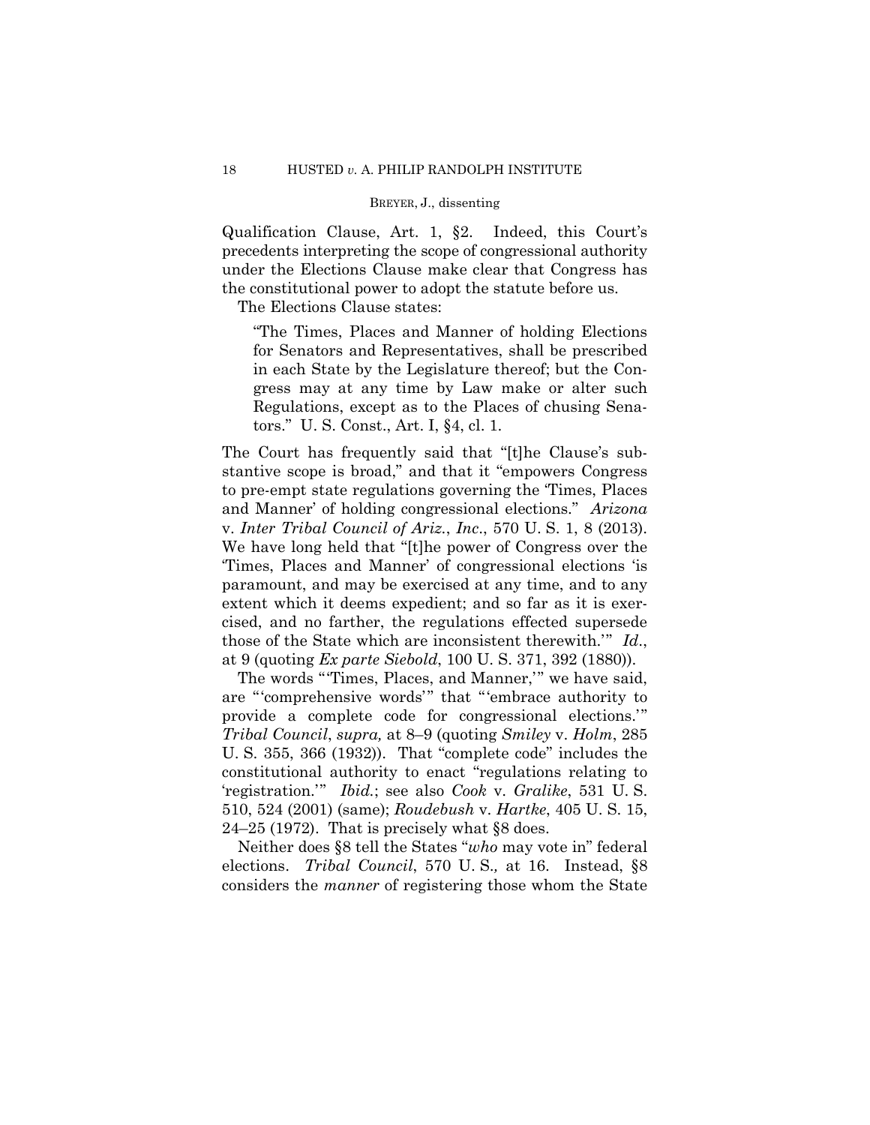Qualification Clause, Art. 1, §2. Indeed, this Court's precedents interpreting the scope of congressional authority under the Elections Clause make clear that Congress has the constitutional power to adopt the statute before us.

The Elections Clause states:

"The Times, Places and Manner of holding Elections for Senators and Representatives, shall be prescribed in each State by the Legislature thereof; but the Congress may at any time by Law make or alter such Regulations, except as to the Places of chusing Senators." U. S. Const., Art. I, §4, cl. 1.

The Court has frequently said that "[t]he Clause's substantive scope is broad," and that it "empowers Congress to pre-empt state regulations governing the 'Times, Places and Manner' of holding congressional elections." *Arizona*  v. *Inter Tribal Council of Ariz.*, *Inc*., 570 U. S. 1, 8 (2013). We have long held that "[t]he power of Congress over the 'Times, Places and Manner' of congressional elections 'is paramount, and may be exercised at any time, and to any extent which it deems expedient; and so far as it is exercised, and no farther, the regulations effected supersede those of the State which are inconsistent therewith.'" *Id*., at 9 (quoting *Ex parte Siebold*, 100 U. S. 371, 392 (1880)).

The words "'Times, Places, and Manner,'" we have said, are "'comprehensive words'" that "'embrace authority to provide a complete code for congressional elections.'" *Tribal Council*, *supra,* at 8–9 (quoting *Smiley* v. *Holm*, 285 U. S. 355, 366 (1932)). That "complete code" includes the constitutional authority to enact "regulations relating to 'registration.'" *Ibid.*; see also *Cook* v. *Gralike*, 531 U. S. 510, 524 (2001) (same); *Roudebush* v. *Hartke*, 405 U. S. 15, 24–25 (1972). That is precisely what §8 does.

Neither does §8 tell the States "*who* may vote in" federal elections. *Tribal Council*, 570 U. S.*,* at 16. Instead, §8 considers the *manner* of registering those whom the State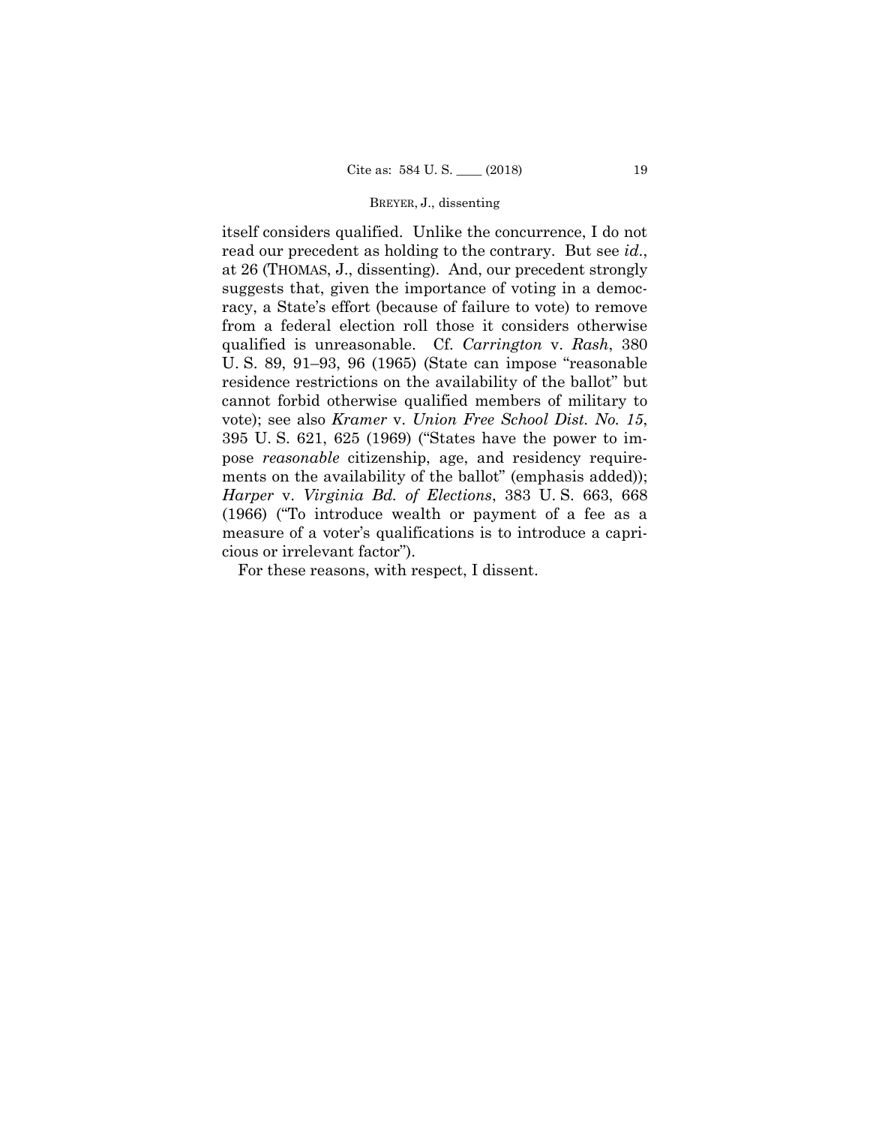itself considers qualified. Unlike the concurrence, I do not read our precedent as holding to the contrary. But see *id*., at 26 (THOMAS, J., dissenting). And, our precedent strongly suggests that, given the importance of voting in a democracy, a State's effort (because of failure to vote) to remove from a federal election roll those it considers otherwise qualified is unreasonable. Cf. *Carrington* v. *Rash*, 380 U. S. 89, 91–93, 96 (1965) (State can impose "reasonable residence restrictions on the availability of the ballot" but cannot forbid otherwise qualified members of military to vote); see also *Kramer* v. *Union Free School Dist. No. 15*, 395 U. S. 621, 625 (1969) ("States have the power to impose *reasonable* citizenship, age, and residency requirements on the availability of the ballot" (emphasis added)); *Harper* v. *Virginia Bd. of Elections*, 383 U. S. 663, 668 (1966) ("To introduce wealth or payment of a fee as a measure of a voter's qualifications is to introduce a capricious or irrelevant factor").

For these reasons, with respect, I dissent.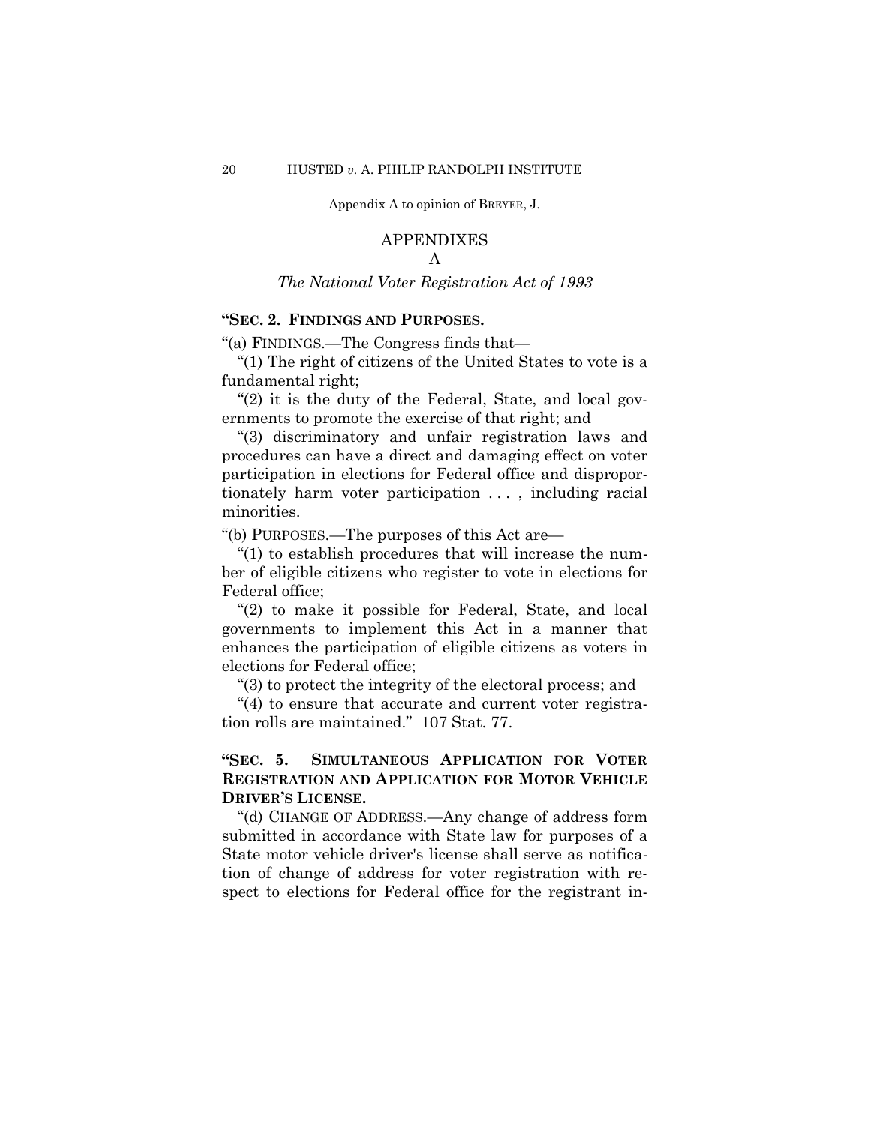#### APPENDIXES

## A

*The National Voter Registration Act of 1993*

## **"SEC. 2. FINDINGS AND PURPOSES.**

"(a) FINDINGS.—The Congress finds that—

 "(1) The right of citizens of the United States to vote is a fundamental right;

 "(2) it is the duty of the Federal, State, and local governments to promote the exercise of that right; and

 "(3) discriminatory and unfair registration laws and procedures can have a direct and damaging effect on voter participation in elections for Federal office and disproportionately harm voter participation . . . , including racial minorities.

"(b) PURPOSES.—The purposes of this Act are—

 "(1) to establish procedures that will increase the number of eligible citizens who register to vote in elections for Federal office;

 "(2) to make it possible for Federal, State, and local governments to implement this Act in a manner that enhances the participation of eligible citizens as voters in elections for Federal office;

"(3) to protect the integrity of the electoral process; and

 "(4) to ensure that accurate and current voter registration rolls are maintained." 107 Stat. 77.

## **"SEC. 5. SIMULTANEOUS APPLICATION FOR VOTER REGISTRATION AND APPLICATION FOR MOTOR VEHICLE DRIVER'S LICENSE.**

 "(d) CHANGE OF ADDRESS.—Any change of address form submitted in accordance with State law for purposes of a State motor vehicle driver's license shall serve as notification of change of address for voter registration with respect to elections for Federal office for the registrant in-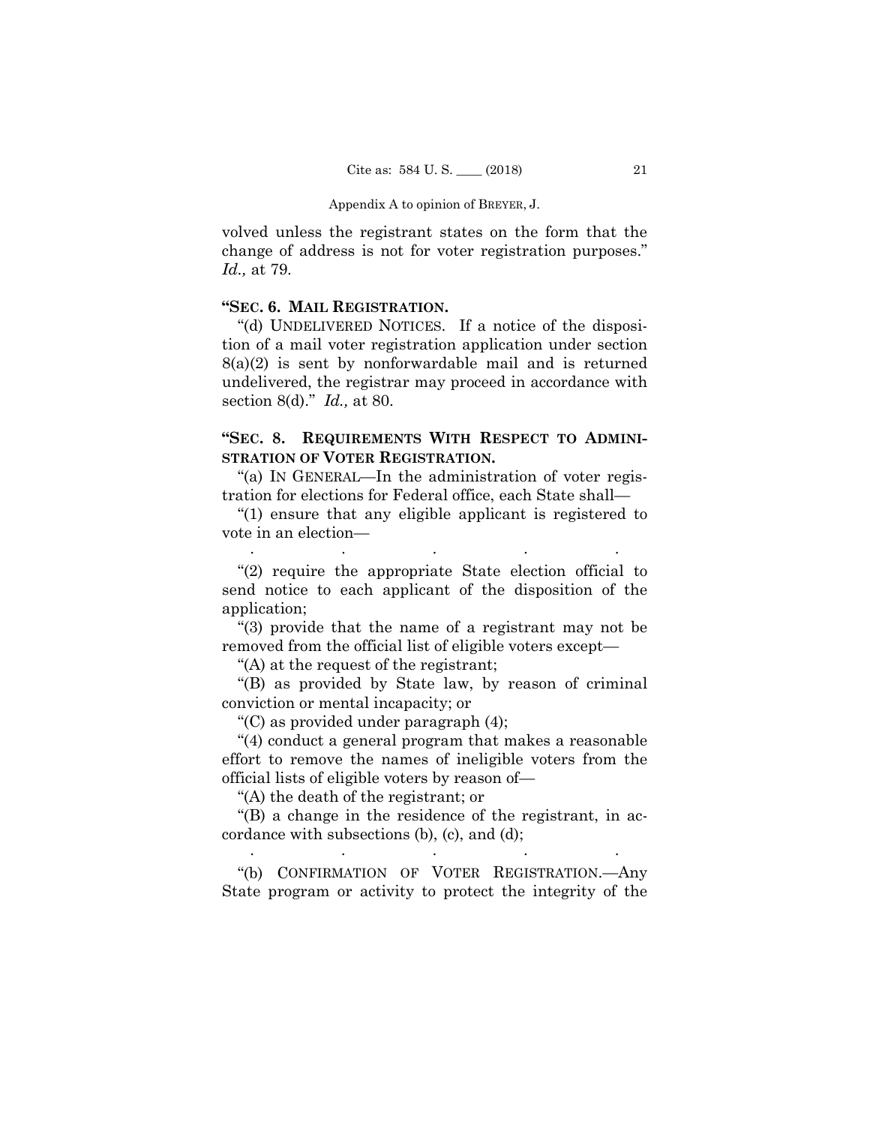volved unless the registrant states on the form that the change of address is not for voter registration purposes." *Id.,* at 79.

## **"SEC. 6. MAIL REGISTRATION.**

 "(d) UNDELIVERED NOTICES. If a notice of the disposition of a mail voter registration application under section 8(a)(2) is sent by nonforwardable mail and is returned undelivered, the registrar may proceed in accordance with section 8(d)." *Id.,* at 80.

## **"SEC. 8. REQUIREMENTS WITH RESPECT TO ADMINI-STRATION OF VOTER REGISTRATION.**

 "(a) IN GENERAL—In the administration of voter registration for elections for Federal office, each State shall—

 "(1) ensure that any eligible applicant is registered to vote in an election— . . . . .

 "(2) require the appropriate State election official to send notice to each applicant of the disposition of the application;

 "(3) provide that the name of a registrant may not be removed from the official list of eligible voters except—

"(A) at the request of the registrant;

 "(B) as provided by State law, by reason of criminal conviction or mental incapacity; or

"(C) as provided under paragraph (4);

 "(4) conduct a general program that makes a reasonable effort to remove the names of ineligible voters from the official lists of eligible voters by reason of—

"(A) the death of the registrant; or

 "(B) a change in the residence of the registrant, in accordance with subsections (b), (c), and (d); . . . . .

 "(b) CONFIRMATION OF VOTER REGISTRATION.—Any State program or activity to protect the integrity of the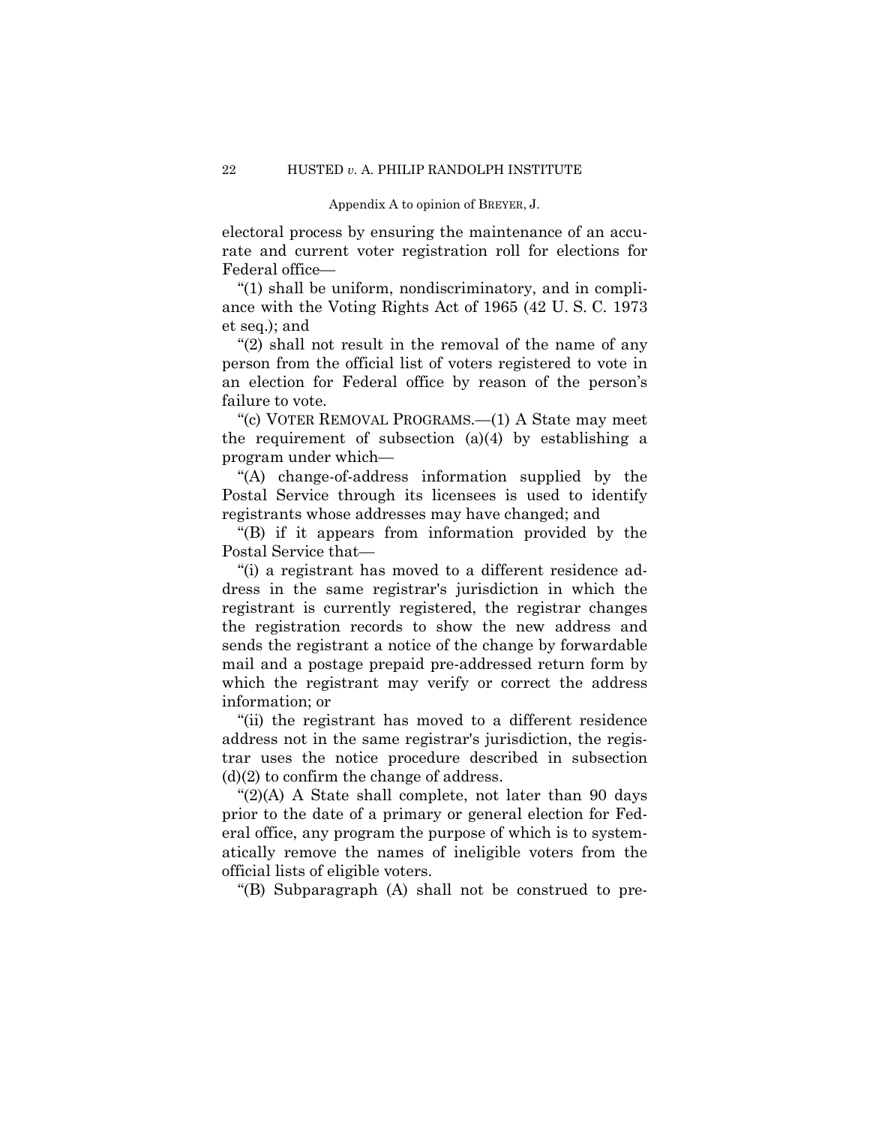electoral process by ensuring the maintenance of an accurate and current voter registration roll for elections for Federal office—

 "(1) shall be uniform, nondiscriminatory, and in compliance with the Voting Rights Act of 1965 (42 U. S. C. 1973 et seq.); and

 "(2) shall not result in the removal of the name of any person from the official list of voters registered to vote in an election for Federal office by reason of the person's failure to vote.

 "(c) VOTER REMOVAL PROGRAMS.—(1) A State may meet the requirement of subsection (a)(4) by establishing a program under which—

 "(A) change-of-address information supplied by the Postal Service through its licensees is used to identify registrants whose addresses may have changed; and

 "(B) if it appears from information provided by the Postal Service that—

 "(i) a registrant has moved to a different residence address in the same registrar's jurisdiction in which the registrant is currently registered, the registrar changes the registration records to show the new address and sends the registrant a notice of the change by forwardable mail and a postage prepaid pre-addressed return form by which the registrant may verify or correct the address information; or

 "(ii) the registrant has moved to a different residence address not in the same registrar's jurisdiction, the registrar uses the notice procedure described in subsection  $(d)(2)$  to confirm the change of address.

 "(2)(A) A State shall complete, not later than 90 days prior to the date of a primary or general election for Federal office, any program the purpose of which is to systematically remove the names of ineligible voters from the official lists of eligible voters.

"(B) Subparagraph (A) shall not be construed to pre-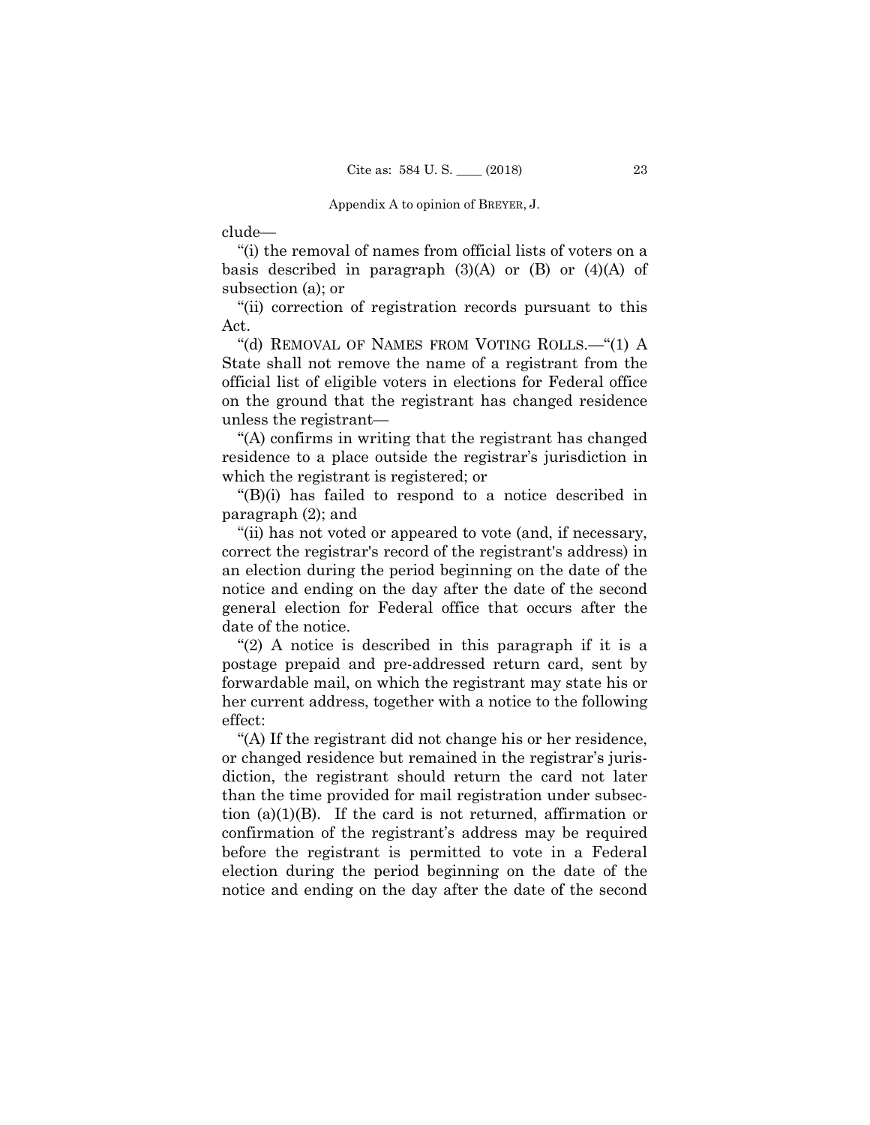clude—

 "(i) the removal of names from official lists of voters on a basis described in paragraph  $(3)(A)$  or  $(B)$  or  $(4)(A)$  of subsection (a); or

 "(ii) correction of registration records pursuant to this Act.

 "(d) REMOVAL OF NAMES FROM VOTING ROLLS.—"(1) A State shall not remove the name of a registrant from the official list of eligible voters in elections for Federal office on the ground that the registrant has changed residence unless the registrant—

 "(A) confirms in writing that the registrant has changed residence to a place outside the registrar's jurisdiction in which the registrant is registered; or

 "(B)(i) has failed to respond to a notice described in paragraph (2); and

 "(ii) has not voted or appeared to vote (and, if necessary, correct the registrar's record of the registrant's address) in an election during the period beginning on the date of the notice and ending on the day after the date of the second general election for Federal office that occurs after the date of the notice.

 "(2) A notice is described in this paragraph if it is a postage prepaid and pre-addressed return card, sent by forwardable mail, on which the registrant may state his or her current address, together with a notice to the following effect:

 "(A) If the registrant did not change his or her residence, or changed residence but remained in the registrar's jurisdiction, the registrant should return the card not later than the time provided for mail registration under subsection (a)(1)(B). If the card is not returned, affirmation or confirmation of the registrant's address may be required before the registrant is permitted to vote in a Federal election during the period beginning on the date of the notice and ending on the day after the date of the second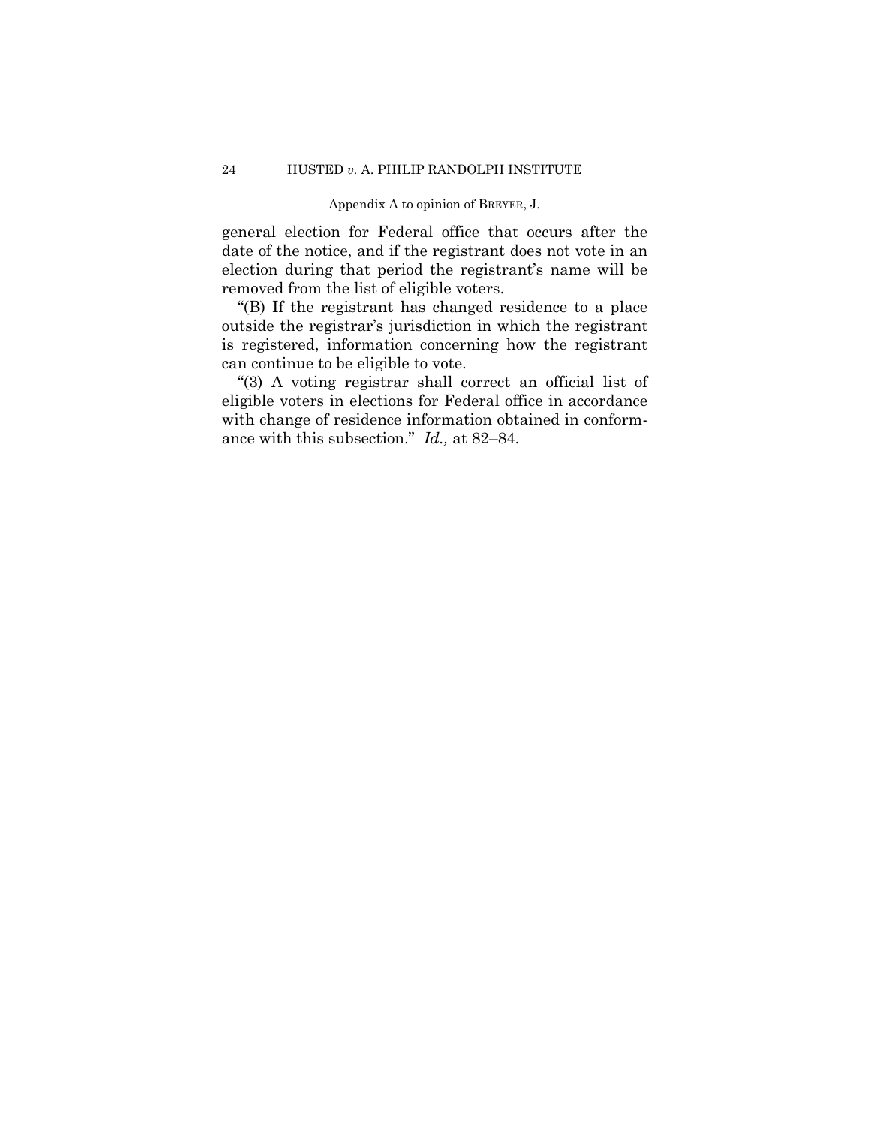general election for Federal office that occurs after the date of the notice, and if the registrant does not vote in an election during that period the registrant's name will be removed from the list of eligible voters.

 "(B) If the registrant has changed residence to a place outside the registrar's jurisdiction in which the registrant is registered, information concerning how the registrant can continue to be eligible to vote.

 "(3) A voting registrar shall correct an official list of eligible voters in elections for Federal office in accordance with change of residence information obtained in conformance with this subsection." *Id.,* at 82–84.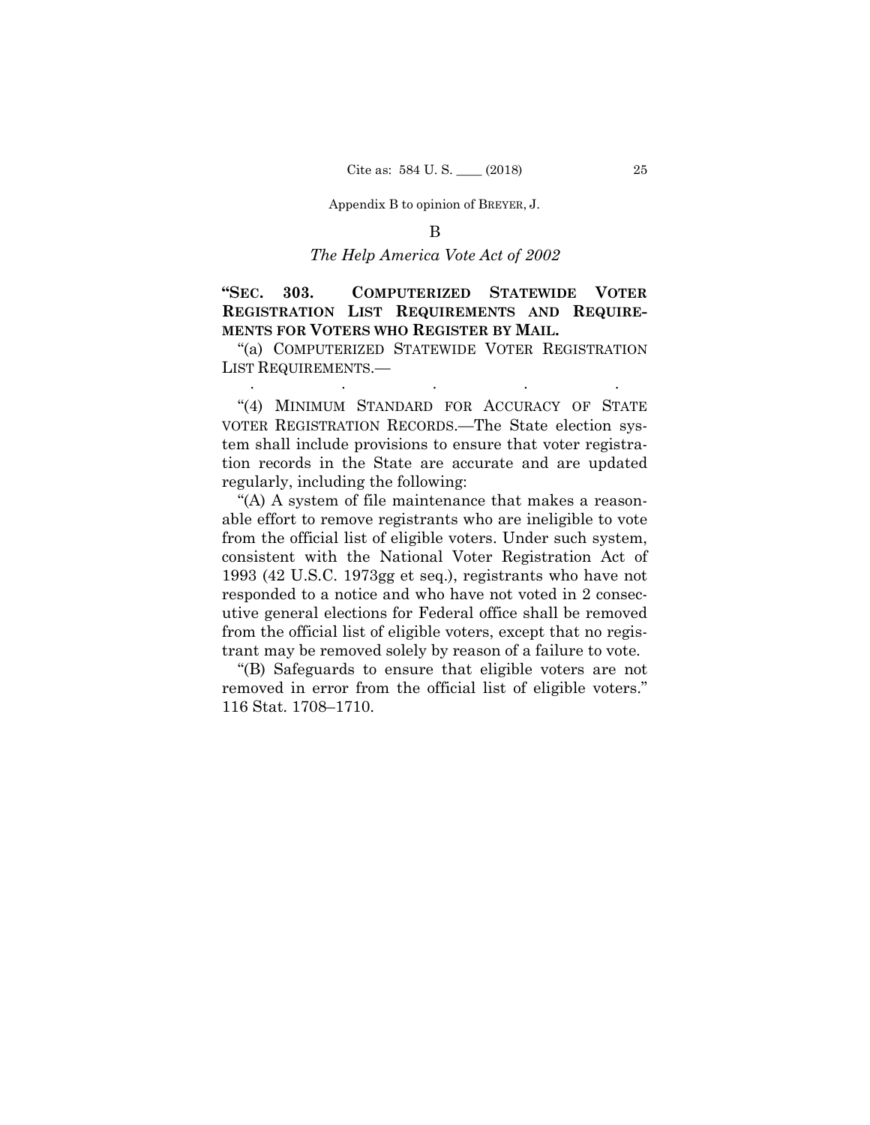## *The Help America Vote Act of 2002*

## **"SEC. 303. COMPUTERIZED STATEWIDE VOTER REGISTRATION LIST REQUIREMENTS AND REQUIRE-MENTS FOR VOTERS WHO REGISTER BY MAIL.**

 "(a) COMPUTERIZED STATEWIDE VOTER REGISTRATION LIST REQUIREMENTS.— . The same state is a set of the same state in the same state  $\mathcal{L}_\mathcal{A}$ 

 "(4) MINIMUM STANDARD FOR ACCURACY OF STATE VOTER REGISTRATION RECORDS.—The State election system shall include provisions to ensure that voter registration records in the State are accurate and are updated regularly, including the following:

 "(A) A system of file maintenance that makes a reasonable effort to remove registrants who are ineligible to vote from the official list of eligible voters. Under such system, consistent with the National Voter Registration Act of 1993 (42 U.S.C. 1973gg et seq.), registrants who have not responded to a notice and who have not voted in 2 consecutive general elections for Federal office shall be removed from the official list of eligible voters, except that no registrant may be removed solely by reason of a failure to vote.

 "(B) Safeguards to ensure that eligible voters are not removed in error from the official list of eligible voters." 116 Stat. 1708–1710.

B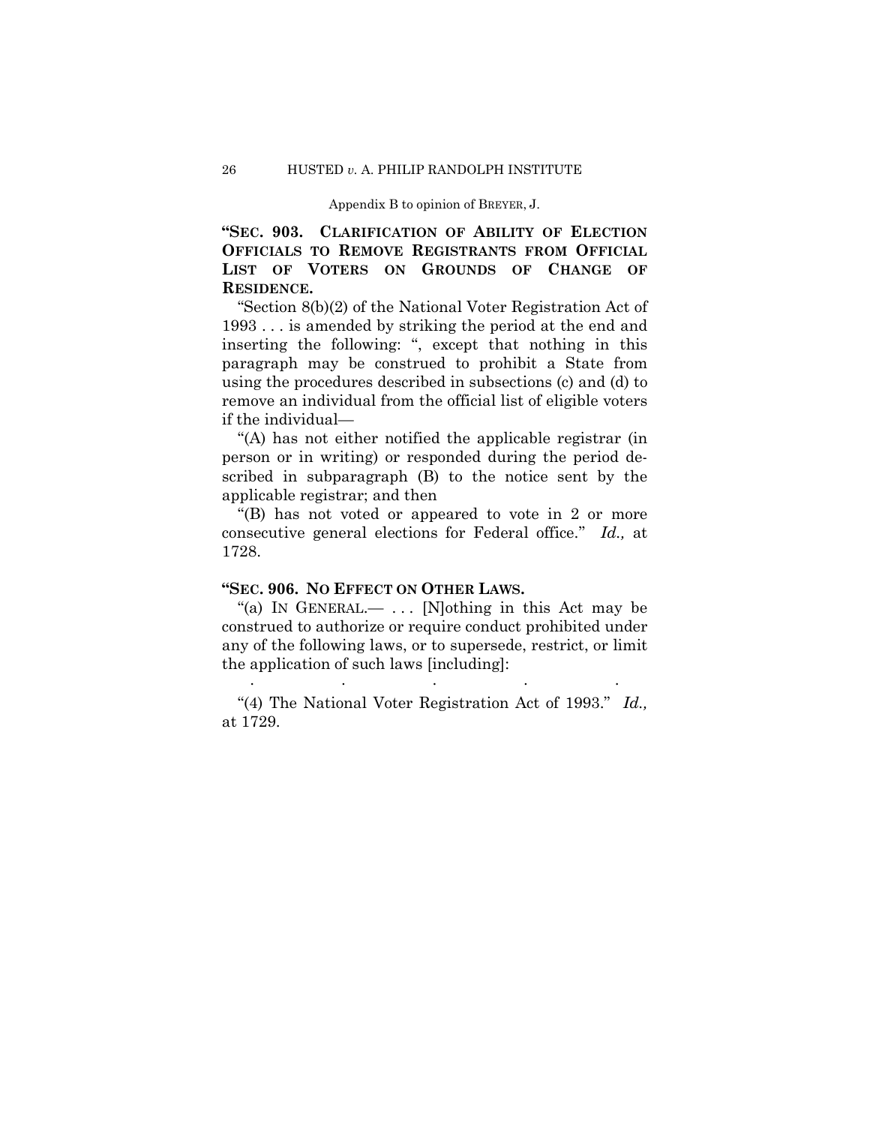**"SEC. 903. CLARIFICATION OF ABILITY OF ELECTION OFFICIALS TO REMOVE REGISTRANTS FROM OFFICIAL LIST OF VOTERS ON GROUNDS OF CHANGE OF RESIDENCE.** 

 "Section 8(b)(2) of the National Voter Registration Act of 1993 . . . is amended by striking the period at the end and inserting the following: ", except that nothing in this paragraph may be construed to prohibit a State from using the procedures described in subsections (c) and (d) to remove an individual from the official list of eligible voters if the individual—

''(A) has not either notified the applicable registrar (in person or in writing) or responded during the period described in subparagraph (B) to the notice sent by the applicable registrar; and then

''(B) has not voted or appeared to vote in 2 or more consecutive general elections for Federal office.'' *Id.,* at 1728.

## **"SEC. 906. NO EFFECT ON OTHER LAWS.**

"(a) IN GENERAL.—  $\ldots$  [N]othing in this Act may be construed to authorize or require conduct prohibited under any of the following laws, or to supersede, restrict, or limit the application of such laws [including]:

 "(4) The National Voter Registration Act of 1993." *Id.,* at 1729.

. The same state is a set of the same state  $\mathcal{L}_\mathbf{z}$  , where  $\mathcal{L}_\mathbf{z}$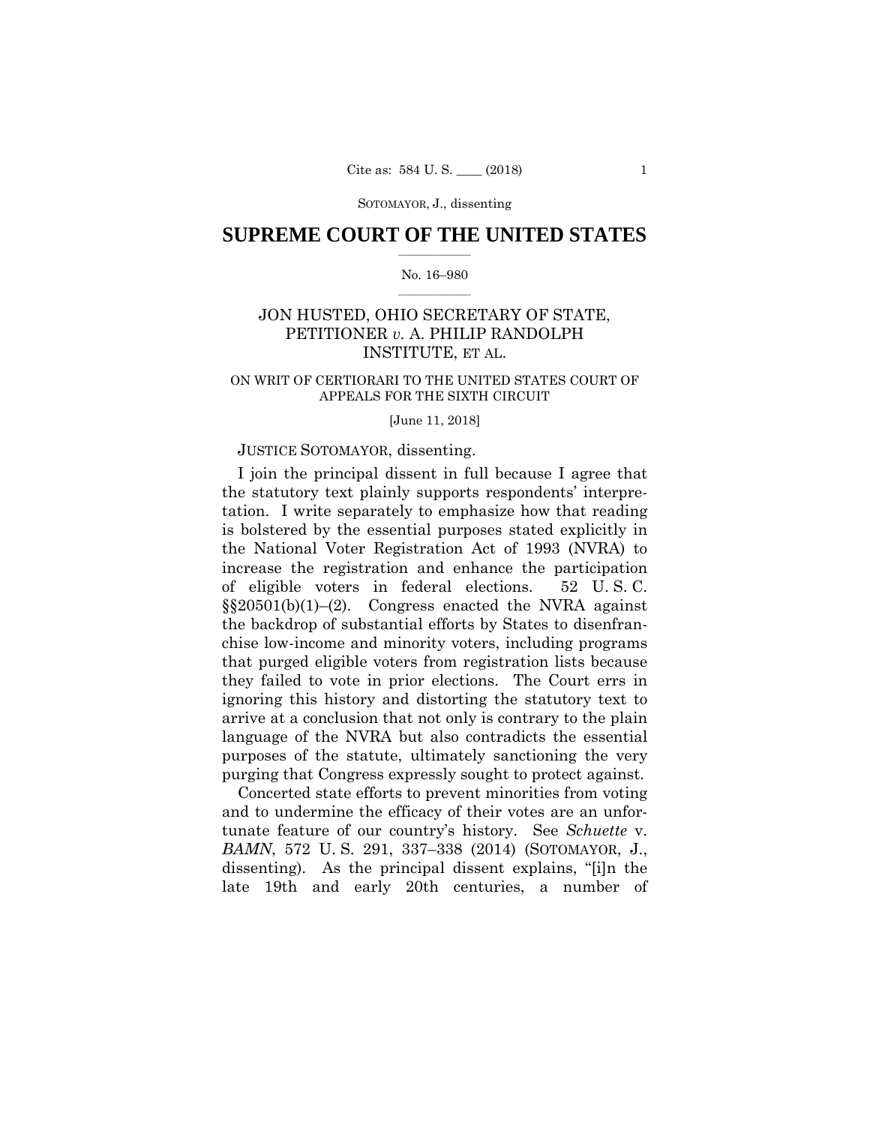## **SUPREME COURT OF THE UNITED STATES**  $\overline{\phantom{a}}$  , where  $\overline{\phantom{a}}$

#### No. 16–980  $\overline{\phantom{a}}$  , where  $\overline{\phantom{a}}$

## JON HUSTED, OHIO SECRETARY OF STATE, PETITIONER *v.* A. PHILIP RANDOLPH INSTITUTE, ET AL.

### ON WRIT OF CERTIORARI TO THE UNITED STATES COURT OF APPEALS FOR THE SIXTH CIRCUIT

#### [June 11, 2018]

### JUSTICE SOTOMAYOR, dissenting.

I join the principal dissent in full because I agree that the statutory text plainly supports respondents' interpretation. I write separately to emphasize how that reading is bolstered by the essential purposes stated explicitly in the National Voter Registration Act of 1993 (NVRA) to increase the registration and enhance the participation of eligible voters in federal elections. 52 U. S. C. §§20501(b)(1)–(2). Congress enacted the NVRA against the backdrop of substantial efforts by States to disenfranchise low-income and minority voters, including programs that purged eligible voters from registration lists because they failed to vote in prior elections. The Court errs in ignoring this history and distorting the statutory text to arrive at a conclusion that not only is contrary to the plain language of the NVRA but also contradicts the essential purposes of the statute, ultimately sanctioning the very purging that Congress expressly sought to protect against.

Concerted state efforts to prevent minorities from voting and to undermine the efficacy of their votes are an unfortunate feature of our country's history. See *Schuette* v. *BAMN*, 572 U. S. 291, 337–338 (2014) (SOTOMAYOR, J., dissenting). As the principal dissent explains, "[i]n the late 19th and early 20th centuries, a number of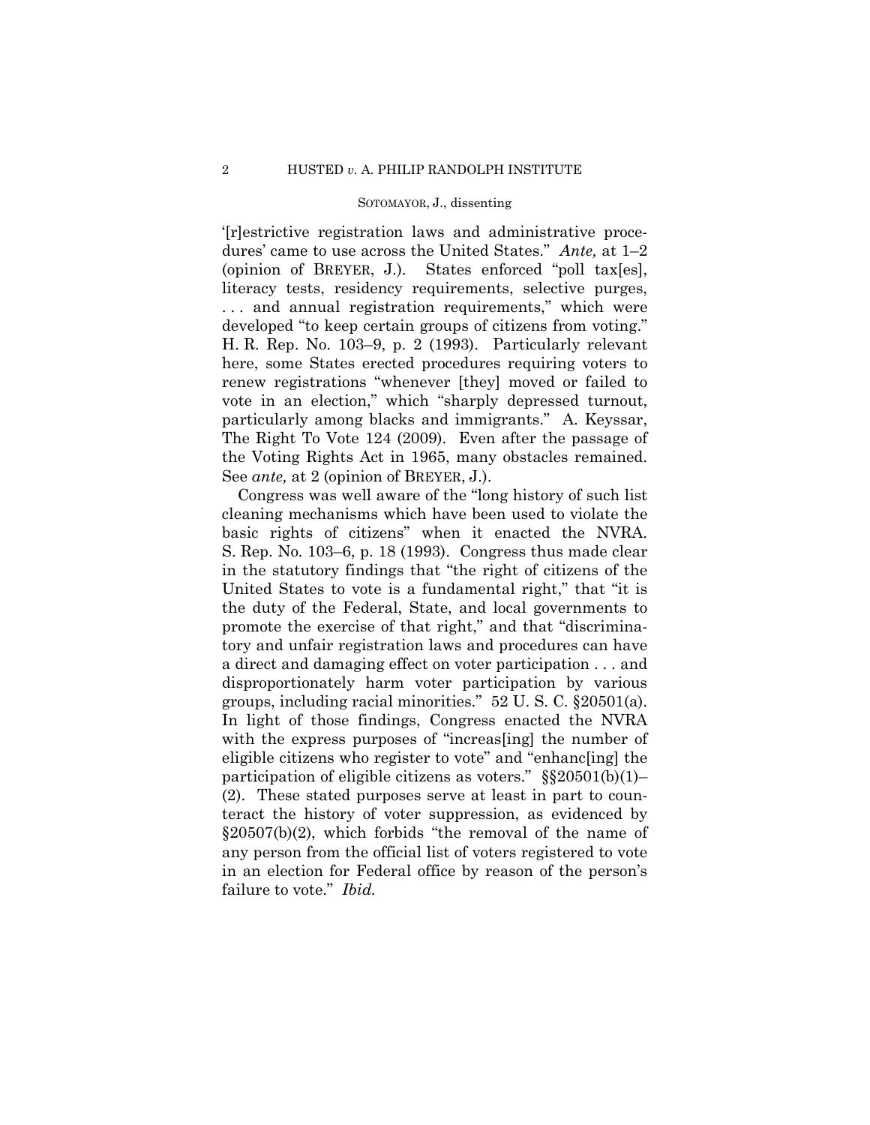'[r]estrictive registration laws and administrative procedures' came to use across the United States." *Ante,* at 1–2 (opinion of BREYER, J.). States enforced "poll tax[es], literacy tests, residency requirements, selective purges, . . . and annual registration requirements," which were developed "to keep certain groups of citizens from voting." H. R. Rep. No. 103–9, p. 2 (1993). Particularly relevant here, some States erected procedures requiring voters to renew registrations "whenever [they] moved or failed to vote in an election," which "sharply depressed turnout, particularly among blacks and immigrants." A. Keyssar, The Right To Vote 124 (2009). Even after the passage of the Voting Rights Act in 1965, many obstacles remained. See *ante,* at 2 (opinion of BREYER, J.).

Congress was well aware of the "long history of such list cleaning mechanisms which have been used to violate the basic rights of citizens" when it enacted the NVRA. S. Rep. No. 103–6, p. 18 (1993). Congress thus made clear in the statutory findings that "the right of citizens of the United States to vote is a fundamental right," that "it is the duty of the Federal, State, and local governments to promote the exercise of that right," and that "discriminatory and unfair registration laws and procedures can have a direct and damaging effect on voter participation . . . and disproportionately harm voter participation by various groups, including racial minorities." 52 U. S. C. §20501(a). In light of those findings, Congress enacted the NVRA with the express purposes of "increas [ing] the number of eligible citizens who register to vote" and "enhanc[ing] the participation of eligible citizens as voters." §§20501(b)(1)– (2). These stated purposes serve at least in part to counteract the history of voter suppression, as evidenced by  $\S20507(b)(2)$ , which forbids "the removal of the name of any person from the official list of voters registered to vote in an election for Federal office by reason of the person's failure to vote." *Ibid.*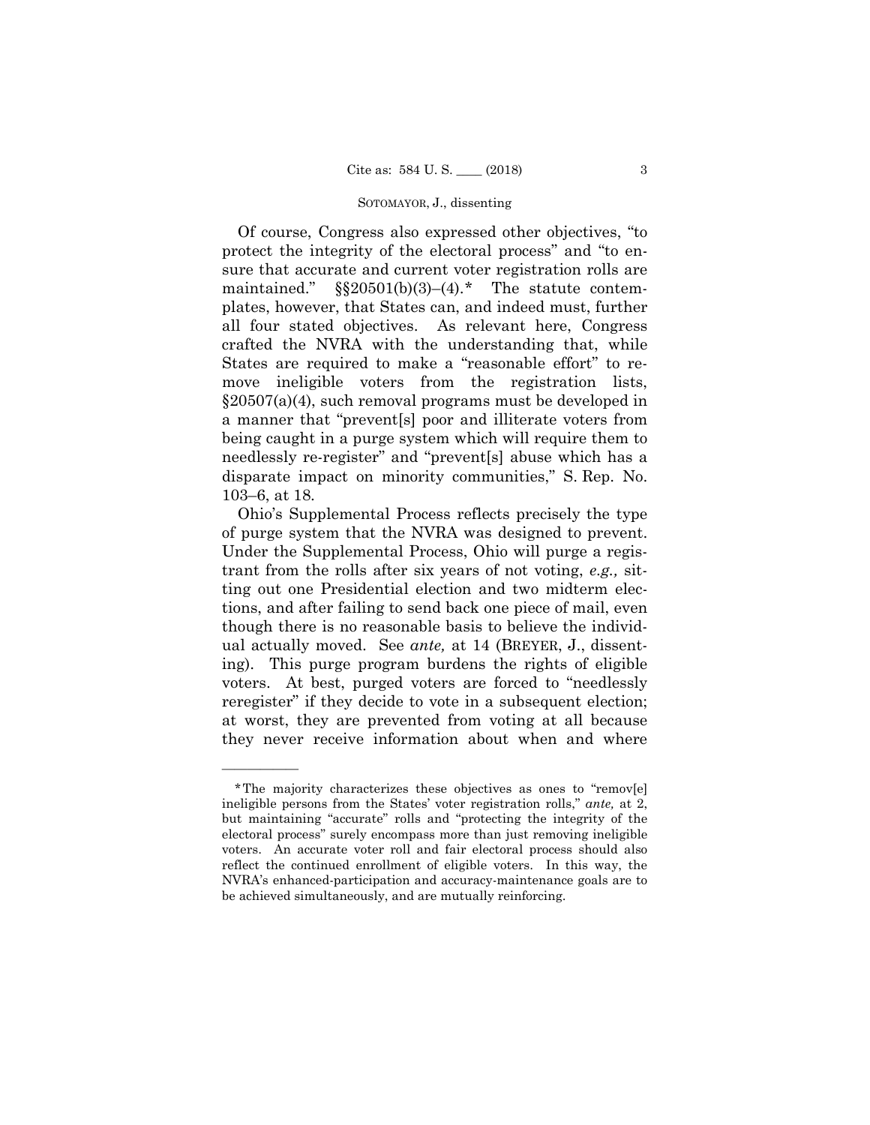Of course, Congress also expressed other objectives, "to protect the integrity of the electoral process" and "to ensure that accurate and current voter registration rolls are maintained."  $\S$  $20501(b)(3)$ –(4).[\\*](#page-55-0) The statute contemplates, however, that States can, and indeed must, further all four stated objectives. As relevant here, Congress crafted the NVRA with the understanding that, while States are required to make a "reasonable effort" to remove ineligible voters from the registration lists, §20507(a)(4), such removal programs must be developed in a manner that "prevent[s] poor and illiterate voters from being caught in a purge system which will require them to needlessly re-register" and "prevent[s] abuse which has a disparate impact on minority communities," S. Rep. No. 103–6, at 18.

Ohio's Supplemental Process reflects precisely the type of purge system that the NVRA was designed to prevent. Under the Supplemental Process, Ohio will purge a registrant from the rolls after six years of not voting, *e.g.,* sitting out one Presidential election and two midterm elections, and after failing to send back one piece of mail, even though there is no reasonable basis to believe the individual actually moved. See *ante,* at 14 (BREYER, J., dissenting). This purge program burdens the rights of eligible voters. At best, purged voters are forced to "needlessly reregister" if they decide to vote in a subsequent election; at worst, they are prevented from voting at all because they never receive information about when and where

<span id="page-55-0"></span><sup>\*</sup>The majority characterizes these objectives as ones to "remov[e] ineligible persons from the States' voter registration rolls," *ante,* at 2, but maintaining "accurate" rolls and "protecting the integrity of the electoral process" surely encompass more than just removing ineligible voters. An accurate voter roll and fair electoral process should also reflect the continued enrollment of eligible voters. In this way, the NVRA's enhanced-participation and accuracy-maintenance goals are to be achieved simultaneously, and are mutually reinforcing.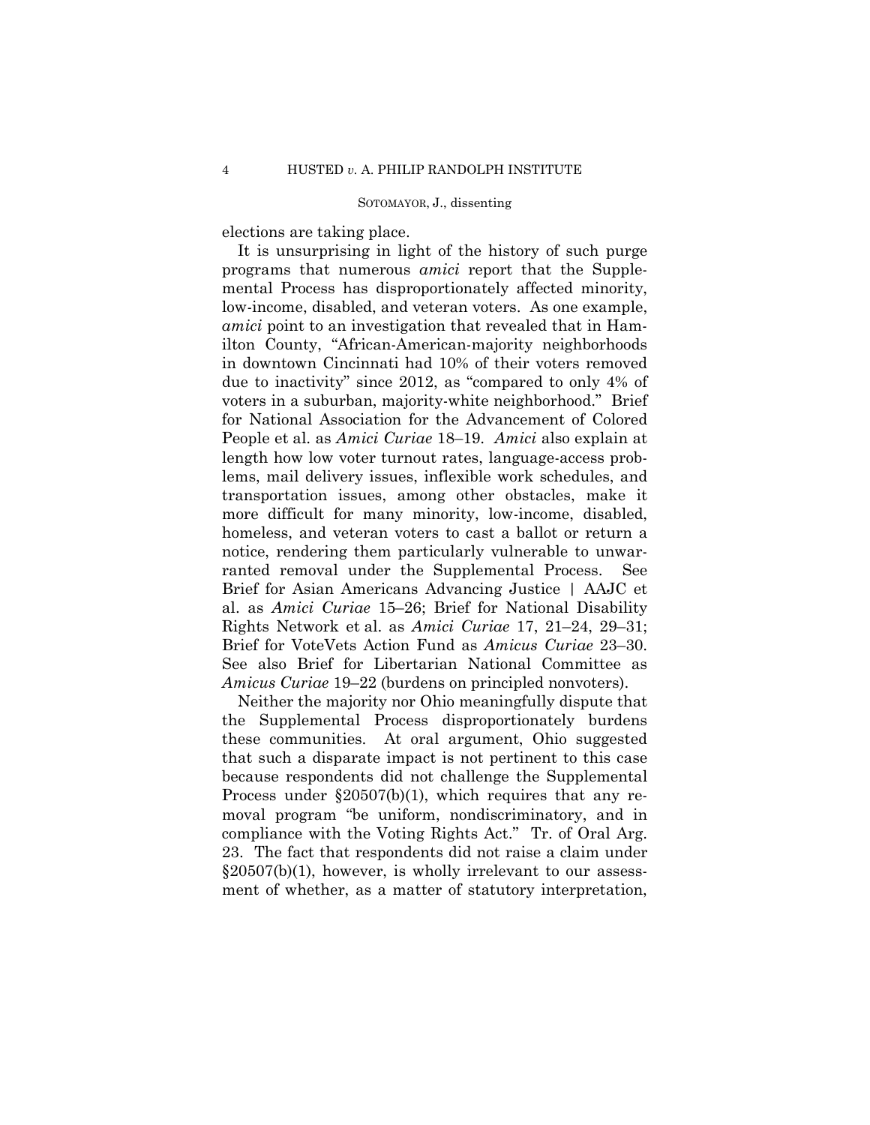elections are taking place.

It is unsurprising in light of the history of such purge programs that numerous *amici* report that the Supplemental Process has disproportionately affected minority, low-income, disabled, and veteran voters. As one example, *amici* point to an investigation that revealed that in Hamilton County, "African-American-majority neighborhoods in downtown Cincinnati had 10% of their voters removed due to inactivity" since 2012, as "compared to only 4% of voters in a suburban, majority-white neighborhood." Brief for National Association for the Advancement of Colored People et al. as *Amici Curiae* 18–19. *Amici* also explain at length how low voter turnout rates, language-access problems, mail delivery issues, inflexible work schedules, and transportation issues, among other obstacles, make it more difficult for many minority, low-income, disabled, homeless, and veteran voters to cast a ballot or return a notice, rendering them particularly vulnerable to unwarranted removal under the Supplemental Process. See Brief for Asian Americans Advancing Justice | AAJC et al. as *Amici Curiae* 15–26; Brief for National Disability Rights Network et al. as *Amici Curiae* 17, 21–24, 29–31; Brief for VoteVets Action Fund as *Amicus Curiae* 23–30. See also Brief for Libertarian National Committee as *Amicus Curiae* 19–22 (burdens on principled nonvoters).

Neither the majority nor Ohio meaningfully dispute that the Supplemental Process disproportionately burdens these communities. At oral argument, Ohio suggested that such a disparate impact is not pertinent to this case because respondents did not challenge the Supplemental Process under §20507(b)(1), which requires that any removal program "be uniform, nondiscriminatory, and in compliance with the Voting Rights Act." Tr. of Oral Arg. 23. The fact that respondents did not raise a claim under §20507(b)(1), however, is wholly irrelevant to our assessment of whether, as a matter of statutory interpretation,